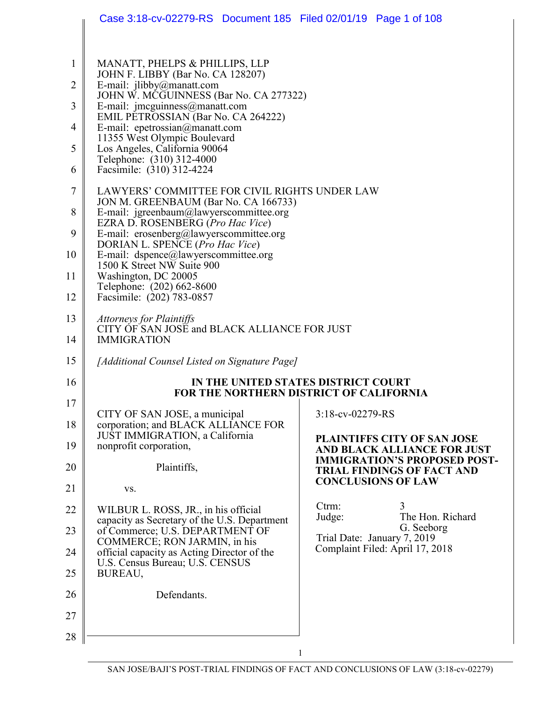|          | Case 3:18-cv-02279-RS Document 185 Filed 02/01/19 Page 1 of 108                           |                                                                                       |
|----------|-------------------------------------------------------------------------------------------|---------------------------------------------------------------------------------------|
|          |                                                                                           |                                                                                       |
| 1        | MANATT, PHELPS & PHILLIPS, LLP<br>JOHN F. LIBBY (Bar No. CA 128207)                       |                                                                                       |
| 2        | E-mail: jlibby@manatt.com<br>JOHN W. MCGUINNESS (Bar No. CA 277322)                       |                                                                                       |
| 3        | E-mail: jmcguinness@manatt.com<br>EMIL PETROSSIAN (Bar No. CA 264222)                     |                                                                                       |
| 4        | E-mail: epetrossian@manatt.com<br>11355 West Olympic Boulevard                            |                                                                                       |
| 5        | Los Angeles, California 90064<br>Telephone: (310) 312-4000                                |                                                                                       |
| 6        | Facsimile: (310) 312-4224                                                                 |                                                                                       |
| 7        | LAWYERS' COMMITTEE FOR CIVIL RIGHTS UNDER LAW<br>JON M. GREENBAUM (Bar No. CA 166733)     |                                                                                       |
| 8        | E-mail: igreenbaum@lawyerscommittee.org<br>EZRA D. ROSENBERG (Pro Hac Vice)               |                                                                                       |
| 9        | E-mail: erosenberg@lawyerscommittee.org<br>DORIAN L. SPENCE (Pro Hac Vice)                |                                                                                       |
| 10       | E-mail: dspence@lawyerscommittee.org<br>1500 K Street NW Suite 900                        |                                                                                       |
| 11       | Washington, DC 20005<br>Telephone: (202) 662-8600                                         |                                                                                       |
| 12       | Facsimile: (202) 783-0857                                                                 |                                                                                       |
| 13       | <b>Attorneys for Plaintiffs</b><br>CITY OF SAN JOSE and BLACK ALLIANCE FOR JUST           |                                                                                       |
| 14       | <b>IMMIGRATION</b>                                                                        |                                                                                       |
| 15       | [Additional Counsel Listed on Signature Page]                                             |                                                                                       |
| 16       |                                                                                           | IN THE UNITED STATES DISTRICT COURT<br><b>FOR THE NORTHERN DISTRICT OF CALIFORNIA</b> |
| 17       | CITY OF SAN JOSE, a municipal                                                             | 3:18-cv-02279-RS                                                                      |
| 18       | corporation; and BLACK ALLIANCE FOR<br>JUST IMMIGRATION, a California                     | PLAINTIFFS CITY OF SAN JOSE                                                           |
| 19       | nonprofit corporation,                                                                    | AND BLACK ALLIANCE FOR JUST<br><b>IMMIGRATION'S PROPOSED POST-</b>                    |
| 20       | Plaintiffs,                                                                               | <b>TRIAL FINDINGS OF FACT AND</b>                                                     |
| 21       | VS.                                                                                       | <b>CONCLUSIONS OF LAW</b>                                                             |
| 22       | WILBUR L. ROSS, JR., in his official<br>capacity as Secretary of the U.S. Department      | Ctrm:<br>3<br>Judge:<br>The Hon. Richard                                              |
| 23       | of Commerce; U.S. DEPARTMENT OF<br>COMMERCE; RON JARMIN, in his                           | G. Seeborg<br>Trial Date: January 7, 2019                                             |
| 24<br>25 | official capacity as Acting Director of the<br>U.S. Census Bureau; U.S. CENSUS<br>BUREAU, | Complaint Filed: April 17, 2018                                                       |
| 26       | Defendants.                                                                               |                                                                                       |
| 27       |                                                                                           |                                                                                       |
| 28       |                                                                                           |                                                                                       |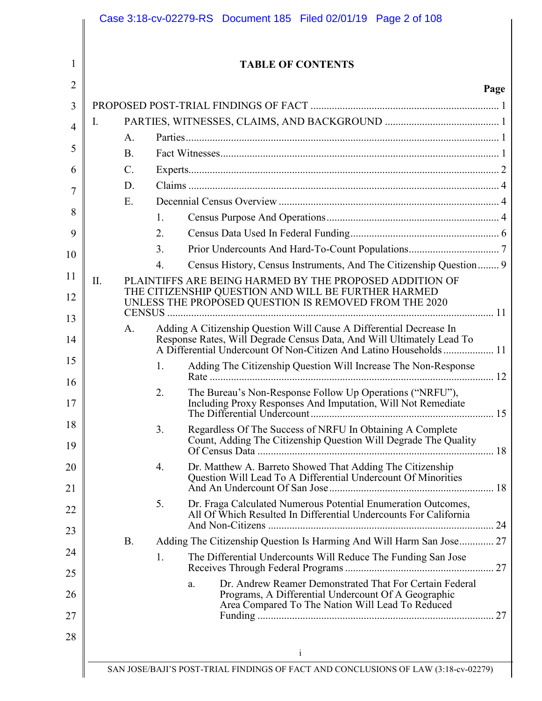|     |                 | <b>TABLE OF CONTENTS</b>                                                                                                                                                 |
|-----|-----------------|--------------------------------------------------------------------------------------------------------------------------------------------------------------------------|
|     |                 | Page                                                                                                                                                                     |
|     |                 |                                                                                                                                                                          |
| Ι.  |                 |                                                                                                                                                                          |
|     | A <sub>1</sub>  |                                                                                                                                                                          |
|     | <b>B.</b>       |                                                                                                                                                                          |
|     | $\mathcal{C}$ . |                                                                                                                                                                          |
|     | D.              |                                                                                                                                                                          |
|     | E.              |                                                                                                                                                                          |
|     |                 | $\mathbf{1}$                                                                                                                                                             |
|     |                 | 2.                                                                                                                                                                       |
|     |                 | 3 <sub>1</sub>                                                                                                                                                           |
|     |                 | Census History, Census Instruments, And The Citizenship Question 9<br>$4_{\cdot}$                                                                                        |
| II. |                 | PLAINTIFFS ARE BEING HARMED BY THE PROPOSED ADDITION OF                                                                                                                  |
|     | <b>CENSUS</b>   | THE CITIZENSHIP QUESTION AND WILL BE FURTHER HARMED<br>UNLESS THE PROPOSED QUESTION IS REMOVED FROM THE 2020                                                             |
|     | A.              | Adding A Citizenship Question Will Cause A Differential Decrease In                                                                                                      |
|     |                 | Response Rates, Will Degrade Census Data, And Will Ultimately Lead To                                                                                                    |
|     |                 | Adding The Citizenship Question Will Increase The Non-Response<br>1.                                                                                                     |
|     |                 | The Bureau's Non-Response Follow Up Operations ("NRFU"),<br>2.<br>Including Proxy Responses And Imputation, Will Not Remediate                                           |
|     |                 | Regardless Of The Success of NRFU In Obtaining A Complete<br>3.<br>Count, Adding The Citizenship Question Will Degrade The Quality                                       |
|     |                 | Dr. Matthew A. Barreto Showed That Adding The Citizenship<br>4.<br>Question Will Lead To A Differential Undercount Of Minorities                                         |
|     |                 | Dr. Fraga Calculated Numerous Potential Enumeration Outcomes,<br>5.<br>All Of Which Resulted In Differential Undercounts For California                                  |
|     | <b>B.</b>       | Adding The Citizenship Question Is Harming And Will Harm San Jose 27                                                                                                     |
|     |                 | The Differential Undercounts Will Reduce The Funding San Jose<br>1.                                                                                                      |
|     |                 | Dr. Andrew Reamer Demonstrated That For Certain Federal<br>a.<br>Programs, A Differential Undercount Of A Geographic<br>Area Compared To The Nation Will Lead To Reduced |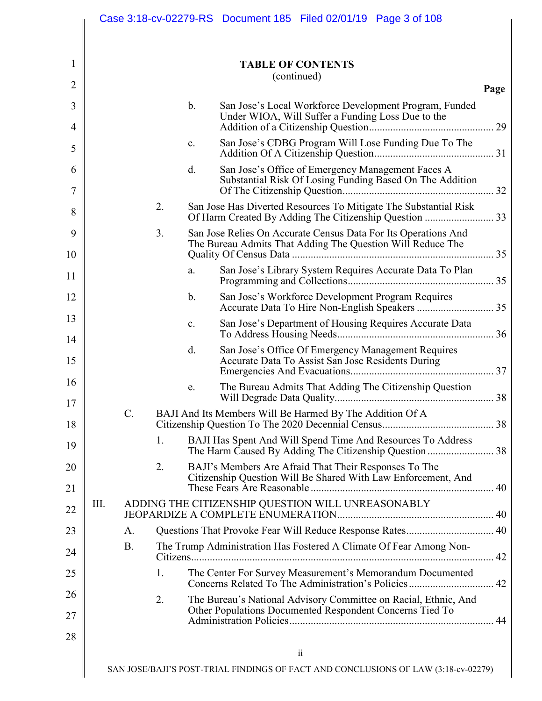|      |           |    |               | <b>TABLE OF CONTENTS</b><br>(continued)                                                                                      |
|------|-----------|----|---------------|------------------------------------------------------------------------------------------------------------------------------|
|      |           |    |               |                                                                                                                              |
|      |           |    | $\mathbf b$ . | San Jose's Local Workforce Development Program, Funded<br>Under WIOA, Will Suffer a Funding Loss Due to the                  |
|      |           |    | c.            | San Jose's CDBG Program Will Lose Funding Due To The                                                                         |
|      |           |    | d.            | San Jose's Office of Emergency Management Faces A<br>Substantial Risk Of Losing Funding Based On The Addition                |
|      |           | 2. |               | San Jose Has Diverted Resources To Mitigate The Substantial Risk                                                             |
|      |           | 3. |               | San Jose Relies On Accurate Census Data For Its Operations And<br>The Bureau Admits That Adding The Question Will Reduce The |
|      |           |    | a.            | San Jose's Library System Requires Accurate Data To Plan                                                                     |
|      |           |    | b.            | San Jose's Workforce Development Program Requires                                                                            |
|      |           |    | c.            | San Jose's Department of Housing Requires Accurate Data                                                                      |
|      |           |    | d.            | San Jose's Office Of Emergency Management Requires<br>Accurate Data To Assist San Jose Residents During                      |
|      |           |    | e.            | The Bureau Admits That Adding The Citizenship Question                                                                       |
|      | $C$ .     |    |               | BAJI And Its Members Will Be Harmed By The Addition Of A                                                                     |
|      |           | 1. |               | BAJI Has Spent And Will Spend Time And Resources To Address                                                                  |
|      |           | 2. |               | BAJI's Members Are Afraid That Their Responses To The<br>Citizenship Question Will Be Shared With Law Enforcement, And       |
| III. |           |    |               |                                                                                                                              |
|      | A.        |    |               |                                                                                                                              |
|      | <b>B.</b> |    |               | The Trump Administration Has Fostered A Climate Of Fear Among Non-                                                           |
|      |           | 1. |               | The Center For Survey Measurement's Memorandum Documented                                                                    |
|      |           | 2. |               | The Bureau's National Advisory Committee on Racial, Ethnic, And<br>Other Populations Documented Respondent Concerns Tied To  |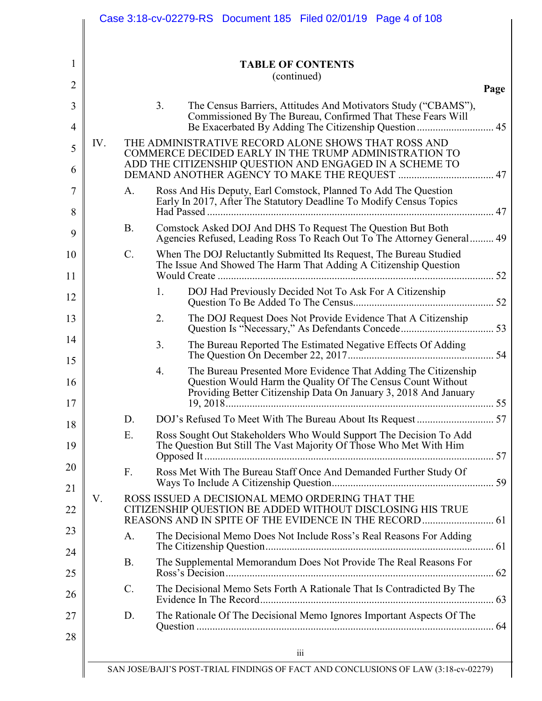|     |                 | <b>TABLE OF CONTENTS</b>                                                                                                                                                                                            |
|-----|-----------------|---------------------------------------------------------------------------------------------------------------------------------------------------------------------------------------------------------------------|
|     |                 | (continued)                                                                                                                                                                                                         |
|     |                 | 3 <sub>1</sub><br>The Census Barriers, Attitudes And Motivators Study ("CBAMS"),<br>Commissioned By The Bureau, Confirmed That These Fears Will<br>Be Exacerbated By Adding The Citizenship Question                |
| IV. |                 | THE ADMINISTRATIVE RECORD ALONE SHOWS THAT ROSS AND<br>COMMERCE DECIDED EARLY IN THE TRUMP ADMINISTRATION TO<br>ADD THE CITIZENSHIP QUESTION AND ENGAGED IN A SCHEME TO                                             |
|     | A.              | Ross And His Deputy, Earl Comstock, Planned To Add The Question<br>Early In 2017, After The Statutory Deadline To Modify Census Topics                                                                              |
|     | <b>B.</b>       | Comstock Asked DOJ And DHS To Request The Question But Both<br>Agencies Refused, Leading Ross To Reach Out To The Attorney General 49                                                                               |
|     | $C$ .           | When The DOJ Reluctantly Submitted Its Request, The Bureau Studied<br>The Issue And Showed The Harm That Adding A Citizenship Question                                                                              |
|     |                 | DOJ Had Previously Decided Not To Ask For A Citizenship<br>1.                                                                                                                                                       |
|     |                 | The DOJ Request Does Not Provide Evidence That A Citizenship<br>2.                                                                                                                                                  |
|     |                 | The Bureau Reported The Estimated Negative Effects Of Adding<br>3.                                                                                                                                                  |
|     |                 | The Bureau Presented More Evidence That Adding The Citizenship<br>4.<br>Question Would Harm the Quality Of The Census Count Without<br>Providing Better Citizenship Data On January 3, 2018 And January<br>19.2018. |
|     | D.              |                                                                                                                                                                                                                     |
|     | Ε.              | Ross Sought Out Stakeholders Who Would Support The Decision To Add<br>The Question But Still The Vast Majority Of Those Who Met With Him                                                                            |
|     | $F_{\cdot}$     | Ross Met With The Bureau Staff Once And Demanded Further Study Of                                                                                                                                                   |
| V.  |                 | ROSS ISSUED A DECISIONAL MEMO ORDERING THAT THE                                                                                                                                                                     |
|     | A.              | The Decisional Memo Does Not Include Ross's Real Reasons For Adding                                                                                                                                                 |
|     | <b>B.</b>       | The Supplemental Memorandum Does Not Provide The Real Reasons For                                                                                                                                                   |
|     | $\mathcal{C}$ . | The Decisional Memo Sets Forth A Rationale That Is Contradicted By The                                                                                                                                              |
|     | D.              | The Rationale Of The Decisional Memo Ignores Important Aspects Of The                                                                                                                                               |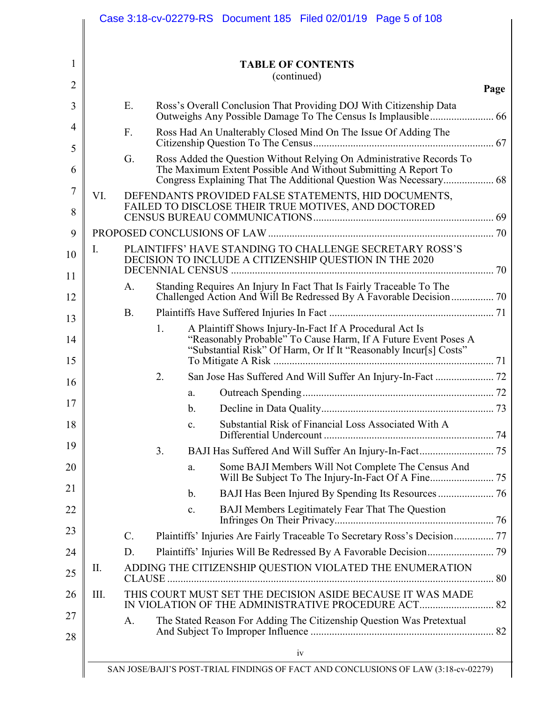|      |                 |    |                | <b>TABLE OF CONTENTS</b>                                                                                                                                                                      |
|------|-----------------|----|----------------|-----------------------------------------------------------------------------------------------------------------------------------------------------------------------------------------------|
|      |                 |    |                | (continued)                                                                                                                                                                                   |
|      | Ε.              |    |                | Ross's Overall Conclusion That Providing DOJ With Citizenship Data                                                                                                                            |
|      | $F_{\cdot}$     |    |                | Ross Had An Unalterably Closed Mind On The Issue Of Adding The                                                                                                                                |
|      | G.              |    |                | Ross Added the Question Without Relying On Administrative Records To<br>The Maximum Extent Possible And Without Submitting A Report To                                                        |
| VI.  |                 |    |                | DEFENDANTS PROVIDED FALSE STATEMENTS, HID DOCUMENTS,<br>FAILED TO DISCLOSE THEIR TRUE MOTIVES, AND DOCTORED                                                                                   |
|      |                 |    |                |                                                                                                                                                                                               |
| Ι.   |                 |    |                | PLAINTIFFS' HAVE STANDING TO CHALLENGE SECRETARY ROSS'S<br>DECISION TO INCLUDE A CITIZENSHIP QUESTION IN THE 2020                                                                             |
|      | A.              |    |                | Standing Requires An Injury In Fact That Is Fairly Traceable To The                                                                                                                           |
|      | <b>B.</b>       |    |                |                                                                                                                                                                                               |
|      |                 | 1. |                | A Plaintiff Shows Injury-In-Fact If A Procedural Act Is<br>"Reasonably Probable" To Cause Harm, If A Future Event Poses A<br>"Substantial Risk" Of Harm, Or If It "Reasonably Incur[s] Costs" |
|      |                 | 2. |                |                                                                                                                                                                                               |
|      |                 |    | a.             |                                                                                                                                                                                               |
|      |                 |    |                |                                                                                                                                                                                               |
|      |                 |    | C <sub>1</sub> | Substantial Risk of Financial Loss Associated With A                                                                                                                                          |
|      |                 | 3. |                |                                                                                                                                                                                               |
|      |                 |    | a.             | Some BAJI Members Will Not Complete The Census And                                                                                                                                            |
|      |                 |    | $\mathbf b$ .  |                                                                                                                                                                                               |
|      |                 |    | C <sub>1</sub> | BAJI Members Legitimately Fear That The Question                                                                                                                                              |
|      | $\mathcal{C}$ . |    |                | Plaintiffs' Injuries Are Fairly Traceable To Secretary Ross's Decision 77                                                                                                                     |
|      | D.              |    |                |                                                                                                                                                                                               |
| П.   |                 |    |                | ADDING THE CITIZENSHIP QUESTION VIOLATED THE ENUMERATION                                                                                                                                      |
| III. |                 |    |                | THIS COURT MUST SET THE DECISION ASIDE BECAUSE IT WAS MADE                                                                                                                                    |
|      | A.              |    |                | The Stated Reason For Adding The Citizenship Question Was Pretextual                                                                                                                          |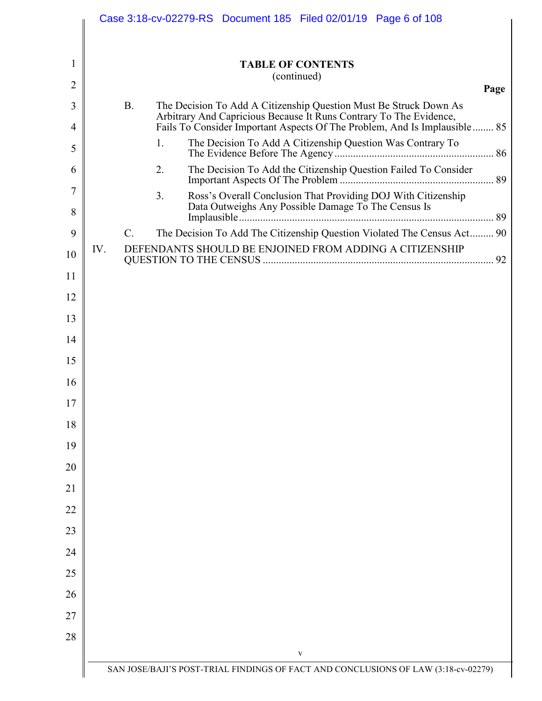|                | Case 3:18-cv-02279-RS Document 185 Filed 02/01/19 Page 6 of 108                                                                                 |
|----------------|-------------------------------------------------------------------------------------------------------------------------------------------------|
|                |                                                                                                                                                 |
| 1              | <b>TABLE OF CONTENTS</b>                                                                                                                        |
| $\overline{2}$ | (continued)<br>Page                                                                                                                             |
| 3              | B.<br>The Decision To Add A Citizenship Question Must Be Struck Down As                                                                         |
| 4              | Arbitrary And Capricious Because It Runs Contrary To The Evidence,<br>Fails To Consider Important Aspects Of The Problem, And Is Implausible 85 |
| 5              | The Decision To Add A Citizenship Question Was Contrary To<br>1.                                                                                |
| 6              | The Decision To Add the Citizenship Question Failed To Consider<br>2.                                                                           |
| 7              | 3 <sub>1</sub><br>Ross's Overall Conclusion That Providing DOJ With Citizenship                                                                 |
| 8              | Data Outweighs Any Possible Damage To The Census Is                                                                                             |
| 9              | The Decision To Add The Citizenship Question Violated The Census Act 90<br>$C_{\cdot}$                                                          |
| 10             | DEFENDANTS SHOULD BE ENJOINED FROM ADDING A CITIZENSHIP<br>IV.                                                                                  |
| 11             |                                                                                                                                                 |
| 12             |                                                                                                                                                 |
| 13             |                                                                                                                                                 |
| 14             |                                                                                                                                                 |
| 15             |                                                                                                                                                 |
| 16             |                                                                                                                                                 |
| 17             |                                                                                                                                                 |
| 18             |                                                                                                                                                 |
| 19             |                                                                                                                                                 |
| 20             |                                                                                                                                                 |
| 21             |                                                                                                                                                 |
| 22             |                                                                                                                                                 |
| 23             |                                                                                                                                                 |
| 24             |                                                                                                                                                 |
| 25             |                                                                                                                                                 |
| 26             |                                                                                                                                                 |
| 27             |                                                                                                                                                 |
| 28             |                                                                                                                                                 |
|                | V                                                                                                                                               |
|                | SAN JOSE/BAJI'S POST-TRIAL FINDINGS OF FACT AND CONCLUSIONS OF LAW (3:18-cv-02279)                                                              |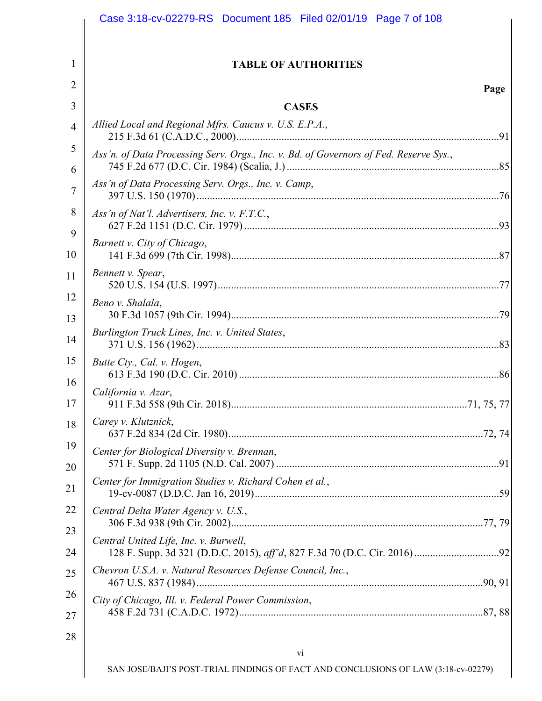| <b>TABLE OF AUTHORITIES</b>                                                           |      |
|---------------------------------------------------------------------------------------|------|
|                                                                                       | Page |
| <b>CASES</b>                                                                          |      |
| Allied Local and Regional Mfrs. Caucus v. U.S. E.P.A.,                                |      |
| Ass'n. of Data Processing Serv. Orgs., Inc. v. Bd. of Governors of Fed. Reserve Sys., |      |
| Ass'n of Data Processing Serv. Orgs., Inc. v. Camp,                                   |      |
| Ass'n of Nat'l. Advertisers, Inc. v. $F.T.C.,$                                        |      |
| Barnett v. City of Chicago,                                                           |      |
| Bennett v. Spear,                                                                     |      |
| Beno v. Shalala,                                                                      |      |
| Burlington Truck Lines, Inc. v. United States,                                        |      |
| Butte Cty., Cal. v. Hogen,                                                            |      |
| California v. Azar,                                                                   |      |
| Carey v. Klutznick,                                                                   |      |
| Center for Biological Diversity v. Brennan,                                           |      |
| Center for Immigration Studies v. Richard Cohen et al.,                               |      |
| Central Delta Water Agency v. U.S.,                                                   |      |
| Central United Life, Inc. v. Burwell,                                                 |      |
| Chevron U.S.A. v. Natural Resources Defense Council, Inc.,                            |      |
| City of Chicago, Ill. v. Federal Power Commission,                                    |      |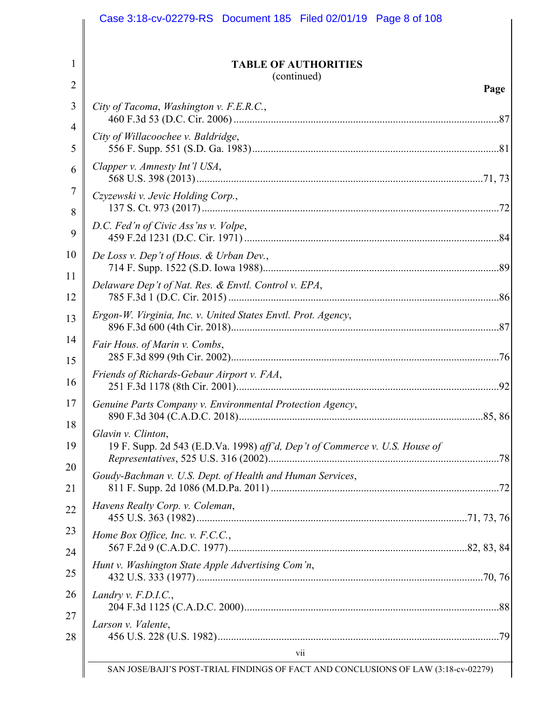|                                                                      | Case 3:18-cv-02279-RS Document 185 Filed 02/01/19 Page 8 of 108                                                                                                                                                                                                                                                                                                                                                                        |      |
|----------------------------------------------------------------------|----------------------------------------------------------------------------------------------------------------------------------------------------------------------------------------------------------------------------------------------------------------------------------------------------------------------------------------------------------------------------------------------------------------------------------------|------|
| 1<br>$\overline{2}$                                                  | <b>TABLE OF AUTHORITIES</b><br>(continued)                                                                                                                                                                                                                                                                                                                                                                                             |      |
| 3<br>$\overline{4}$<br>5<br>6<br>7<br>8<br>9<br>10<br>11<br>12<br>13 | City of Tacoma, Washington v. F.E.R.C.,<br>City of Willacoochee v. Baldridge,<br>Clapper v. Amnesty Int'l USA,<br>Czyzewski v. Jevic Holding Corp.,<br>D.C. Fed'n of Civic Ass'ns v. Volpe,<br>De Loss v. Dep't of Hous. & Urban Dev.,<br>Delaware Dep't of Nat. Res. & Envtl. Control v. EPA,<br>Ergon-W. Virginia, Inc. v. United States Envtl. Prot. Agency,                                                                        | Page |
| 14<br>15<br>16<br>17<br>18<br>19<br>20<br>21<br>22<br>23<br>24<br>25 | Fair Hous. of Marin v. Combs,<br>Friends of Richards-Gebaur Airport v. FAA,<br>Genuine Parts Company v. Environmental Protection Agency,<br>Glavin v. Clinton,<br>19 F. Supp. 2d 543 (E.D.Va. 1998) aff'd, Dep't of Commerce v. U.S. House of<br>Goudy-Bachman v. U.S. Dept. of Health and Human Services,<br>Havens Realty Corp. v. Coleman,<br>Home Box Office, Inc. v. F.C.C.,<br>Hunt v. Washington State Apple Advertising Com'n, |      |
| 26<br>27<br>28                                                       | Landry v. $F.D.I.C.,$<br>Larson v. Valente,<br>vii<br>SAN JOSE/BAJI'S POST-TRIAL FINDINGS OF FACT AND CONCLUSIONS OF LAW (3:18-cv-02279)                                                                                                                                                                                                                                                                                               |      |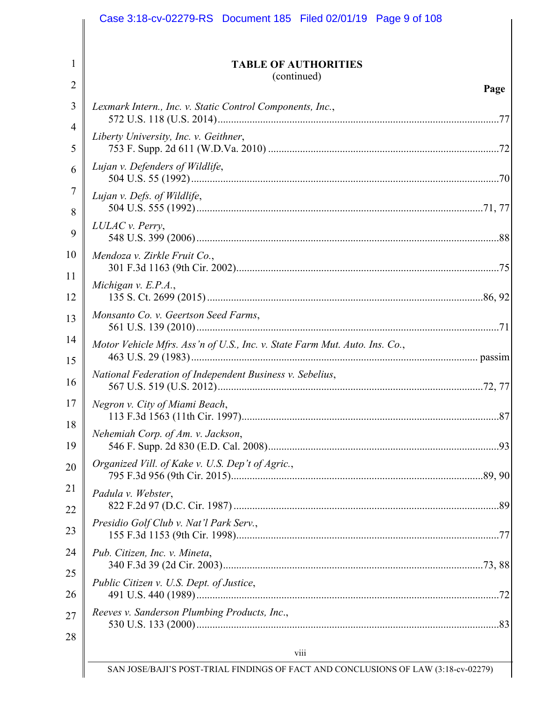| <b>TABLE OF AUTHORITIES</b>                                                |
|----------------------------------------------------------------------------|
| (continued)                                                                |
| Page                                                                       |
| Lexmark Intern., Inc. v. Static Control Components, Inc.,                  |
| Liberty University, Inc. v. Geithner,                                      |
| Lujan v. Defenders of Wildlife,                                            |
| Lujan v. Defs. of Wildlife,                                                |
| LULAC v. Perry,                                                            |
| Mendoza v. Zirkle Fruit Co.,                                               |
| Michigan v. $E.P.A.,$                                                      |
| Monsanto Co. v. Geertson Seed Farms,                                       |
| Motor Vehicle Mfrs. Ass'n of U.S., Inc. v. State Farm Mut. Auto. Ins. Co., |
| National Federation of Independent Business v. Sebelius,                   |
| Negron v. City of Miami Beach,                                             |
| Nehemiah Corp. of Am. v. Jackson,                                          |
| Organized Vill. of Kake v. U.S. Dep't of Agric.,                           |
| Padula v. Webster,                                                         |
| Presidio Golf Club v. Nat'l Park Serv.,                                    |
| Pub. Citizen, Inc. v. Mineta,                                              |
| Public Citizen v. U.S. Dept. of Justice,                                   |
| Reeves v. Sanderson Plumbing Products, Inc.,                               |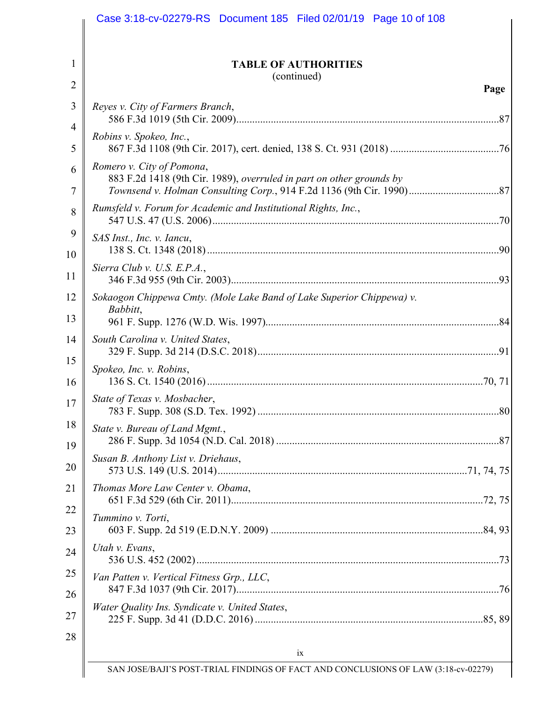| <b>TABLE OF AUTHORITIES</b>                                                                       |
|---------------------------------------------------------------------------------------------------|
| (continued)<br>Page                                                                               |
| Reyes v. City of Farmers Branch,                                                                  |
| Robins v. Spokeo, Inc.,                                                                           |
| Romero v. City of Pomona,<br>883 F.2d 1418 (9th Cir. 1989), overruled in part on other grounds by |
| Rumsfeld v. Forum for Academic and Institutional Rights, Inc.,                                    |
| SAS Inst., Inc. v. Iancu,                                                                         |
| Sierra Club v. U.S. E.P.A.,                                                                       |
| Sokaogon Chippewa Cmty. (Mole Lake Band of Lake Superior Chippewa) v.<br>Babbitt,                 |
| South Carolina v. United States,                                                                  |
| Spokeo, Inc. v. Robins,                                                                           |
| State of Texas v. Mosbacher,                                                                      |
| State v. Bureau of Land Mgmt.,                                                                    |
| Susan B. Anthony List v. Driehaus,                                                                |
| Thomas More Law Center v. Obama,                                                                  |
| Tummino v. Torti,                                                                                 |
| Utah v. Evans,                                                                                    |
| Van Patten v. Vertical Fitness Grp., LLC,                                                         |
| Water Quality Ins. Syndicate v. United States,                                                    |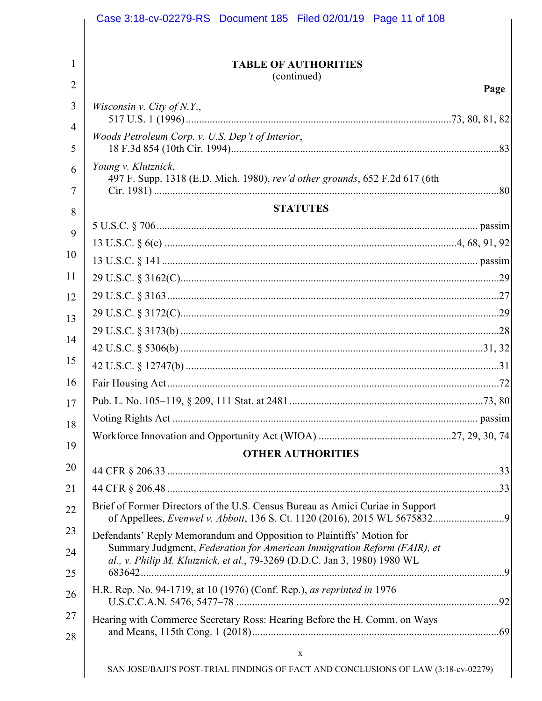|                                                                                                                                                                                                                               | <b>TABLE OF AUTHORITIES</b><br>(continued) |  |  |  |
|-------------------------------------------------------------------------------------------------------------------------------------------------------------------------------------------------------------------------------|--------------------------------------------|--|--|--|
|                                                                                                                                                                                                                               | Page                                       |  |  |  |
| <i>Wisconsin v. City of N.Y.</i> ,                                                                                                                                                                                            |                                            |  |  |  |
| Woods Petroleum Corp. v. U.S. Dep't of Interior,                                                                                                                                                                              |                                            |  |  |  |
| Young v. Klutznick,<br>497 F. Supp. 1318 (E.D. Mich. 1980), rev'd other grounds, 652 F.2d 617 (6th                                                                                                                            |                                            |  |  |  |
|                                                                                                                                                                                                                               | <b>STATUTES</b>                            |  |  |  |
|                                                                                                                                                                                                                               |                                            |  |  |  |
|                                                                                                                                                                                                                               |                                            |  |  |  |
|                                                                                                                                                                                                                               |                                            |  |  |  |
|                                                                                                                                                                                                                               |                                            |  |  |  |
|                                                                                                                                                                                                                               |                                            |  |  |  |
|                                                                                                                                                                                                                               |                                            |  |  |  |
|                                                                                                                                                                                                                               |                                            |  |  |  |
|                                                                                                                                                                                                                               |                                            |  |  |  |
|                                                                                                                                                                                                                               |                                            |  |  |  |
|                                                                                                                                                                                                                               |                                            |  |  |  |
|                                                                                                                                                                                                                               |                                            |  |  |  |
|                                                                                                                                                                                                                               |                                            |  |  |  |
|                                                                                                                                                                                                                               |                                            |  |  |  |
| <b>OTHER AUTHORITIES</b>                                                                                                                                                                                                      |                                            |  |  |  |
|                                                                                                                                                                                                                               |                                            |  |  |  |
|                                                                                                                                                                                                                               |                                            |  |  |  |
| Brief of Former Directors of the U.S. Census Bureau as Amici Curiae in Support                                                                                                                                                |                                            |  |  |  |
| Defendants' Reply Memorandum and Opposition to Plaintiffs' Motion for<br>Summary Judgment, Federation for American Immigration Reform (FAIR), et<br>al., v. Philip M. Klutznick, et al., 79-3269 (D.D.C. Jan 3, 1980) 1980 WL |                                            |  |  |  |
| H.R. Rep. No. 94-1719, at 10 (1976) (Conf. Rep.), as reprinted in 1976                                                                                                                                                        |                                            |  |  |  |
| Hearing with Commerce Secretary Ross: Hearing Before the H. Comm. on Ways                                                                                                                                                     |                                            |  |  |  |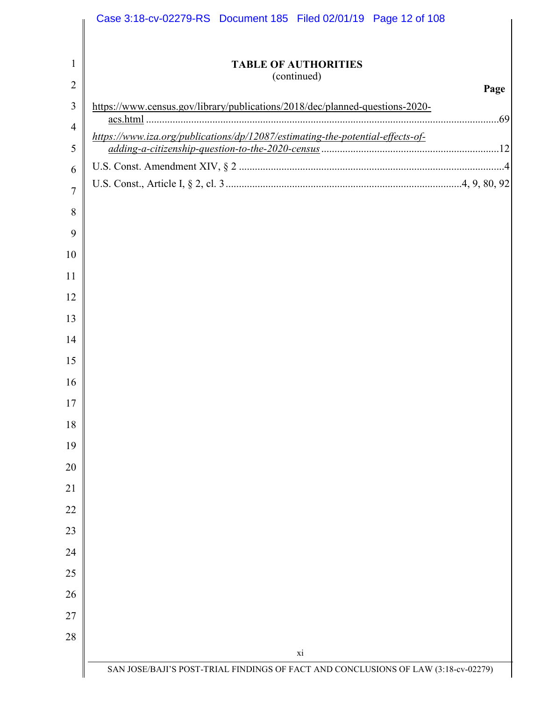| <b>TABLE OF AUTHORITIES</b>                                                                |      |
|--------------------------------------------------------------------------------------------|------|
| (continued)                                                                                | Page |
| https://www.census.gov/library/publications/2018/dec/planned-questions-2020-               |      |
| acs.html<br>https://www.iza.org/publications/dp/12087/estimating-the-potential-effects-of- |      |
|                                                                                            |      |
|                                                                                            |      |
|                                                                                            |      |
|                                                                                            |      |
|                                                                                            |      |
|                                                                                            |      |
|                                                                                            |      |
|                                                                                            |      |
|                                                                                            |      |
|                                                                                            |      |
|                                                                                            |      |
|                                                                                            |      |
|                                                                                            |      |
|                                                                                            |      |
|                                                                                            |      |
|                                                                                            |      |
|                                                                                            |      |
|                                                                                            |      |
|                                                                                            |      |
|                                                                                            |      |
|                                                                                            |      |
|                                                                                            |      |
|                                                                                            |      |
|                                                                                            |      |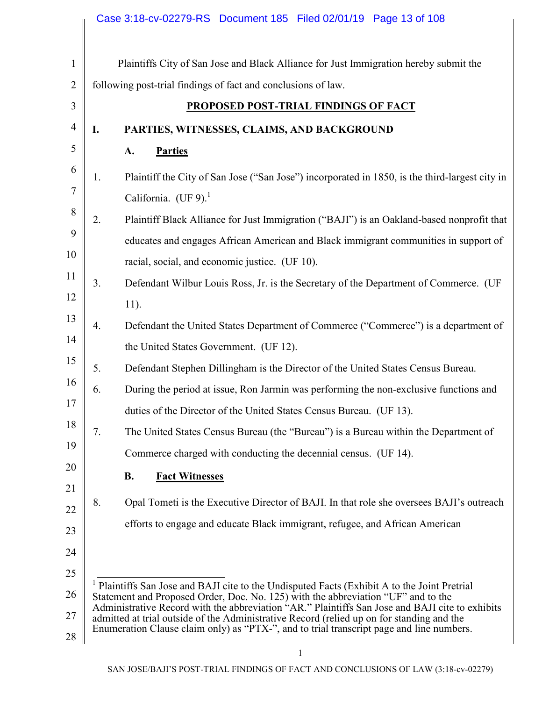|                |    | Case 3:18-cv-02279-RS  Document 185  Filed 02/01/19  Page 13 of 108                                                                                                                   |
|----------------|----|---------------------------------------------------------------------------------------------------------------------------------------------------------------------------------------|
| $\mathbf{1}$   |    | Plaintiffs City of San Jose and Black Alliance for Just Immigration hereby submit the                                                                                                 |
| $\overline{2}$ |    | following post-trial findings of fact and conclusions of law.                                                                                                                         |
| 3              |    | <b>PROPOSED POST-TRIAL FINDINGS OF FACT</b>                                                                                                                                           |
| $\overline{4}$ | I. | PARTIES, WITNESSES, CLAIMS, AND BACKGROUND                                                                                                                                            |
| 5              |    | A.<br><b>Parties</b>                                                                                                                                                                  |
| 6<br>7         | 1. | Plaintiff the City of San Jose ("San Jose") incorporated in 1850, is the third-largest city in<br>California. (UF 9). $1$                                                             |
| 8              | 2. | Plaintiff Black Alliance for Just Immigration ("BAJI") is an Oakland-based nonprofit that                                                                                             |
| 9              |    | educates and engages African American and Black immigrant communities in support of                                                                                                   |
| 10             |    | racial, social, and economic justice. (UF 10).                                                                                                                                        |
| 11             | 3. | Defendant Wilbur Louis Ross, Jr. is the Secretary of the Department of Commerce. (UF                                                                                                  |
| 12             |    | $11$ ).                                                                                                                                                                               |
| 13             | 4. | Defendant the United States Department of Commerce ("Commerce") is a department of                                                                                                    |
| 14             |    | the United States Government. (UF 12).                                                                                                                                                |
| 15             | 5. | Defendant Stephen Dillingham is the Director of the United States Census Bureau.                                                                                                      |
| 16             | 6. | During the period at issue, Ron Jarmin was performing the non-exclusive functions and                                                                                                 |
| 17             |    | duties of the Director of the United States Census Bureau. (UF 13).                                                                                                                   |
| 18             | 7. | The United States Census Bureau (the "Bureau") is a Bureau within the Department of                                                                                                   |
| 19             |    | Commerce charged with conducting the decennial census. (UF 14).                                                                                                                       |
| 20             |    | <b>B.</b><br><b>Fact Witnesses</b>                                                                                                                                                    |
| 21             | 8. | Opal Tometi is the Executive Director of BAJI. In that role she oversees BAJI's outreach                                                                                              |
| 22             |    | efforts to engage and educate Black immigrant, refugee, and African American                                                                                                          |
| 23             |    |                                                                                                                                                                                       |
| 24             |    |                                                                                                                                                                                       |
| 25             |    | Plaintiffs San Jose and BAJI cite to the Undisputed Facts (Exhibit A to the Joint Pretrial                                                                                            |
| 26             |    | Statement and Proposed Order, Doc. No. 125) with the abbreviation "UF" and to the<br>Administrative Record with the abbreviation "AR." Plaintiffs San Jose and BAJI cite to exhibits  |
| 27             |    | admitted at trial outside of the Administrative Record (relied up on for standing and the<br>Enumeration Clause claim only) as "PTX-", and to trial transcript page and line numbers. |
| 28             |    |                                                                                                                                                                                       |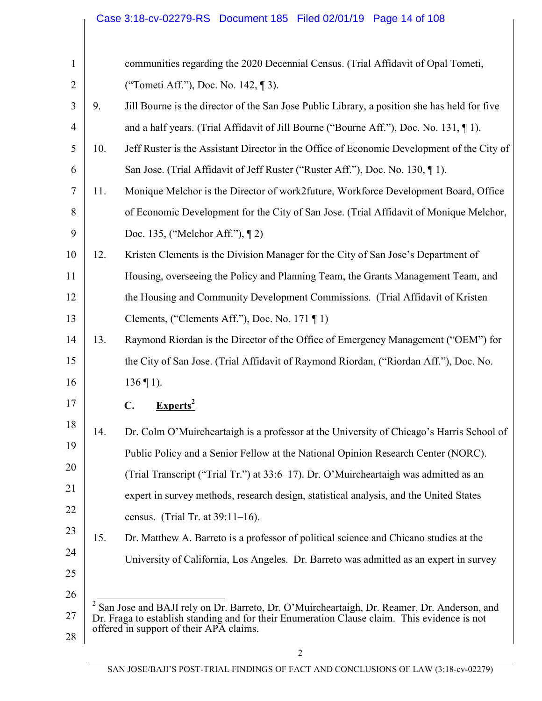| $\mathbf{1}$   |     | communities regarding the 2020 Decennial Census. (Trial Affidavit of Opal Tometi,                                                       |
|----------------|-----|-----------------------------------------------------------------------------------------------------------------------------------------|
| $\overline{2}$ |     | ("Tometi Aff."), Doc. No. 142, [] 3).                                                                                                   |
| 3              | 9.  | Jill Bourne is the director of the San Jose Public Library, a position she has held for five                                            |
| $\overline{4}$ |     | and a half years. (Trial Affidavit of Jill Bourne ("Bourne Aff."), Doc. No. 131, [1].                                                   |
| 5              | 10. | Jeff Ruster is the Assistant Director in the Office of Economic Development of the City of                                              |
| 6              |     | San Jose. (Trial Affidavit of Jeff Ruster ("Ruster Aff."), Doc. No. 130, [1]).                                                          |
| 7              | 11. | Monique Melchor is the Director of work2future, Workforce Development Board, Office                                                     |
| 8              |     | of Economic Development for the City of San Jose. (Trial Affidavit of Monique Melchor,                                                  |
| 9              |     | Doc. 135, ("Melchor Aff."), [2]                                                                                                         |
| 10             | 12. | Kristen Clements is the Division Manager for the City of San Jose's Department of                                                       |
| 11             |     | Housing, overseeing the Policy and Planning Team, the Grants Management Team, and                                                       |
| 12             |     | the Housing and Community Development Commissions. (Trial Affidavit of Kristen                                                          |
| 13             |     | Clements, ("Clements Aff."), Doc. No. 171 $\P$ 1)                                                                                       |
| 14             | 13. | Raymond Riordan is the Director of the Office of Emergency Management ("OEM") for                                                       |
| 15             |     | the City of San Jose. (Trial Affidavit of Raymond Riordan, ("Riordan Aff."), Doc. No.                                                   |
| 16             |     | $136 \text{ } \text{\degree} 1$ ).                                                                                                      |
| 17             |     | $Express2$<br>C.                                                                                                                        |
| 18             | 14. | Dr. Colm O'Muircheartaigh is a professor at the University of Chicago's Harris School of                                                |
| 19             |     | Public Policy and a Senior Fellow at the National Opinion Research Center (NORC).                                                       |
| 20             |     | (Trial Transcript ("Trial Tr.") at 33:6–17). Dr. O'Muircheartaigh was admitted as an                                                    |
| 21             |     | expert in survey methods, research design, statistical analysis, and the United States                                                  |
| 22             |     | census. (Trial Tr. at $39:11-16$ ).                                                                                                     |
| 23             | 15. | Dr. Matthew A. Barreto is a professor of political science and Chicano studies at the                                                   |
| 24             |     | University of California, Los Angeles. Dr. Barreto was admitted as an expert in survey                                                  |
| 25             |     |                                                                                                                                         |
| 26             |     | San Jose and BAJI rely on Dr. Barreto, Dr. O'Muircheartaigh, Dr. Reamer, Dr. Anderson, and                                              |
| 27             |     | Dr. Fraga to establish standing and for their Enumeration Clause claim. This evidence is not<br>offered in support of their APA claims. |
| 28             |     |                                                                                                                                         |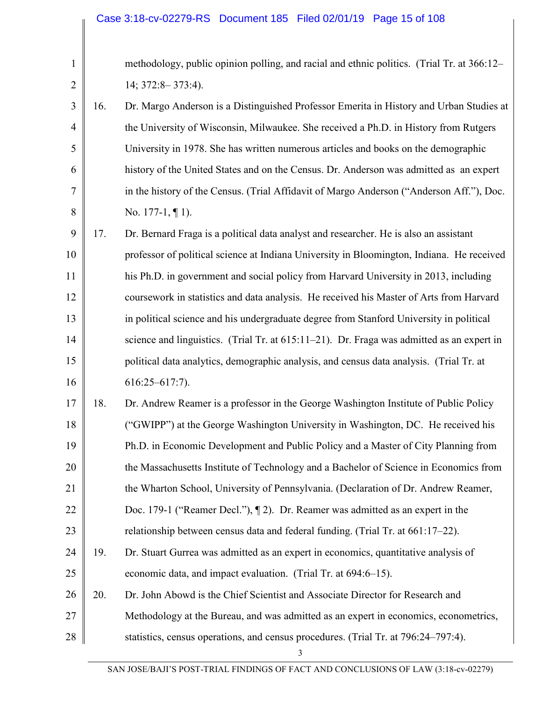| $\mathbf{1}$   |     | methodology, public opinion polling, and racial and ethnic politics. (Trial Tr. at 366:12– |
|----------------|-----|--------------------------------------------------------------------------------------------|
| $\overline{2}$ |     | $14; 372:8 - 373:4$ ).                                                                     |
| 3              | 16. | Dr. Margo Anderson is a Distinguished Professor Emerita in History and Urban Studies at    |
| $\overline{4}$ |     | the University of Wisconsin, Milwaukee. She received a Ph.D. in History from Rutgers       |
| 5              |     | University in 1978. She has written numerous articles and books on the demographic         |
| 6              |     | history of the United States and on the Census. Dr. Anderson was admitted as an expert     |
| 7              |     | in the history of the Census. (Trial Affidavit of Margo Anderson ("Anderson Aff."), Doc.   |
| 8              |     | No. 177-1, $\P$ 1).                                                                        |
| 9              | 17. | Dr. Bernard Fraga is a political data analyst and researcher. He is also an assistant      |
| 10             |     | professor of political science at Indiana University in Bloomington, Indiana. He received  |
| 11             |     | his Ph.D. in government and social policy from Harvard University in 2013, including       |
| 12             |     | coursework in statistics and data analysis. He received his Master of Arts from Harvard    |
| 13             |     | in political science and his undergraduate degree from Stanford University in political    |
| 14             |     | science and linguistics. (Trial Tr. at 615:11-21). Dr. Fraga was admitted as an expert in  |
| 15             |     | political data analytics, demographic analysis, and census data analysis. (Trial Tr. at    |
| 16             |     | $616:25 - 617:7$ ).                                                                        |
| 17             | 18. | Dr. Andrew Reamer is a professor in the George Washington Institute of Public Policy       |
| 18             |     | ("GWIPP") at the George Washington University in Washington, DC. He received his           |
| 19             |     | Ph.D. in Economic Development and Public Policy and a Master of City Planning from         |
| 20             |     | the Massachusetts Institute of Technology and a Bachelor of Science in Economics from      |
| 21             |     | the Wharton School, University of Pennsylvania. (Declaration of Dr. Andrew Reamer,         |
| 22             |     | Doc. 179-1 ("Reamer Decl."), [2]. Dr. Reamer was admitted as an expert in the              |
| 23             |     | relationship between census data and federal funding. (Trial Tr. at 661:17–22).            |
| 24             | 19. | Dr. Stuart Gurrea was admitted as an expert in economics, quantitative analysis of         |
| 25             |     | economic data, and impact evaluation. (Trial Tr. at 694:6–15).                             |
| 26             | 20. | Dr. John Abowd is the Chief Scientist and Associate Director for Research and              |
| 27             |     | Methodology at the Bureau, and was admitted as an expert in economics, econometrics,       |
| 28             |     | statistics, census operations, and census procedures. (Trial Tr. at 796:24–797:4).         |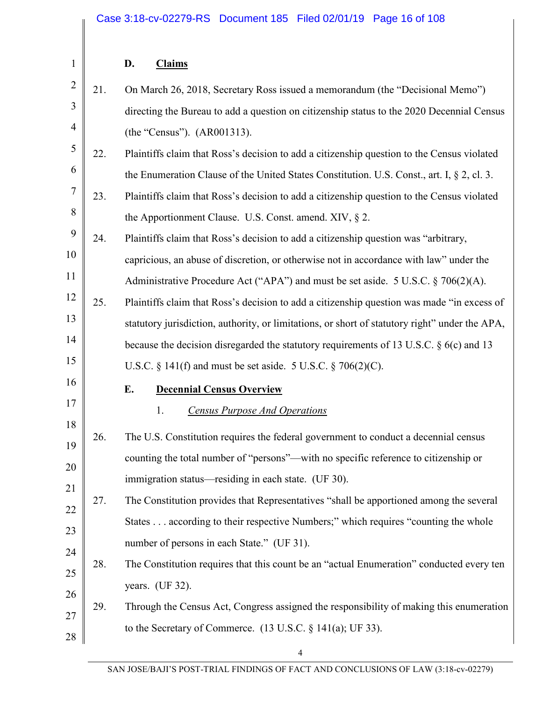#### **D. Claims**

|   | $2 \parallel 21.$ | On March 26, 2018, Secretary Ross issued a memorandum (the "Decisional Memo")             |
|---|-------------------|-------------------------------------------------------------------------------------------|
|   |                   | directing the Bureau to add a question on citizenship status to the 2020 Decennial Census |
| 4 |                   | (the "Census"). (AR001313).                                                               |

- 5 6 22. Plaintiffs claim that Ross's decision to add a citizenship question to the Census violated the Enumeration Clause of the United States Constitution. U.S. Const., art. I, § 2, cl. 3.
- 7 8 23. Plaintiffs claim that Ross's decision to add a citizenship question to the Census violated the Apportionment Clause. U.S. Const. amend. XIV, § 2.
- 9 10 11 24. Plaintiffs claim that Ross's decision to add a citizenship question was "arbitrary, capricious, an abuse of discretion, or otherwise not in accordance with law" under the
	- Administrative Procedure Act ("APA") and must be set aside. 5 U.S.C. § 706(2)(A).
- 12 13 14 15 25. Plaintiffs claim that Ross's decision to add a citizenship question was made "in excess of statutory jurisdiction, authority, or limitations, or short of statutory right" under the APA, because the decision disregarded the statutory requirements of 13 U.S.C. § 6(c) and 13
	- U.S.C. § 141(f) and must be set aside. 5 U.S.C. § 706(2)(C).
- 16

17

18

1

#### **E. Decennial Census Overview**

- 1. *Census Purpose And Operations*
- 19 20 21 26. The U.S. Constitution requires the federal government to conduct a decennial census counting the total number of "persons"—with no specific reference to citizenship or immigration status—residing in each state. (UF 30).
- 22 23 24 27. The Constitution provides that Representatives "shall be apportioned among the several States . . . according to their respective Numbers;" which requires "counting the whole number of persons in each State." (UF 31).
- 25 26 28. The Constitution requires that this count be an "actual Enumeration" conducted every ten years. (UF 32).
- 27 28 29. Through the Census Act, Congress assigned the responsibility of making this enumeration to the Secretary of Commerce. (13 U.S.C. § 141(a); UF 33).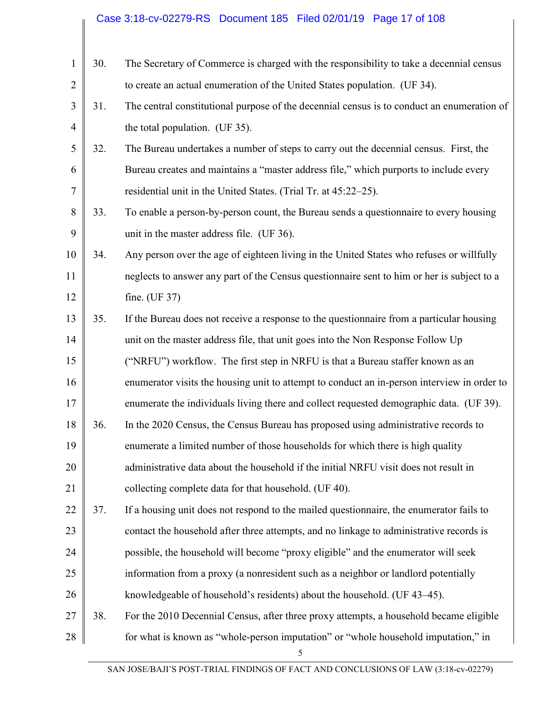#### 1 2 3 4 5 6 7 8 9 10 11 12 13 14 15 16 17 18 19 20 21 22 23 24 25 26 27 28 30. The Secretary of Commerce is charged with the responsibility to take a decennial census to create an actual enumeration of the United States population. (UF 34). 31. The central constitutional purpose of the decennial census is to conduct an enumeration of the total population. (UF 35). 32. The Bureau undertakes a number of steps to carry out the decennial census. First, the Bureau creates and maintains a "master address file," which purports to include every residential unit in the United States. (Trial Tr. at 45:22–25). 33. To enable a person-by-person count, the Bureau sends a questionnaire to every housing unit in the master address file. (UF 36). 34. Any person over the age of eighteen living in the United States who refuses or willfully neglects to answer any part of the Census questionnaire sent to him or her is subject to a fine. (UF 37) 35. If the Bureau does not receive a response to the questionnaire from a particular housing unit on the master address file, that unit goes into the Non Response Follow Up ("NRFU") workflow. The first step in NRFU is that a Bureau staffer known as an enumerator visits the housing unit to attempt to conduct an in-person interview in order to enumerate the individuals living there and collect requested demographic data. (UF 39). 36. In the 2020 Census, the Census Bureau has proposed using administrative records to enumerate a limited number of those households for which there is high quality administrative data about the household if the initial NRFU visit does not result in collecting complete data for that household. (UF 40). 37. If a housing unit does not respond to the mailed questionnaire, the enumerator fails to contact the household after three attempts, and no linkage to administrative records is possible, the household will become "proxy eligible" and the enumerator will seek information from a proxy (a nonresident such as a neighbor or landlord potentially knowledgeable of household's residents) about the household. (UF 43–45). 38. For the 2010 Decennial Census, after three proxy attempts, a household became eligible for what is known as "whole-person imputation" or "whole household imputation," in Case 3:18-cv-02279-RS Document 185 Filed 02/01/19 Page 17 of 108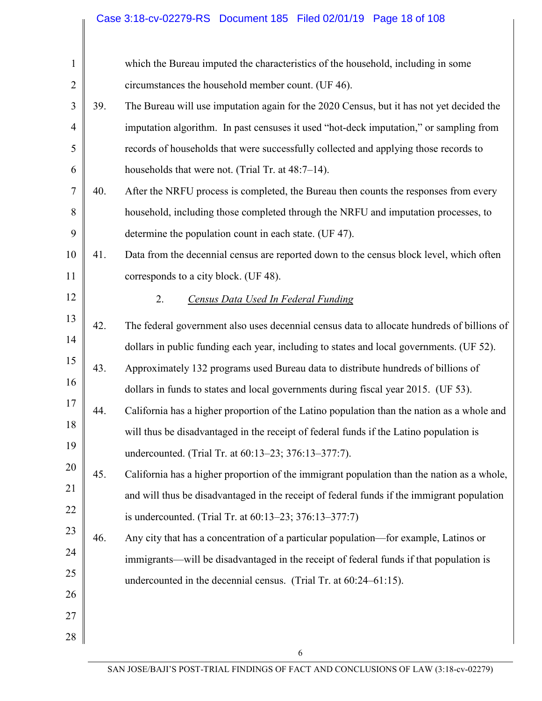# Case 3:18-cv-02279-RS Document 185 Filed 02/01/19 Page 18 of 108

| $\mathbf{1}$   |     | which the Bureau imputed the characteristics of the household, including in some           |
|----------------|-----|--------------------------------------------------------------------------------------------|
| $\overline{2}$ |     | circumstances the household member count. (UF 46).                                         |
| 3              | 39. | The Bureau will use imputation again for the 2020 Census, but it has not yet decided the   |
| $\overline{4}$ |     | imputation algorithm. In past censuses it used "hot-deck imputation," or sampling from     |
| 5              |     | records of households that were successfully collected and applying those records to       |
| 6              |     | households that were not. (Trial Tr. at 48:7–14).                                          |
| 7              | 40. | After the NRFU process is completed, the Bureau then counts the responses from every       |
| 8              |     | household, including those completed through the NRFU and imputation processes, to         |
| 9              |     | determine the population count in each state. (UF 47).                                     |
| 10             | 41. | Data from the decennial census are reported down to the census block level, which often    |
| 11             |     | corresponds to a city block. (UF 48).                                                      |
| 12             |     | 2.<br>Census Data Used In Federal Funding                                                  |
| 13             | 42. | The federal government also uses decennial census data to allocate hundreds of billions of |
| 14             |     | dollars in public funding each year, including to states and local governments. (UF 52).   |
| 15             | 43. | Approximately 132 programs used Bureau data to distribute hundreds of billions of          |
| 16             |     | dollars in funds to states and local governments during fiscal year 2015. (UF 53).         |
| 17             | 44. | California has a higher proportion of the Latino population than the nation as a whole and |
| 18             |     | will thus be disadvantaged in the receipt of federal funds if the Latino population is     |
| 19             |     | undercounted. (Trial Tr. at 60:13-23; 376:13-377:7).                                       |
| 20             | 45. | California has a higher proportion of the immigrant population than the nation as a whole, |
| 21             |     | and will thus be disadvantaged in the receipt of federal funds if the immigrant population |
| 22             |     | is undercounted. (Trial Tr. at 60:13–23; 376:13–377:7)                                     |
| 23             | 46. | Any city that has a concentration of a particular population—for example, Latinos or       |
| 24             |     | immigrants—will be disadvantaged in the receipt of federal funds if that population is     |
| 25             |     | undercounted in the decennial census. (Trial Tr. at 60:24–61:15).                          |
| 26             |     |                                                                                            |
| 27             |     |                                                                                            |
| 28             |     |                                                                                            |
|                |     | 6                                                                                          |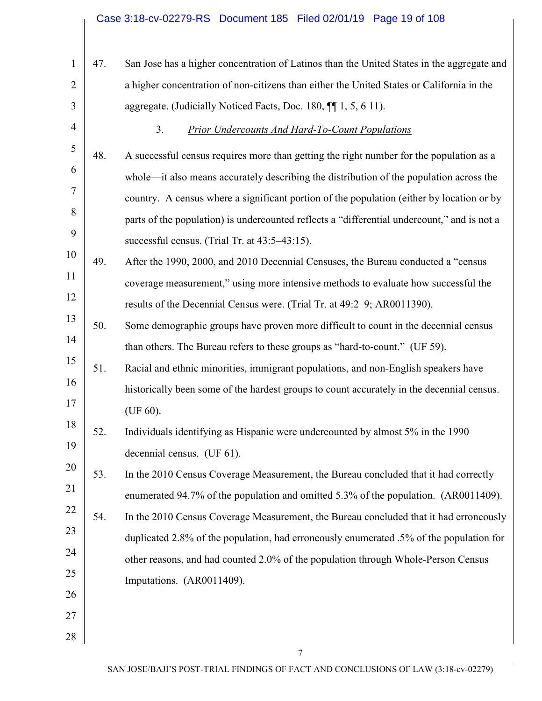| 1              | 47. | San Jose has a higher concentration of Latinos than the United States in the aggregate and  |
|----------------|-----|---------------------------------------------------------------------------------------------|
| $\overline{2}$ |     | a higher concentration of non-citizens than either the United States or California in the   |
| 3              |     | aggregate. (Judicially Noticed Facts, Doc. 180, ¶[1, 5, 6 11).                              |
| $\overline{4}$ |     | 3 <sub>1</sub><br><b>Prior Undercounts And Hard-To-Count Populations</b>                    |
| 5              | 48. | A successful census requires more than getting the right number for the population as a     |
| 6              |     | whole—it also means accurately describing the distribution of the population across the     |
| 7              |     | country. A census where a significant portion of the population (either by location or by   |
| 8              |     | parts of the population) is undercounted reflects a "differential undercount," and is not a |
| 9              |     | successful census. (Trial Tr. at 43:5–43:15).                                               |
| 10             | 49. | After the 1990, 2000, and 2010 Decennial Censuses, the Bureau conducted a "census           |
| 11             |     | coverage measurement," using more intensive methods to evaluate how successful the          |
| 12             |     | results of the Decennial Census were. (Trial Tr. at 49:2-9; AR0011390).                     |
| 13             | 50. | Some demographic groups have proven more difficult to count in the decennial census         |
| 14             |     | than others. The Bureau refers to these groups as "hard-to-count." (UF 59).                 |
| 15             | 51. | Racial and ethnic minorities, immigrant populations, and non-English speakers have          |
| 16             |     | historically been some of the hardest groups to count accurately in the decennial census.   |
| 17             |     | (UF 60).                                                                                    |
| 18             | 52. | Individuals identifying as Hispanic were undercounted by almost 5% in the 1990              |
| 19             |     | decennial census. (UF 61).                                                                  |
| 20             | 53. | In the 2010 Census Coverage Measurement, the Bureau concluded that it had correctly         |
| 21             |     | enumerated 94.7% of the population and omitted 5.3% of the population. (AR0011409).         |
| 22<br>23       | 54. | In the 2010 Census Coverage Measurement, the Bureau concluded that it had erroneously       |
| 24             |     | duplicated 2.8% of the population, had erroneously enumerated .5% of the population for     |
| 25             |     | other reasons, and had counted 2.0% of the population through Whole-Person Census           |
| 26             |     | Imputations. (AR0011409).                                                                   |
| 27             |     |                                                                                             |
| 28             |     |                                                                                             |
|                |     |                                                                                             |

7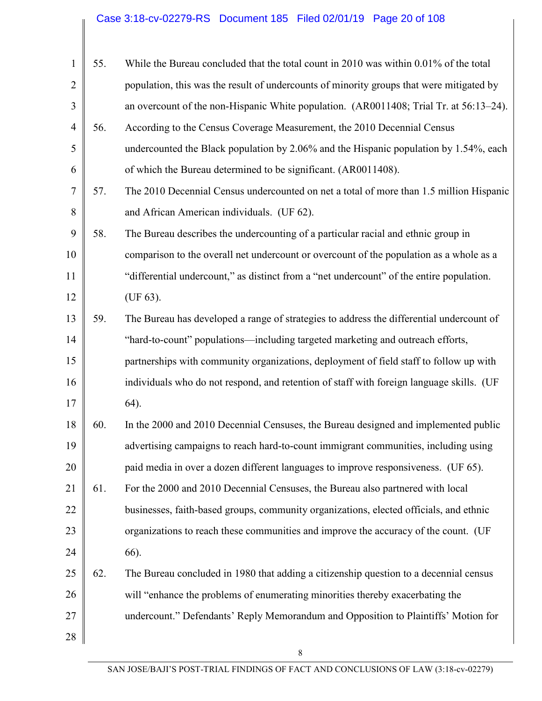# Case 3:18-cv-02279-RS Document 185 Filed 02/01/19 Page 20 of 108

| 1              | 55. | While the Bureau concluded that the total count in 2010 was within 0.01% of the total    |
|----------------|-----|------------------------------------------------------------------------------------------|
| $\overline{2}$ |     | population, this was the result of undercounts of minority groups that were mitigated by |
| 3              |     | an overcount of the non-Hispanic White population. (AR0011408; Trial Tr. at 56:13–24).   |
| $\overline{4}$ | 56. | According to the Census Coverage Measurement, the 2010 Decennial Census                  |
| 5              |     | undercounted the Black population by 2.06% and the Hispanic population by 1.54%, each    |
| 6              |     | of which the Bureau determined to be significant. (AR0011408).                           |
| $\overline{7}$ | 57. | The 2010 Decennial Census undercounted on net a total of more than 1.5 million Hispanic  |
| 8              |     | and African American individuals. (UF 62).                                               |
| 9              | 58. | The Bureau describes the undercounting of a particular racial and ethnic group in        |
| 10             |     | comparison to the overall net undercount or overcount of the population as a whole as a  |
| 11             |     | "differential undercount," as distinct from a "net undercount" of the entire population. |
| 12             |     | (UF 63).                                                                                 |
| 13             | 59. | The Bureau has developed a range of strategies to address the differential undercount of |
| 14             |     | "hard-to-count" populations—including targeted marketing and outreach efforts,           |
| 15             |     | partnerships with community organizations, deployment of field staff to follow up with   |
| 16             |     | individuals who do not respond, and retention of staff with foreign language skills. (UF |
| 17             |     | 64).                                                                                     |
| 18             | 60. | In the 2000 and 2010 Decennial Censuses, the Bureau designed and implemented public      |
| 19             |     | advertising campaigns to reach hard-to-count immigrant communities, including using      |
| 20             |     | paid media in over a dozen different languages to improve responsiveness. (UF 65).       |
| 21             | 61. | For the 2000 and 2010 Decennial Censuses, the Bureau also partnered with local           |
| 22             |     | businesses, faith-based groups, community organizations, elected officials, and ethnic   |
| 23             |     | organizations to reach these communities and improve the accuracy of the count. (UF      |
| 24             |     | 66).                                                                                     |
| 25             | 62. | The Bureau concluded in 1980 that adding a citizenship question to a decennial census    |
| 26             |     | will "enhance the problems of enumerating minorities thereby exacerbating the            |
| 27             |     | undercount." Defendants' Reply Memorandum and Opposition to Plaintiffs' Motion for       |
| 28             |     |                                                                                          |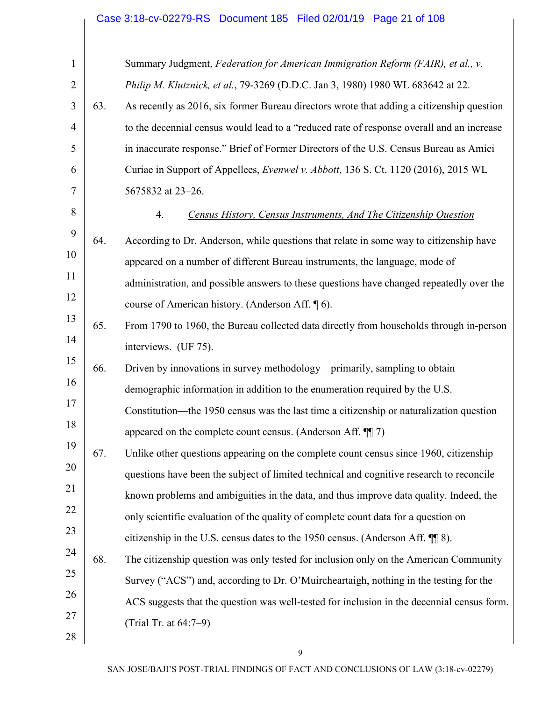# Case 3:18-cv-02279-RS Document 185 Filed 02/01/19 Page 21 of 108

| $\mathbf{1}$   |     | Summary Judgment, Federation for American Immigration Reform (FAIR), et al., v.            |
|----------------|-----|--------------------------------------------------------------------------------------------|
| $\overline{2}$ |     | Philip M. Klutznick, et al., 79-3269 (D.D.C. Jan 3, 1980) 1980 WL 683642 at 22.            |
| 3              | 63. | As recently as 2016, six former Bureau directors wrote that adding a citizenship question  |
| $\overline{4}$ |     | to the decennial census would lead to a "reduced rate of response overall and an increase  |
| 5              |     | in inaccurate response." Brief of Former Directors of the U.S. Census Bureau as Amici      |
| 6              |     | Curiae in Support of Appellees, <i>Evenwel v. Abbott</i> , 136 S. Ct. 1120 (2016), 2015 WL |
| 7              |     | 5675832 at 23-26.                                                                          |
| 8              |     | 4.<br>Census History, Census Instruments, And The Citizenship Question                     |
| 9              | 64. | According to Dr. Anderson, while questions that relate in some way to citizenship have     |
| 10             |     | appeared on a number of different Bureau instruments, the language, mode of                |
| 11             |     | administration, and possible answers to these questions have changed repeatedly over the   |
| 12             |     | course of American history. (Anderson Aff. 16).                                            |
| 13             | 65. | From 1790 to 1960, the Bureau collected data directly from households through in-person    |
| 14             |     | interviews. (UF 75).                                                                       |
| 15             | 66. | Driven by innovations in survey methodology—primarily, sampling to obtain                  |
| 16             |     | demographic information in addition to the enumeration required by the U.S.                |
| 17             |     | Constitution—the 1950 census was the last time a citizenship or naturalization question    |
| 18             |     | appeared on the complete count census. (Anderson Aff. 11)                                  |
| 19             | 67. | Unlike other questions appearing on the complete count census since 1960, citizenship      |
| 20             |     | questions have been the subject of limited technical and cognitive research to reconcile   |
| 21             |     | known problems and ambiguities in the data, and thus improve data quality. Indeed, the     |
| 22             |     | only scientific evaluation of the quality of complete count data for a question on         |
| 23             |     | citizenship in the U.S. census dates to the 1950 census. (Anderson Aff. 118).              |
| 24             | 68. | The citizenship question was only tested for inclusion only on the American Community      |
| 25             |     | Survey ("ACS") and, according to Dr. O'Muircheartaigh, nothing in the testing for the      |
| 26             |     | ACS suggests that the question was well-tested for inclusion in the decennial census form. |
| 27             |     | (Trial Tr. at 64:7–9)                                                                      |
| 28             |     |                                                                                            |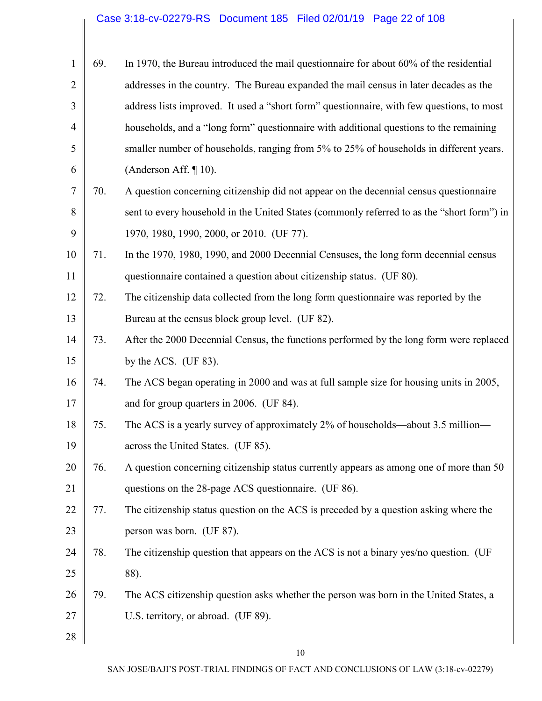# Case 3:18-cv-02279-RS Document 185 Filed 02/01/19 Page 22 of 108

| $\mathbf{1}$   | 69. | In 1970, the Bureau introduced the mail questionnaire for about 60% of the residential     |
|----------------|-----|--------------------------------------------------------------------------------------------|
| $\overline{2}$ |     | addresses in the country. The Bureau expanded the mail census in later decades as the      |
| 3              |     | address lists improved. It used a "short form" questionnaire, with few questions, to most  |
| 4              |     | households, and a "long form" questionnaire with additional questions to the remaining     |
| 5              |     | smaller number of households, ranging from 5% to 25% of households in different years.     |
| 6              |     | (Anderson Aff. $\P$ 10).                                                                   |
| 7              | 70. | A question concerning citizenship did not appear on the decennial census questionnaire     |
| 8              |     | sent to every household in the United States (commonly referred to as the "short form") in |
| 9              |     | 1970, 1980, 1990, 2000, or 2010. (UF 77).                                                  |
| 10             | 71. | In the 1970, 1980, 1990, and 2000 Decennial Censuses, the long form decennial census       |
| 11             |     | questionnaire contained a question about citizenship status. (UF 80).                      |
| 12             | 72. | The citizenship data collected from the long form questionnaire was reported by the        |
| 13             |     | Bureau at the census block group level. (UF 82).                                           |
| 14             | 73. | After the 2000 Decennial Census, the functions performed by the long form were replaced    |
| 15             |     | by the ACS. (UF $83$ ).                                                                    |
| 16             | 74. | The ACS began operating in 2000 and was at full sample size for housing units in 2005,     |
| 17             |     | and for group quarters in 2006. (UF 84).                                                   |
| 18             | 75. | The ACS is a yearly survey of approximately 2% of households—about 3.5 million—            |
| 19             |     | across the United States. (UF 85).                                                         |
| 20             | 76. | A question concerning citizenship status currently appears as among one of more than 50    |
| 21             |     | questions on the 28-page ACS questionnaire. (UF 86).                                       |
| 22             | 77. | The citizenship status question on the ACS is preceded by a question asking where the      |
| 23             |     | person was born. (UF 87).                                                                  |
| 24             | 78. | The citizenship question that appears on the ACS is not a binary yes/no question. (UF      |
| 25             |     | 88).                                                                                       |
| 26             | 79. | The ACS citizenship question asks whether the person was born in the United States, a      |
| 27             |     | U.S. territory, or abroad. (UF 89).                                                        |
| 28             |     |                                                                                            |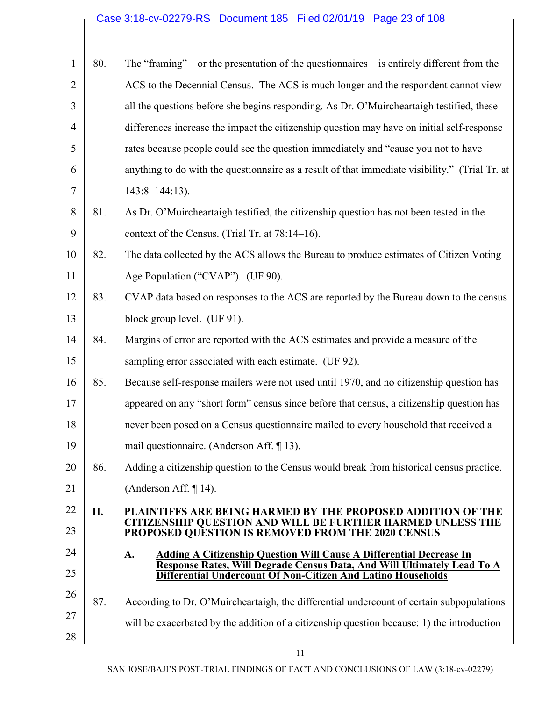# Case 3:18-cv-02279-RS Document 185 Filed 02/01/19 Page 23 of 108

| 1              | 80. | The "framing"—or the presentation of the questionnaires—is entirely different from the                                                                |
|----------------|-----|-------------------------------------------------------------------------------------------------------------------------------------------------------|
| $\overline{2}$ |     | ACS to the Decennial Census. The ACS is much longer and the respondent cannot view                                                                    |
| 3              |     | all the questions before she begins responding. As Dr. O'Muircheartaigh testified, these                                                              |
| $\overline{4}$ |     | differences increase the impact the citizenship question may have on initial self-response                                                            |
|                |     |                                                                                                                                                       |
| 5              |     | rates because people could see the question immediately and "cause you not to have                                                                    |
| 6              |     | anything to do with the questionnaire as a result of that immediate visibility." (Trial Tr. at                                                        |
| 7              |     | $143:8 - 144:13$ ).                                                                                                                                   |
| 8              | 81. | As Dr. O'Muircheartaigh testified, the citizenship question has not been tested in the                                                                |
| 9              |     | context of the Census. (Trial Tr. at 78:14–16).                                                                                                       |
| 10             | 82. | The data collected by the ACS allows the Bureau to produce estimates of Citizen Voting                                                                |
| 11             |     | Age Population ("CVAP"). (UF 90).                                                                                                                     |
| 12             | 83. | CVAP data based on responses to the ACS are reported by the Bureau down to the census                                                                 |
| 13             |     | block group level. (UF 91).                                                                                                                           |
| 14             | 84. | Margins of error are reported with the ACS estimates and provide a measure of the                                                                     |
| 15             |     | sampling error associated with each estimate. (UF 92).                                                                                                |
| 16             | 85. | Because self-response mailers were not used until 1970, and no citizenship question has                                                               |
| 17             |     | appeared on any "short form" census since before that census, a citizenship question has                                                              |
| 18             |     | never been posed on a Census questionnaire mailed to every household that received a                                                                  |
| 19             |     | mail questionnaire. (Anderson Aff. ¶ 13).                                                                                                             |
| 20             | 86. | Adding a citizenship question to the Census would break from historical census practice.                                                              |
| 21             |     | (Anderson Aff. $\P$ 14).                                                                                                                              |
| 22             | П.  | <b>PLAINTIFFS ARE BEING HARMED BY THE PROPOSED ADDITION OF THE</b>                                                                                    |
| 23             |     | CITIZENSHIP QUESTION AND WILL BE FURTHER HARMED UNLESS THE<br>PROPOSED QUESTION IS REMOVED FROM THE 2020 CENSUS                                       |
| 24             |     | A.<br><b>Adding A Citizenship Question Will Cause A Differential Decrease In</b>                                                                      |
| 25             |     | <b>Response Rates, Will Degrade Census Data, And Will Ultimately Lead To A</b><br><b>Differential Undercount Of Non-Citizen And Latino Households</b> |
| 26             | 87. | According to Dr. O'Muircheartaigh, the differential undercount of certain subpopulations                                                              |
| 27             |     | will be exacerbated by the addition of a citizenship question because: 1) the introduction                                                            |
| 28             |     |                                                                                                                                                       |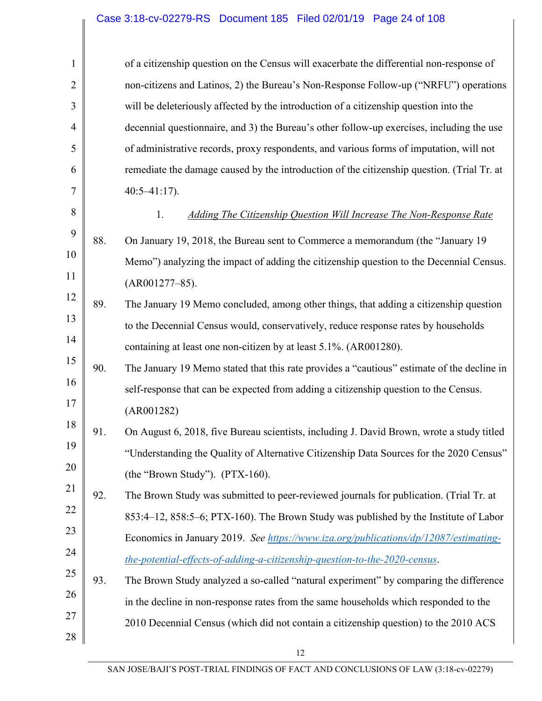#### Case 3:18-cv-02279-RS Document 185 Filed 02/01/19 Page 24 of 108

| $\mathbf{1}$   |     | of a citizenship question on the Census will exacerbate the differential non-response of   |
|----------------|-----|--------------------------------------------------------------------------------------------|
| $\overline{2}$ |     | non-citizens and Latinos, 2) the Bureau's Non-Response Follow-up ("NRFU") operations       |
| 3              |     | will be deleteriously affected by the introduction of a citizenship question into the      |
| $\overline{4}$ |     | decennial questionnaire, and 3) the Bureau's other follow-up exercises, including the use  |
| 5              |     | of administrative records, proxy respondents, and various forms of imputation, will not    |
| 6              |     | remediate the damage caused by the introduction of the citizenship question. (Trial Tr. at |
| 7              |     | $40:5 - 41:17$ .                                                                           |
| 8              |     | 1.<br>Adding The Citizenship Question Will Increase The Non-Response Rate                  |
| 9              | 88. | On January 19, 2018, the Bureau sent to Commerce a memorandum (the "January 19             |
| 10             |     | Memo") analyzing the impact of adding the citizenship question to the Decennial Census.    |
| 11             |     | $(AR001277-85).$                                                                           |
| 12             | 89. | The January 19 Memo concluded, among other things, that adding a citizenship question      |
| 13             |     | to the Decennial Census would, conservatively, reduce response rates by households         |
| 14             |     | containing at least one non-citizen by at least 5.1%. (AR001280).                          |
| 15             | 90. | The January 19 Memo stated that this rate provides a "cautious" estimate of the decline in |
| 16             |     | self-response that can be expected from adding a citizenship question to the Census.       |
| 17             |     | (AR001282)                                                                                 |
| 18             | 91. | On August 6, 2018, five Bureau scientists, including J. David Brown, wrote a study titled  |
| 19             |     | "Understanding the Quality of Alternative Citizenship Data Sources for the 2020 Census"    |
| 20             |     | (the "Brown Study"). (PTX-160).                                                            |
| 21             | 92. | The Brown Study was submitted to peer-reviewed journals for publication. (Trial Tr. at     |
| 22             |     | 853:4–12, 858:5–6; PTX-160). The Brown Study was published by the Institute of Labor       |
| 23             |     | Economics in January 2019. See https://www.iza.org/publications/dp/12087/estimating-       |
| 24             |     | the-potential-effects-of-adding-a-citizenship-question-to-the-2020-census.                 |
| 25             | 93. | The Brown Study analyzed a so-called "natural experiment" by comparing the difference      |
| 26             |     | in the decline in non-response rates from the same households which responded to the       |
| 27             |     | 2010 Decennial Census (which did not contain a citizenship question) to the 2010 ACS       |
| 28             |     |                                                                                            |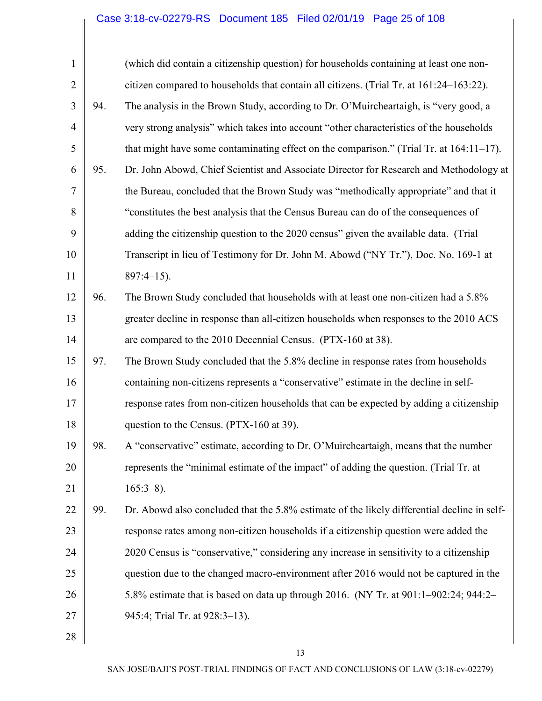# Case 3:18-cv-02279-RS Document 185 Filed 02/01/19 Page 25 of 108

| $\mathbf{1}$   |     | (which did contain a citizenship question) for households containing at least one non-      |
|----------------|-----|---------------------------------------------------------------------------------------------|
| $\overline{2}$ |     | citizen compared to households that contain all citizens. (Trial Tr. at 161:24–163:22).     |
| 3              | 94. | The analysis in the Brown Study, according to Dr. O'Muircheartaigh, is "very good, a        |
| $\overline{4}$ |     | very strong analysis" which takes into account "other characteristics of the households     |
| 5              |     | that might have some contaminating effect on the comparison." (Trial Tr. at $164:11-17$ ).  |
| 6              | 95. | Dr. John Abowd, Chief Scientist and Associate Director for Research and Methodology at      |
| 7              |     | the Bureau, concluded that the Brown Study was "methodically appropriate" and that it       |
| 8              |     | "constitutes the best analysis that the Census Bureau can do of the consequences of         |
| 9              |     | adding the citizenship question to the 2020 census" given the available data. (Trial        |
| 10             |     | Transcript in lieu of Testimony for Dr. John M. Abowd ("NY Tr."), Doc. No. 169-1 at         |
| 11             |     | $897:4-15$ ).                                                                               |
| 12             | 96. | The Brown Study concluded that households with at least one non-citizen had a 5.8%          |
| 13             |     | greater decline in response than all-citizen households when responses to the 2010 ACS      |
| 14             |     | are compared to the 2010 Decennial Census. (PTX-160 at 38).                                 |
| 15             | 97. | The Brown Study concluded that the 5.8% decline in response rates from households           |
| 16             |     | containing non-citizens represents a "conservative" estimate in the decline in self-        |
| 17             |     | response rates from non-citizen households that can be expected by adding a citizenship     |
| 18             |     | question to the Census. (PTX-160 at 39).                                                    |
| 19             | 98. | A "conservative" estimate, according to Dr. O'Muircheartaigh, means that the number         |
| 20             |     | represents the "minimal estimate of the impact" of adding the question. (Trial Tr. at       |
| 21             |     | $165:3-8$ ).                                                                                |
| 22             | 99. | Dr. Abowd also concluded that the 5.8% estimate of the likely differential decline in self- |
| 23             |     | response rates among non-citizen households if a citizenship question were added the        |
| 24             |     | 2020 Census is "conservative," considering any increase in sensitivity to a citizenship     |
| 25             |     | question due to the changed macro-environment after 2016 would not be captured in the       |
| 26             |     | 5.8% estimate that is based on data up through 2016. (NY Tr. at 901:1-902:24; 944:2-        |
| 27             |     | 945:4; Trial Tr. at 928:3-13).                                                              |
| 28             |     |                                                                                             |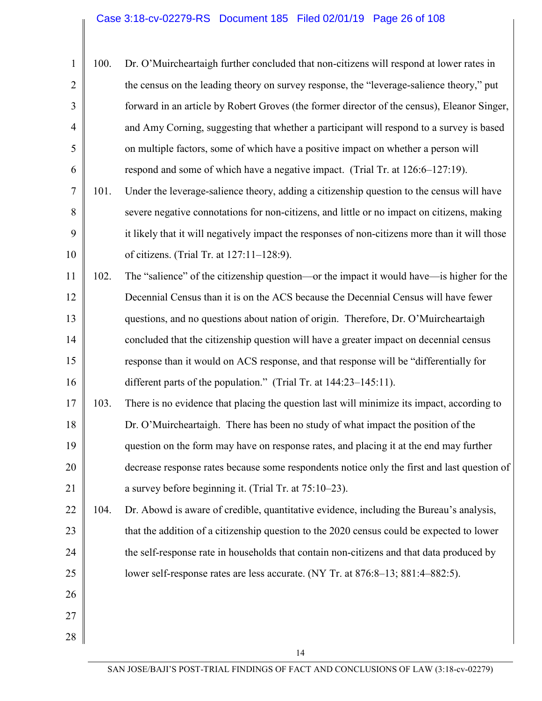# Case 3:18-cv-02279-RS Document 185 Filed 02/01/19 Page 26 of 108

| $\mathbf{1}$   | 100. | Dr. O'Muircheartaigh further concluded that non-citizens will respond at lower rates in        |
|----------------|------|------------------------------------------------------------------------------------------------|
| $\overline{2}$ |      | the census on the leading theory on survey response, the "leverage-salience theory," put       |
| 3              |      | forward in an article by Robert Groves (the former director of the census), Eleanor Singer,    |
| $\overline{4}$ |      | and Amy Corning, suggesting that whether a participant will respond to a survey is based       |
| 5              |      | on multiple factors, some of which have a positive impact on whether a person will             |
| 6              |      | respond and some of which have a negative impact. (Trial Tr. at 126:6–127:19).                 |
| 7              | 101. | Under the leverage-salience theory, adding a citizenship question to the census will have      |
| 8              |      | severe negative connotations for non-citizens, and little or no impact on citizens, making     |
| 9              |      | it likely that it will negatively impact the responses of non-citizens more than it will those |
| 10             |      | of citizens. (Trial Tr. at 127:11-128:9).                                                      |
| 11             | 102. | The "salience" of the citizenship question—or the impact it would have—is higher for the       |
| 12             |      | Decennial Census than it is on the ACS because the Decennial Census will have fewer            |
| 13             |      | questions, and no questions about nation of origin. Therefore, Dr. O'Muircheartaigh            |
| 14             |      | concluded that the citizenship question will have a greater impact on decennial census         |
| 15             |      | response than it would on ACS response, and that response will be "differentially for          |
| 16             |      | different parts of the population." (Trial Tr. at 144:23–145:11).                              |
| 17             | 103. | There is no evidence that placing the question last will minimize its impact, according to     |
| 18             |      | Dr. O'Muircheartaigh. There has been no study of what impact the position of the               |
| 19             |      | question on the form may have on response rates, and placing it at the end may further         |
| 20             |      | decrease response rates because some respondents notice only the first and last question of    |
| 21             |      | a survey before beginning it. (Trial Tr. at 75:10-23).                                         |
| 22             | 104. | Dr. Abowd is aware of credible, quantitative evidence, including the Bureau's analysis,        |
| 23             |      | that the addition of a citizenship question to the 2020 census could be expected to lower      |
| 24             |      | the self-response rate in households that contain non-citizens and that data produced by       |
| 25             |      | lower self-response rates are less accurate. (NY Tr. at 876:8–13; 881:4–882:5).                |
| 26             |      |                                                                                                |
| 27             |      |                                                                                                |
| 28             |      |                                                                                                |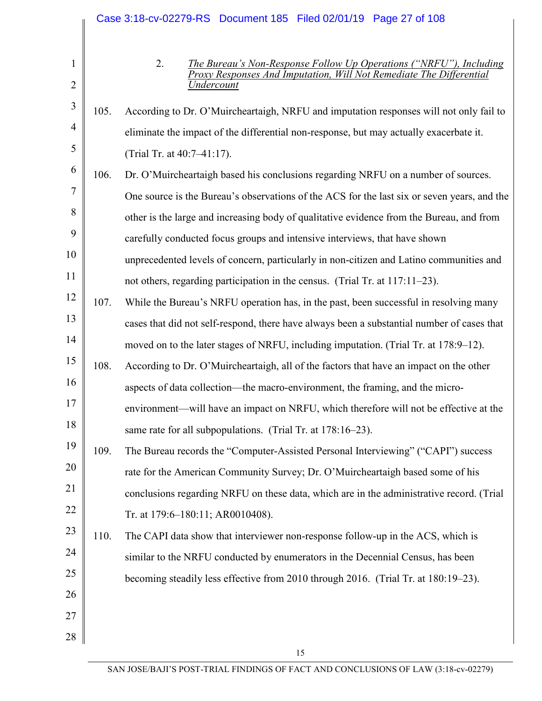|                     |      | Case 3:18-cv-02279-RS Document 185 Filed 02/01/19 Page 27 of 108                                                                                                     |
|---------------------|------|----------------------------------------------------------------------------------------------------------------------------------------------------------------------|
| 1<br>$\overline{2}$ |      | 2.<br>The Bureau's Non-Response Follow Up Operations ("NRFU"), Including<br>Proxy Responses And Imputation, Will Not Remediate The Differential<br><b>Indercount</b> |
| $\mathfrak{Z}$      | 105. | According to Dr. O'Muircheartaigh, NRFU and imputation responses will not only fail to                                                                               |
| $\overline{4}$      |      | eliminate the impact of the differential non-response, but may actually exacerbate it.                                                                               |
| 5                   |      |                                                                                                                                                                      |
| 6                   |      | (Trial Tr. at 40:7-41:17).                                                                                                                                           |
| 7                   | 106. | Dr. O'Muircheartaigh based his conclusions regarding NRFU on a number of sources.                                                                                    |
| 8                   |      | One source is the Bureau's observations of the ACS for the last six or seven years, and the                                                                          |
| 9                   |      | other is the large and increasing body of qualitative evidence from the Bureau, and from                                                                             |
|                     |      | carefully conducted focus groups and intensive interviews, that have shown                                                                                           |
| 10                  |      | unprecedented levels of concern, particularly in non-citizen and Latino communities and                                                                              |
| 11                  |      | not others, regarding participation in the census. (Trial Tr. at 117:11–23).                                                                                         |
| 12                  | 107. | While the Bureau's NRFU operation has, in the past, been successful in resolving many                                                                                |
| 13                  |      | cases that did not self-respond, there have always been a substantial number of cases that                                                                           |
| 14                  |      | moved on to the later stages of NRFU, including imputation. (Trial Tr. at 178:9–12).                                                                                 |
| 15                  | 108. | According to Dr. O'Muircheartaigh, all of the factors that have an impact on the other                                                                               |
| 16                  |      | aspects of data collection—the macro-environment, the framing, and the micro-                                                                                        |
| 17                  |      | environment—will have an impact on NRFU, which therefore will not be effective at the                                                                                |
| 18                  |      | same rate for all subpopulations. (Trial Tr. at 178:16–23).                                                                                                          |
| 19                  | 109. | The Bureau records the "Computer-Assisted Personal Interviewing" ("CAPI") success                                                                                    |
| 20                  |      | rate for the American Community Survey; Dr. O'Muircheartaigh based some of his                                                                                       |
| 21                  |      | conclusions regarding NRFU on these data, which are in the administrative record. (Trial                                                                             |
| 22                  |      | Tr. at 179:6-180:11; AR0010408).                                                                                                                                     |
| 23                  | 110. | The CAPI data show that interviewer non-response follow-up in the ACS, which is                                                                                      |
| 24                  |      | similar to the NRFU conducted by enumerators in the Decennial Census, has been                                                                                       |
| 25                  |      | becoming steadily less effective from 2010 through 2016. (Trial Tr. at 180:19-23).                                                                                   |
| 26                  |      |                                                                                                                                                                      |
| 27                  |      |                                                                                                                                                                      |
| 28                  |      |                                                                                                                                                                      |
|                     |      | 15                                                                                                                                                                   |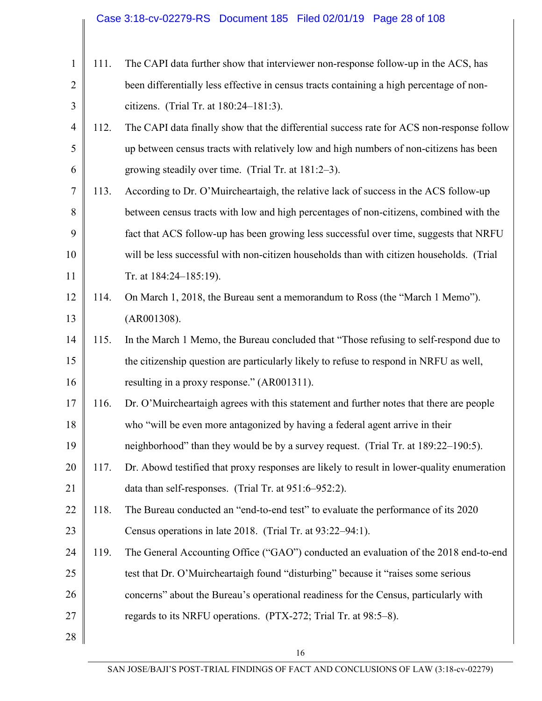|                |      | Case 3:18-cv-02279-RS  Document 185  Filed 02/01/19  Page 28 of 108                        |
|----------------|------|--------------------------------------------------------------------------------------------|
|                |      |                                                                                            |
| $\mathbf{1}$   | 111. | The CAPI data further show that interviewer non-response follow-up in the ACS, has         |
| $\overline{2}$ |      | been differentially less effective in census tracts containing a high percentage of non-   |
| 3              |      | citizens. (Trial Tr. at 180:24–181:3).                                                     |
| $\overline{4}$ | 112. | The CAPI data finally show that the differential success rate for ACS non-response follow  |
| 5              |      | up between census tracts with relatively low and high numbers of non-citizens has been     |
| 6              |      | growing steadily over time. (Trial Tr. at 181:2-3).                                        |
| 7              | 113. | According to Dr. O'Muircheartaigh, the relative lack of success in the ACS follow-up       |
| 8              |      | between census tracts with low and high percentages of non-citizens, combined with the     |
| 9              |      | fact that ACS follow-up has been growing less successful over time, suggests that NRFU     |
| 10             |      | will be less successful with non-citizen households than with citizen households. (Trial   |
| 11             |      | Tr. at 184:24-185:19).                                                                     |
| 12             | 114. | On March 1, 2018, the Bureau sent a memorandum to Ross (the "March 1 Memo").               |
| 13             |      | (AR001308).                                                                                |
| 14             | 115. | In the March 1 Memo, the Bureau concluded that "Those refusing to self-respond due to      |
| 15             |      | the citizenship question are particularly likely to refuse to respond in NRFU as well,     |
| 16             |      | resulting in a proxy response." (AR001311).                                                |
| 17             | 116. | Dr. O'Muircheartaigh agrees with this statement and further notes that there are people    |
| 18             |      | who "will be even more antagonized by having a federal agent arrive in their               |
| 19             |      | neighborhood" than they would be by a survey request. (Trial Tr. at 189:22–190:5).         |
| 20             | 117. | Dr. Abowd testified that proxy responses are likely to result in lower-quality enumeration |
| 21             |      | data than self-responses. (Trial Tr. at 951:6-952:2).                                      |
| 22             | 118. | The Bureau conducted an "end-to-end test" to evaluate the performance of its 2020          |
| 23             |      | Census operations in late 2018. (Trial Tr. at 93:22–94:1).                                 |
| 24             | 119. | The General Accounting Office ("GAO") conducted an evaluation of the 2018 end-to-end       |
| 25             |      | test that Dr. O'Muircheartaigh found "disturbing" because it "raises some serious          |
| 26             |      | concerns" about the Bureau's operational readiness for the Census, particularly with       |
| 27             |      | regards to its NRFU operations. (PTX-272; Trial Tr. at 98:5–8).                            |
| 28             |      |                                                                                            |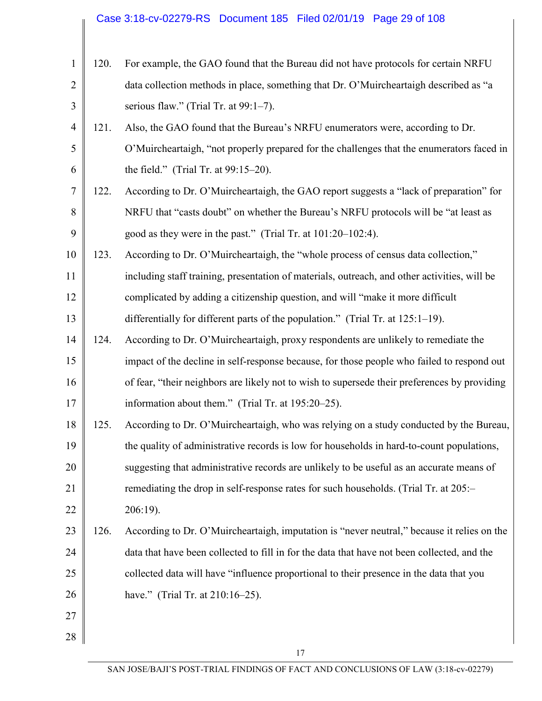# Case 3:18-cv-02279-RS Document 185 Filed 02/01/19 Page 29 of 108

| 1              | 120. | For example, the GAO found that the Bureau did not have protocols for certain NRFU           |
|----------------|------|----------------------------------------------------------------------------------------------|
| $\overline{2}$ |      | data collection methods in place, something that Dr. O'Muircheartaigh described as "a        |
| 3              |      | serious flaw." (Trial Tr. at $99:1-7$ ).                                                     |
| $\overline{4}$ | 121. | Also, the GAO found that the Bureau's NRFU enumerators were, according to Dr.                |
| 5              |      | O'Muircheartaigh, "not properly prepared for the challenges that the enumerators faced in    |
| 6              |      | the field." (Trial Tr. at $99:15-20$ ).                                                      |
| 7              | 122. | According to Dr. O'Muircheartaigh, the GAO report suggests a "lack of preparation" for       |
| 8              |      | NRFU that "casts doubt" on whether the Bureau's NRFU protocols will be "at least as          |
| 9              |      | good as they were in the past." (Trial Tr. at 101:20–102:4).                                 |
| 10             | 123. | According to Dr. O'Muircheartaigh, the "whole process of census data collection,"            |
| 11             |      | including staff training, presentation of materials, outreach, and other activities, will be |
| 12             |      | complicated by adding a citizenship question, and will "make it more difficult               |
| 13             |      | differentially for different parts of the population." (Trial Tr. at 125:1–19).              |
| 14             | 124. | According to Dr. O'Muircheartaigh, proxy respondents are unlikely to remediate the           |
| 15             |      | impact of the decline in self-response because, for those people who failed to respond out   |
| 16             |      | of fear, "their neighbors are likely not to wish to supersede their preferences by providing |
| 17             |      | information about them." (Trial Tr. at 195:20–25).                                           |
| 18             | 125. | According to Dr. O'Muircheartaigh, who was relying on a study conducted by the Bureau,       |
| 19             |      | the quality of administrative records is low for households in hard-to-count populations,    |
| 20             |      | suggesting that administrative records are unlikely to be useful as an accurate means of     |
| 21             |      | remediating the drop in self-response rates for such households. (Trial Tr. at 205:-         |
| 22             |      | 206:19).                                                                                     |
| 23             | 126. | According to Dr. O'Muircheartaigh, imputation is "never neutral," because it relies on the   |
| 24             |      | data that have been collected to fill in for the data that have not been collected, and the  |
| 25             |      | collected data will have "influence proportional to their presence in the data that you      |
| 26             |      | have." (Trial Tr. at 210:16–25).                                                             |
| 27             |      |                                                                                              |
| 28             |      |                                                                                              |
|                |      | 17                                                                                           |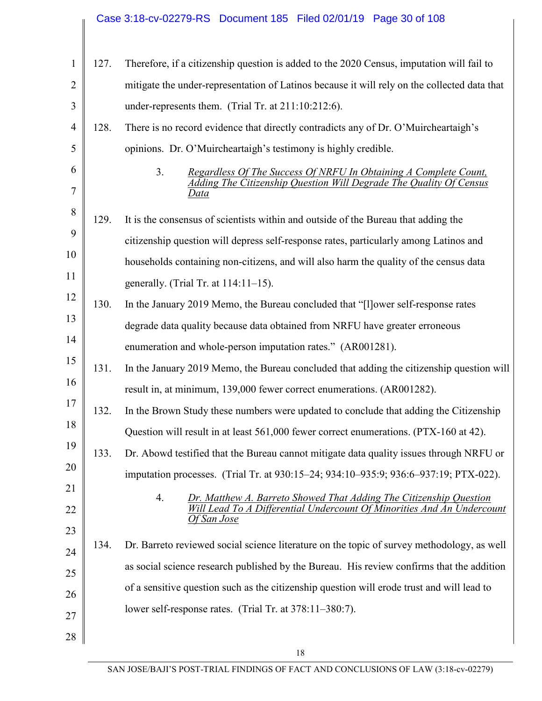# Case 3:18-cv-02279-RS Document 185 Filed 02/01/19 Page 30 of 108

| $\mathbf{1}$   | 127. | Therefore, if a citizenship question is added to the 2020 Census, imputation will fail to                                                                        |
|----------------|------|------------------------------------------------------------------------------------------------------------------------------------------------------------------|
| $\overline{2}$ |      | mitigate the under-representation of Latinos because it will rely on the collected data that                                                                     |
| 3              |      | under-represents them. (Trial Tr. at 211:10:212:6).                                                                                                              |
| 4              | 128. | There is no record evidence that directly contradicts any of Dr. O'Muircheartaigh's                                                                              |
| 5              |      | opinions. Dr. O'Muircheartaigh's testimony is highly credible.                                                                                                   |
| 6<br>7         |      | 3 <sub>1</sub><br>Regardless Of The Success Of NRFU In Obtaining A Complete Count,<br>Adding The Citizenship Question Will Degrade The Quality Of Census<br>Data |
| 8              | 129. | It is the consensus of scientists within and outside of the Bureau that adding the                                                                               |
| 9              |      | citizenship question will depress self-response rates, particularly among Latinos and                                                                            |
| 10             |      | households containing non-citizens, and will also harm the quality of the census data                                                                            |
| 11             |      | generally. (Trial Tr. at $114:11-15$ ).                                                                                                                          |
| 12             | 130. | In the January 2019 Memo, the Bureau concluded that "[1] ower self-response rates                                                                                |
| 13             |      | degrade data quality because data obtained from NRFU have greater erroneous                                                                                      |
| 14             |      | enumeration and whole-person imputation rates." (AR001281).                                                                                                      |
| 15             | 131. | In the January 2019 Memo, the Bureau concluded that adding the citizenship question will                                                                         |
| 16             |      | result in, at minimum, 139,000 fewer correct enumerations. (AR001282).                                                                                           |
| 17             | 132. | In the Brown Study these numbers were updated to conclude that adding the Citizenship                                                                            |
| 18             |      | Question will result in at least 561,000 fewer correct enumerations. (PTX-160 at 42).                                                                            |
| 19             | 133. | Dr. Abowd testified that the Bureau cannot mitigate data quality issues through NRFU or                                                                          |
| 20             |      | imputation processes. (Trial Tr. at 930:15–24; 934:10–935:9; 936:6–937:19; PTX-022).                                                                             |
| 21<br>22       |      | Dr. Matthew A. Barreto Showed That Adding The Citizenship Question<br>4.<br>Lead To A Differential Undercount Of Minorities And An Undercount<br>Of San Jose     |
| 23             | 134. | Dr. Barreto reviewed social science literature on the topic of survey methodology, as well                                                                       |
| 24             |      | as social science research published by the Bureau. His review confirms that the addition                                                                        |
| 25             |      | of a sensitive question such as the citizenship question will erode trust and will lead to                                                                       |
| 26             |      | lower self-response rates. (Trial Tr. at 378:11-380:7).                                                                                                          |
| 27             |      |                                                                                                                                                                  |
| 28             |      | 18                                                                                                                                                               |
|                |      |                                                                                                                                                                  |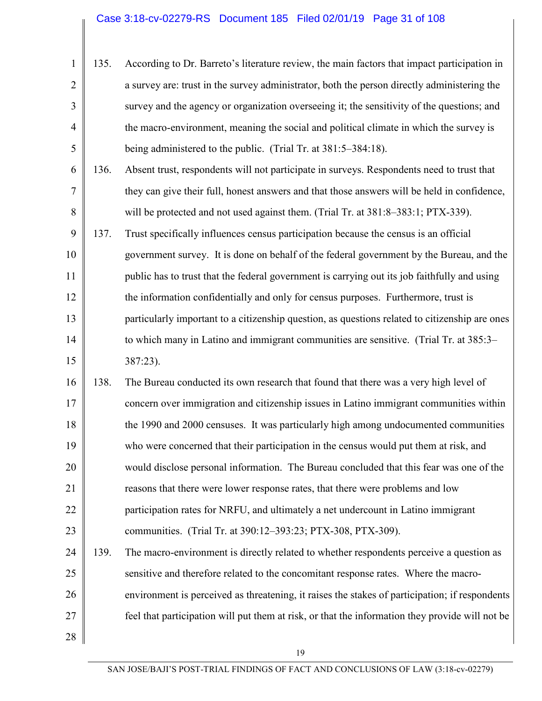| $1 \parallel$  | 135. | According to Dr. Barreto's literature review, the main factors that impact participation in |
|----------------|------|---------------------------------------------------------------------------------------------|
| $\overline{2}$ |      | a survey are: trust in the survey administrator, both the person directly administering the |
| 3              |      | survey and the agency or organization overseeing it; the sensitivity of the questions; and  |
| 4              |      | the macro-environment, meaning the social and political climate in which the survey is      |
| 5              |      | being administered to the public. (Trial Tr. at 381:5–384:18).                              |

- 6 7 8 136. Absent trust, respondents will not participate in surveys. Respondents need to trust that they can give their full, honest answers and that those answers will be held in confidence, will be protected and not used against them. (Trial Tr. at  $381:8-383:1$ ; PTX-339).
- 9 10 11 12 13 14 15 137. Trust specifically influences census participation because the census is an official government survey. It is done on behalf of the federal government by the Bureau, and the public has to trust that the federal government is carrying out its job faithfully and using the information confidentially and only for census purposes. Furthermore, trust is particularly important to a citizenship question, as questions related to citizenship are ones to which many in Latino and immigrant communities are sensitive. (Trial Tr. at 385:3– 387:23).
- 16 17 18 19 20 21 22 23 138. The Bureau conducted its own research that found that there was a very high level of concern over immigration and citizenship issues in Latino immigrant communities within the 1990 and 2000 censuses. It was particularly high among undocumented communities who were concerned that their participation in the census would put them at risk, and would disclose personal information. The Bureau concluded that this fear was one of the reasons that there were lower response rates, that there were problems and low participation rates for NRFU, and ultimately a net undercount in Latino immigrant communities. (Trial Tr. at 390:12–393:23; PTX-308, PTX-309).
- 24 25 26 27 139. The macro-environment is directly related to whether respondents perceive a question as sensitive and therefore related to the concomitant response rates. Where the macroenvironment is perceived as threatening, it raises the stakes of participation; if respondents feel that participation will put them at risk, or that the information they provide will not be
- 28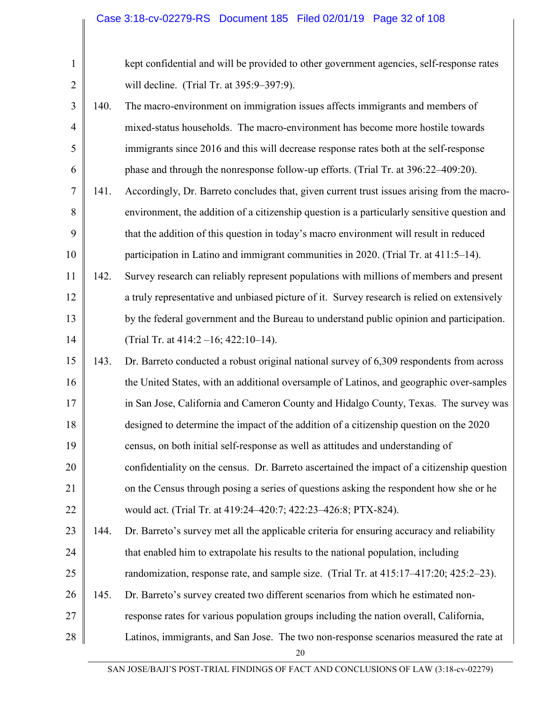| $\mathbf{1}$   |      | kept confidential and will be provided to other government agencies, self-response rates     |
|----------------|------|----------------------------------------------------------------------------------------------|
| $\overline{2}$ |      | will decline. (Trial Tr. at 395:9-397:9).                                                    |
| 3              | 140. | The macro-environment on immigration issues affects immigrants and members of                |
| $\overline{4}$ |      | mixed-status households. The macro-environment has become more hostile towards               |
| 5              |      | immigrants since 2016 and this will decrease response rates both at the self-response        |
| 6              |      | phase and through the nonresponse follow-up efforts. (Trial Tr. at 396:22–409:20).           |
| 7              | 141. | Accordingly, Dr. Barreto concludes that, given current trust issues arising from the macro-  |
| 8              |      | environment, the addition of a citizenship question is a particularly sensitive question and |
| 9              |      | that the addition of this question in today's macro environment will result in reduced       |
| 10             |      | participation in Latino and immigrant communities in 2020. (Trial Tr. at 411:5–14).          |
| 11             | 142. | Survey research can reliably represent populations with millions of members and present      |
| 12             |      | a truly representative and unbiased picture of it. Survey research is relied on extensively  |
| 13             |      | by the federal government and the Bureau to understand public opinion and participation.     |
| 14             |      | (Trial Tr. at 414:2 -16; 422:10-14).                                                         |
| 15             | 143. | Dr. Barreto conducted a robust original national survey of 6,309 respondents from across     |
| 16             |      | the United States, with an additional oversample of Latinos, and geographic over-samples     |
| 17             |      | in San Jose, California and Cameron County and Hidalgo County, Texas. The survey was         |
| 18             |      | designed to determine the impact of the addition of a citizenship question on the 2020       |
| 19             |      | census, on both initial self-response as well as attitudes and understanding of              |
| 20             |      | confidentiality on the census. Dr. Barreto ascertained the impact of a citizenship question  |
| 21             |      | on the Census through posing a series of questions asking the respondent how she or he       |
| 22             |      | would act. (Trial Tr. at 419:24-420:7; 422:23-426:8; PTX-824).                               |
| 23             | 144. | Dr. Barreto's survey met all the applicable criteria for ensuring accuracy and reliability   |
| 24             |      | that enabled him to extrapolate his results to the national population, including            |
| 25             |      | randomization, response rate, and sample size. (Trial Tr. at 415:17–417:20; 425:2–23).       |
| 26             | 145. | Dr. Barreto's survey created two different scenarios from which he estimated non-            |
| 27             |      | response rates for various population groups including the nation overall, California,       |
| 28             |      | Latinos, immigrants, and San Jose. The two non-response scenarios measured the rate at<br>20 |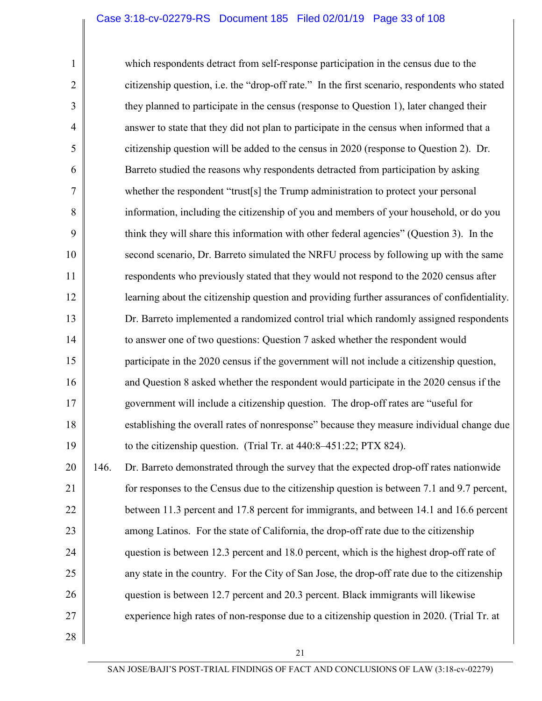#### Case 3:18-cv-02279-RS Document 185 Filed 02/01/19 Page 33 of 108

which respondents detract from self-response participation in the census due to the citizenship question, i.e. the "drop-off rate." In the first scenario, respondents who stated they planned to participate in the census (response to Question 1), later changed their answer to state that they did not plan to participate in the census when informed that a citizenship question will be added to the census in 2020 (response to Question 2). Dr. Barreto studied the reasons why respondents detracted from participation by asking whether the respondent "trust[s] the Trump administration to protect your personal information, including the citizenship of you and members of your household, or do you think they will share this information with other federal agencies" (Question 3). In the second scenario, Dr. Barreto simulated the NRFU process by following up with the same respondents who previously stated that they would not respond to the 2020 census after learning about the citizenship question and providing further assurances of confidentiality. Dr. Barreto implemented a randomized control trial which randomly assigned respondents to answer one of two questions: Question 7 asked whether the respondent would participate in the 2020 census if the government will not include a citizenship question, and Question 8 asked whether the respondent would participate in the 2020 census if the government will include a citizenship question. The drop-off rates are "useful for establishing the overall rates of nonresponse" because they measure individual change due to the citizenship question. (Trial Tr. at 440:8–451:22; PTX 824).

20 21 22 23 24 25 26 27 146. Dr. Barreto demonstrated through the survey that the expected drop-off rates nationwide for responses to the Census due to the citizenship question is between 7.1 and 9.7 percent, between 11.3 percent and 17.8 percent for immigrants, and between 14.1 and 16.6 percent among Latinos. For the state of California, the drop-off rate due to the citizenship question is between 12.3 percent and 18.0 percent, which is the highest drop-off rate of any state in the country. For the City of San Jose, the drop-off rate due to the citizenship question is between 12.7 percent and 20.3 percent. Black immigrants will likewise experience high rates of non-response due to a citizenship question in 2020. (Trial Tr. at

28

1

2

3

4

5

6

7

8

9

10

11

12

13

14

15

16

17

18

19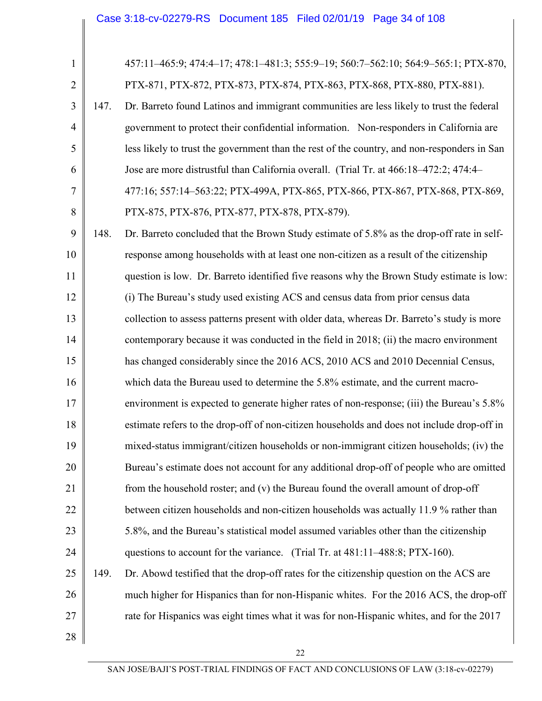| $\mathbf{1}$   |      | 457:11-465:9; 474:4-17; 478:1-481:3; 555:9-19; 560:7-562:10; 564:9-565:1; PTX-870,          |
|----------------|------|---------------------------------------------------------------------------------------------|
| $\overline{2}$ |      | PTX-871, PTX-872, PTX-873, PTX-874, PTX-863, PTX-868, PTX-880, PTX-881).                    |
| 3              | 147. | Dr. Barreto found Latinos and immigrant communities are less likely to trust the federal    |
| $\overline{4}$ |      | government to protect their confidential information. Non-responders in California are      |
| 5              |      | less likely to trust the government than the rest of the country, and non-responders in San |
| 6              |      | Jose are more distrustful than California overall. (Trial Tr. at 466:18-472:2; 474:4-       |
| 7              |      | 477:16; 557:14-563:22; PTX-499A, PTX-865, PTX-866, PTX-867, PTX-868, PTX-869,               |
| 8              |      | PTX-875, PTX-876, PTX-877, PTX-878, PTX-879).                                               |
| 9              | 148. | Dr. Barreto concluded that the Brown Study estimate of 5.8% as the drop-off rate in self-   |
| 10             |      | response among households with at least one non-citizen as a result of the citizenship      |
| 11             |      | question is low. Dr. Barreto identified five reasons why the Brown Study estimate is low:   |
| 12             |      | (i) The Bureau's study used existing ACS and census data from prior census data             |
| 13             |      | collection to assess patterns present with older data, whereas Dr. Barreto's study is more  |
| 14             |      | contemporary because it was conducted in the field in 2018; (ii) the macro environment      |
| 15             |      | has changed considerably since the 2016 ACS, 2010 ACS and 2010 Decennial Census,            |
| 16             |      | which data the Bureau used to determine the 5.8% estimate, and the current macro-           |
| 17             |      | environment is expected to generate higher rates of non-response; (iii) the Bureau's 5.8%   |
| 18             |      | estimate refers to the drop-off of non-citizen households and does not include drop-off in  |
| 19             |      | mixed-status immigrant/citizen households or non-immigrant citizen households; (iv) the     |
| 20             |      | Bureau's estimate does not account for any additional drop-off of people who are omitted    |
| 21             |      | from the household roster; and (v) the Bureau found the overall amount of drop-off          |
| 22             |      | between citizen households and non-citizen households was actually 11.9 % rather than       |
| 23             |      | 5.8%, and the Bureau's statistical model assumed variables other than the citizenship       |
| 24             |      | questions to account for the variance. (Trial Tr. at 481:11-488:8; PTX-160).                |
| 25             | 149. | Dr. Abowd testified that the drop-off rates for the citizenship question on the ACS are     |
| 26             |      | much higher for Hispanics than for non-Hispanic whites. For the 2016 ACS, the drop-off      |
| 27             |      | rate for Hispanics was eight times what it was for non-Hispanic whites, and for the 2017    |
| 28             |      |                                                                                             |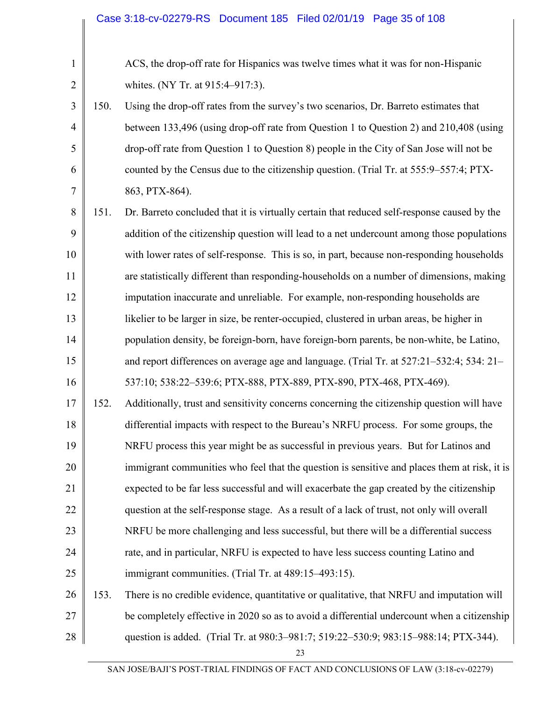1

2

| ACS, the drop-off rate for Hispanics was twelve times what it was for non-Hispanic |
|------------------------------------------------------------------------------------|
| whites. (NY Tr. at 915:4–917:3).                                                   |

- 3 4 5 6 7 150. Using the drop-off rates from the survey's two scenarios, Dr. Barreto estimates that between 133,496 (using drop-off rate from Question 1 to Question 2) and 210,408 (using drop-off rate from Question 1 to Question 8) people in the City of San Jose will not be counted by the Census due to the citizenship question. (Trial Tr. at 555:9–557:4; PTX-863, PTX-864).
- 8 9 10 11 12 13 14 15 16 151. Dr. Barreto concluded that it is virtually certain that reduced self-response caused by the addition of the citizenship question will lead to a net undercount among those populations with lower rates of self-response. This is so, in part, because non-responding households are statistically different than responding-households on a number of dimensions, making imputation inaccurate and unreliable. For example, non-responding households are likelier to be larger in size, be renter-occupied, clustered in urban areas, be higher in population density, be foreign-born, have foreign-born parents, be non-white, be Latino, and report differences on average age and language. (Trial Tr. at 527:21–532:4; 534: 21– 537:10; 538:22–539:6; PTX-888, PTX-889, PTX-890, PTX-468, PTX-469).
- 17 18 19 20 21 22 23 24 25 152. Additionally, trust and sensitivity concerns concerning the citizenship question will have differential impacts with respect to the Bureau's NRFU process. For some groups, the NRFU process this year might be as successful in previous years. But for Latinos and immigrant communities who feel that the question is sensitive and places them at risk, it is expected to be far less successful and will exacerbate the gap created by the citizenship question at the self-response stage. As a result of a lack of trust, not only will overall NRFU be more challenging and less successful, but there will be a differential success rate, and in particular, NRFU is expected to have less success counting Latino and immigrant communities. (Trial Tr. at 489:15–493:15).
- 26 27 28 153. There is no credible evidence, quantitative or qualitative, that NRFU and imputation will be completely effective in 2020 so as to avoid a differential undercount when a citizenship question is added. (Trial Tr. at 980:3–981:7; 519:22–530:9; 983:15–988:14; PTX-344).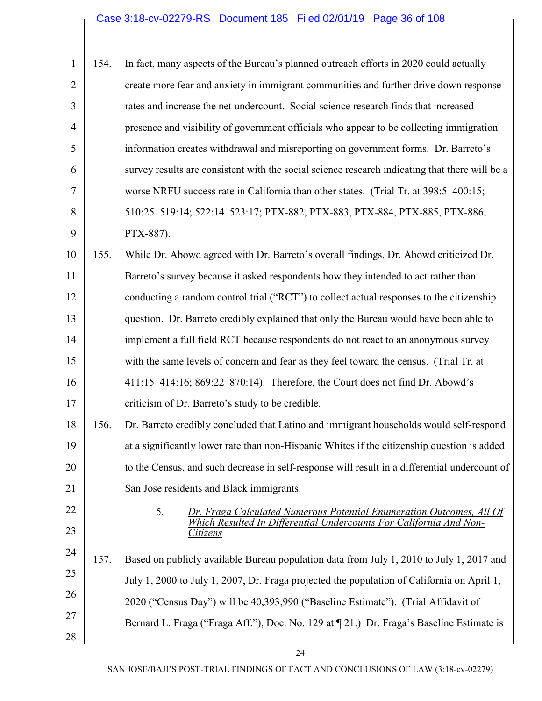| $\mathbf{1}$   | 154. | In fact, many aspects of the Bureau's planned outreach efforts in 2020 could actually          |
|----------------|------|------------------------------------------------------------------------------------------------|
| $\overline{2}$ |      | create more fear and anxiety in immigrant communities and further drive down response          |
| 3              |      | rates and increase the net undercount. Social science research finds that increased            |
| $\overline{4}$ |      | presence and visibility of government officials who appear to be collecting immigration        |
| 5              |      | information creates withdrawal and misreporting on government forms. Dr. Barreto's             |
| 6              |      | survey results are consistent with the social science research indicating that there will be a |
| 7              |      | worse NRFU success rate in California than other states. (Trial Tr. at 398:5–400:15;           |
| 8              |      | 510:25-519:14; 522:14-523:17; PTX-882, PTX-883, PTX-884, PTX-885, PTX-886,                     |
| 9              |      | PTX-887).                                                                                      |
| 10             | 155. | While Dr. Abowd agreed with Dr. Barreto's overall findings, Dr. Abowd criticized Dr.           |
| 11             |      | Barreto's survey because it asked respondents how they intended to act rather than             |
| 12             |      | conducting a random control trial ("RCT") to collect actual responses to the citizenship       |
| 13             |      | question. Dr. Barreto credibly explained that only the Bureau would have been able to          |
| 14             |      | implement a full field RCT because respondents do not react to an anonymous survey             |
| 15             |      | with the same levels of concern and fear as they feel toward the census. (Trial Tr. at         |
| 16             |      | 411:15-414:16; 869:22-870:14). Therefore, the Court does not find Dr. Abowd's                  |
| 17             |      | criticism of Dr. Barreto's study to be credible.                                               |
| 18             | 156. | Dr. Barreto credibly concluded that Latino and immigrant households would self-respond         |
| 19             |      | at a significantly lower rate than non-Hispanic Whites if the citizenship question is added    |
| 20             |      | to the Census, and such decrease in self-response will result in a differential undercount of  |
| 21             |      | San Jose residents and Black immigrants.                                                       |
| 22             |      | 5.<br>Dr. Fraga Calculated Numerous Potential Enumeration Outcomes, All Of                     |
| 23             |      | Which Resulted In Differential Undercounts For California And Non-<br>Citizens                 |
| 24             | 157. | Based on publicly available Bureau population data from July 1, 2010 to July 1, 2017 and       |
| 25             |      | July 1, 2000 to July 1, 2007, Dr. Fraga projected the population of California on April 1,     |
| 26             |      | 2020 ("Census Day") will be 40,393,990 ("Baseline Estimate"). (Trial Affidavit of              |
| 27             |      | Bernard L. Fraga ("Fraga Aff."), Doc. No. 129 at 121.) Dr. Fraga's Baseline Estimate is        |
| 28             |      |                                                                                                |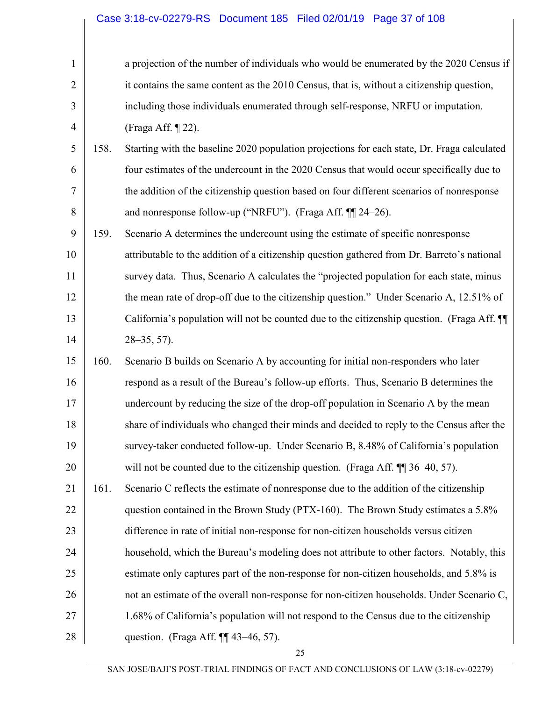| $\mathbf{1}$   |      | a projection of the number of individuals who would be enumerated by the 2020 Census if     |
|----------------|------|---------------------------------------------------------------------------------------------|
| $\overline{2}$ |      | it contains the same content as the 2010 Census, that is, without a citizenship question,   |
| 3              |      | including those individuals enumerated through self-response, NRFU or imputation.           |
| $\overline{4}$ |      | (Fraga Aff. ¶ 22).                                                                          |
| 5              | 158. | Starting with the baseline 2020 population projections for each state, Dr. Fraga calculated |
| 6              |      | four estimates of the undercount in the 2020 Census that would occur specifically due to    |
| 7              |      | the addition of the citizenship question based on four different scenarios of nonresponse   |
| 8              |      | and nonresponse follow-up ("NRFU"). (Fraga Aff. ¶ 24-26).                                   |
| 9              | 159. | Scenario A determines the undercount using the estimate of specific nonresponse             |
| 10             |      | attributable to the addition of a citizenship question gathered from Dr. Barreto's national |
| 11             |      | survey data. Thus, Scenario A calculates the "projected population for each state, minus    |
| 12             |      | the mean rate of drop-off due to the citizenship question." Under Scenario A, 12.51% of     |
| 13             |      | California's population will not be counted due to the citizenship question. (Fraga Aff. ¶  |
| 14             |      | $28 - 35, 57$ ).                                                                            |
| 15             | 160. | Scenario B builds on Scenario A by accounting for initial non-responders who later          |
| 16             |      | respond as a result of the Bureau's follow-up efforts. Thus, Scenario B determines the      |
| 17             |      | undercount by reducing the size of the drop-off population in Scenario A by the mean        |
| 18             |      | share of individuals who changed their minds and decided to reply to the Census after the   |
| 19             |      | survey-taker conducted follow-up. Under Scenario B, 8.48% of California's population        |
| 20             |      | will not be counted due to the citizenship question. (Fraga Aff. ¶ 36–40, 57).              |
| 21             | 161. | Scenario C reflects the estimate of nonresponse due to the addition of the citizenship      |
| 22             |      | question contained in the Brown Study (PTX-160). The Brown Study estimates a 5.8%           |
| 23             |      | difference in rate of initial non-response for non-citizen households versus citizen        |
| 24             |      | household, which the Bureau's modeling does not attribute to other factors. Notably, this   |
| 25             |      | estimate only captures part of the non-response for non-citizen households, and 5.8% is     |
| 26             |      | not an estimate of the overall non-response for non-citizen households. Under Scenario C,   |
| 27             |      | 1.68% of California's population will not respond to the Census due to the citizenship      |
| 28             |      | question. (Fraga Aff. ¶ 43-46, 57).                                                         |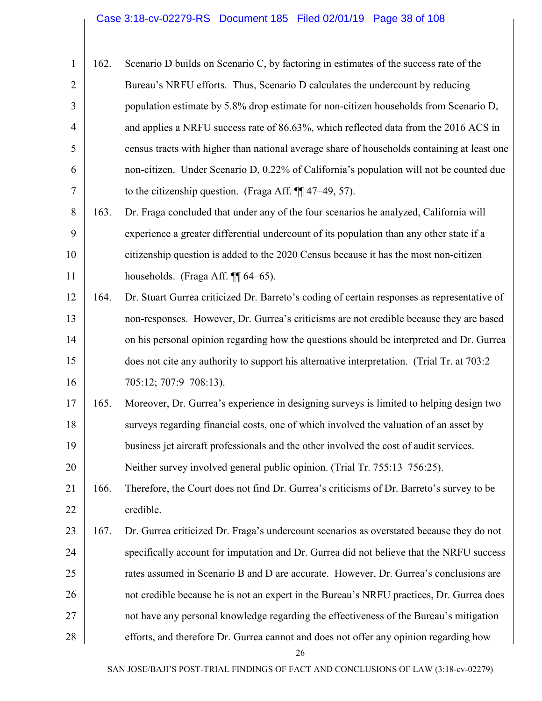| 1              | 162. | Scenario D builds on Scenario C, by factoring in estimates of the success rate of the       |
|----------------|------|---------------------------------------------------------------------------------------------|
| $\overline{2}$ |      | Bureau's NRFU efforts. Thus, Scenario D calculates the undercount by reducing               |
| 3              |      | population estimate by 5.8% drop estimate for non-citizen households from Scenario D,       |
| $\overline{4}$ |      | and applies a NRFU success rate of 86.63%, which reflected data from the 2016 ACS in        |
| 5              |      | census tracts with higher than national average share of households containing at least one |
| 6              |      | non-citizen. Under Scenario D, 0.22% of California's population will not be counted due     |
| 7              |      | to the citizenship question. (Fraga Aff. $\P$ 47–49, 57).                                   |
| 8              | 163. | Dr. Fraga concluded that under any of the four scenarios he analyzed, California will       |
| 9              |      | experience a greater differential undercount of its population than any other state if a    |
| 10             |      | citizenship question is added to the 2020 Census because it has the most non-citizen        |
| 11             |      | households. (Fraga Aff. $\P\P$ 64–65).                                                      |
| 12             | 164. | Dr. Stuart Gurrea criticized Dr. Barreto's coding of certain responses as representative of |
| 13             |      | non-responses. However, Dr. Gurrea's criticisms are not credible because they are based     |
| 14             |      | on his personal opinion regarding how the questions should be interpreted and Dr. Gurrea    |
| 15             |      | does not cite any authority to support his alternative interpretation. (Trial Tr. at 703:2– |
| 16             |      | 705:12; 707:9-708:13).                                                                      |
| 17             | 165. | Moreover, Dr. Gurrea's experience in designing surveys is limited to helping design two     |
| 18             |      | surveys regarding financial costs, one of which involved the valuation of an asset by       |
| 19             |      | business jet aircraft professionals and the other involved the cost of audit services.      |
| 20             |      | Neither survey involved general public opinion. (Trial Tr. 755:13–756:25).                  |
| 21             | 166. | Therefore, the Court does not find Dr. Gurrea's criticisms of Dr. Barreto's survey to be    |
| 22             |      | credible.                                                                                   |
| 23             | 167. | Dr. Gurrea criticized Dr. Fraga's undercount scenarios as overstated because they do not    |
| 24             |      | specifically account for imputation and Dr. Gurrea did not believe that the NRFU success    |
| 25             |      | rates assumed in Scenario B and D are accurate. However, Dr. Gurrea's conclusions are       |
| 26             |      | not credible because he is not an expert in the Bureau's NRFU practices, Dr. Gurrea does    |
| 27             |      | not have any personal knowledge regarding the effectiveness of the Bureau's mitigation      |
| 28             |      | efforts, and therefore Dr. Gurrea cannot and does not offer any opinion regarding how       |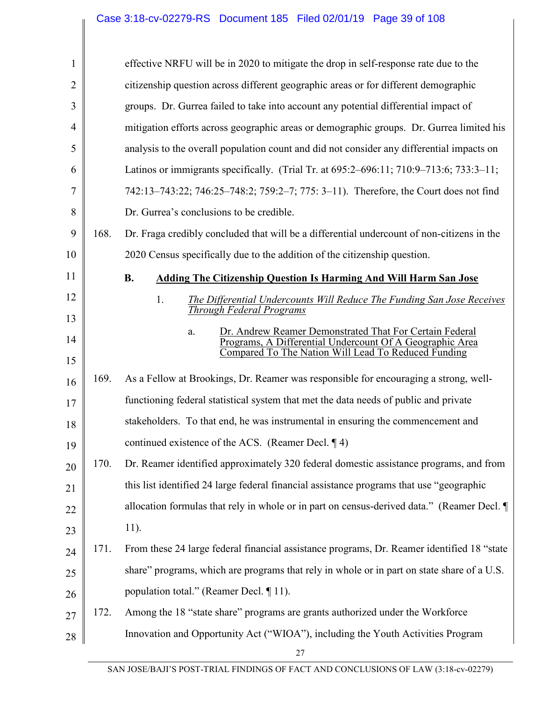| $\mathbf{1}$   |      | effective NRFU will be in 2020 to mitigate the drop in self-response rate due to the                                                                                             |
|----------------|------|----------------------------------------------------------------------------------------------------------------------------------------------------------------------------------|
| $\overline{2}$ |      | citizenship question across different geographic areas or for different demographic                                                                                              |
| 3              |      | groups. Dr. Gurrea failed to take into account any potential differential impact of                                                                                              |
| $\overline{4}$ |      | mitigation efforts across geographic areas or demographic groups. Dr. Gurrea limited his                                                                                         |
| 5              |      | analysis to the overall population count and did not consider any differential impacts on                                                                                        |
| 6              |      | Latinos or immigrants specifically. (Trial Tr. at 695:2–696:11; 710:9–713:6; 733:3–11;                                                                                           |
| 7              |      | 742:13-743:22; 746:25-748:2; 759:2-7; 775: 3-11). Therefore, the Court does not find                                                                                             |
| 8              |      | Dr. Gurrea's conclusions to be credible.                                                                                                                                         |
| 9              | 168. | Dr. Fraga credibly concluded that will be a differential undercount of non-citizens in the                                                                                       |
| 10             |      | 2020 Census specifically due to the addition of the citizenship question.                                                                                                        |
| 11             |      | <b>B.</b><br><b>Adding The Citizenship Question Is Harming And Will Harm San Jose</b>                                                                                            |
| 12             |      | 1.<br>The Differential Undercounts Will Reduce The Funding San Jose Receives<br><b>Through Federal Programs</b>                                                                  |
| 13             |      |                                                                                                                                                                                  |
| 14             |      | Dr. Andrew Reamer Demonstrated That For Certain Federal<br>a.<br>Programs, A Differential Undercount Of A Geographic Area<br>Compared To The Nation Will Lead To Reduced Funding |
| 15             |      |                                                                                                                                                                                  |
| 16             | 169. | As a Fellow at Brookings, Dr. Reamer was responsible for encouraging a strong, well-                                                                                             |
| 17             |      | functioning federal statistical system that met the data needs of public and private                                                                                             |
| 18             |      | stakeholders. To that end, he was instrumental in ensuring the commencement and                                                                                                  |
| 19             |      | continued existence of the ACS. (Reamer Decl. $\P$ 4)                                                                                                                            |
| 20             | 170. | Dr. Reamer identified approximately 320 federal domestic assistance programs, and from                                                                                           |
| 21             |      | this list identified 24 large federal financial assistance programs that use "geographic                                                                                         |
| 22             |      | allocation formulas that rely in whole or in part on census-derived data." (Reamer Decl. ¶                                                                                       |
| 23             |      | 11).                                                                                                                                                                             |
| 24             | 171. | From these 24 large federal financial assistance programs, Dr. Reamer identified 18 "state                                                                                       |
| 25             |      | share" programs, which are programs that rely in whole or in part on state share of a U.S.                                                                                       |
| 26             |      | population total." (Reamer Decl. 11).                                                                                                                                            |
| 27             | 172. | Among the 18 "state share" programs are grants authorized under the Workforce                                                                                                    |
| 28             |      | Innovation and Opportunity Act ("WIOA"), including the Youth Activities Program                                                                                                  |
|                |      |                                                                                                                                                                                  |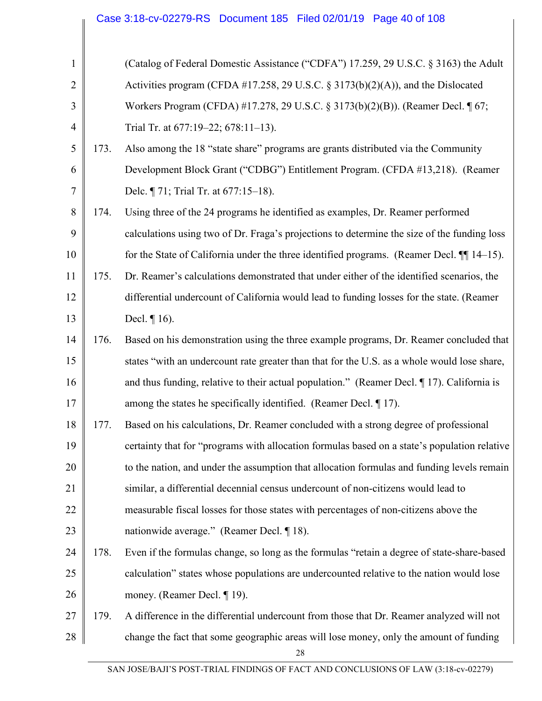|                |      | Case 3:18-cv-02279-RS Document 185 Filed 02/01/19 Page 40 of 108                              |
|----------------|------|-----------------------------------------------------------------------------------------------|
|                |      |                                                                                               |
| $\mathbf{1}$   |      | (Catalog of Federal Domestic Assistance ("CDFA") 17.259, 29 U.S.C. § 3163) the Adult          |
| $\overline{2}$ |      | Activities program (CFDA #17.258, 29 U.S.C. § 3173(b)(2)(A)), and the Dislocated              |
| 3              |      | Workers Program (CFDA) #17.278, 29 U.S.C. § 3173(b)(2)(B)). (Reamer Decl. ¶ 67;               |
| $\overline{4}$ |      | Trial Tr. at 677:19-22; 678:11-13).                                                           |
| 5              | 173. | Also among the 18 "state share" programs are grants distributed via the Community             |
| 6              |      | Development Block Grant ("CDBG") Entitlement Program. (CFDA #13,218). (Reamer                 |
| $\tau$         |      | Delc. ¶ 71; Trial Tr. at 677:15-18).                                                          |
| 8              | 174. | Using three of the 24 programs he identified as examples, Dr. Reamer performed                |
| 9              |      | calculations using two of Dr. Fraga's projections to determine the size of the funding loss   |
| 10             |      | for the State of California under the three identified programs. (Reamer Decl. $\P$ 14–15).   |
| 11             | 175. | Dr. Reamer's calculations demonstrated that under either of the identified scenarios, the     |
| 12             |      | differential undercount of California would lead to funding losses for the state. (Reamer     |
| 13             |      | Decl. $\P$ 16).                                                                               |
| 14             | 176. | Based on his demonstration using the three example programs, Dr. Reamer concluded that        |
| 15             |      | states "with an undercount rate greater than that for the U.S. as a whole would lose share,   |
| 16             |      | and thus funding, relative to their actual population." (Reamer Decl. $\P$ 17). California is |
| 17             |      | among the states he specifically identified. (Reamer Decl. 17).                               |
| 18             | 177. | Based on his calculations, Dr. Reamer concluded with a strong degree of professional          |
| 19             |      | certainty that for "programs with allocation formulas based on a state's population relative  |
| 20             |      | to the nation, and under the assumption that allocation formulas and funding levels remain    |
| 21             |      | similar, a differential decennial census undercount of non-citizens would lead to             |
| 22             |      | measurable fiscal losses for those states with percentages of non-citizens above the          |
| 23             |      | nationwide average." (Reamer Decl. ¶ 18).                                                     |
| 24             | 178. | Even if the formulas change, so long as the formulas "retain a degree of state-share-based    |
| 25             |      | calculation" states whose populations are undercounted relative to the nation would lose      |
| 26             |      | money. (Reamer Decl. ¶ 19).                                                                   |
| 27             | 179. | A difference in the differential undercount from those that Dr. Reamer analyzed will not      |
| 28             |      | change the fact that some geographic areas will lose money, only the amount of funding        |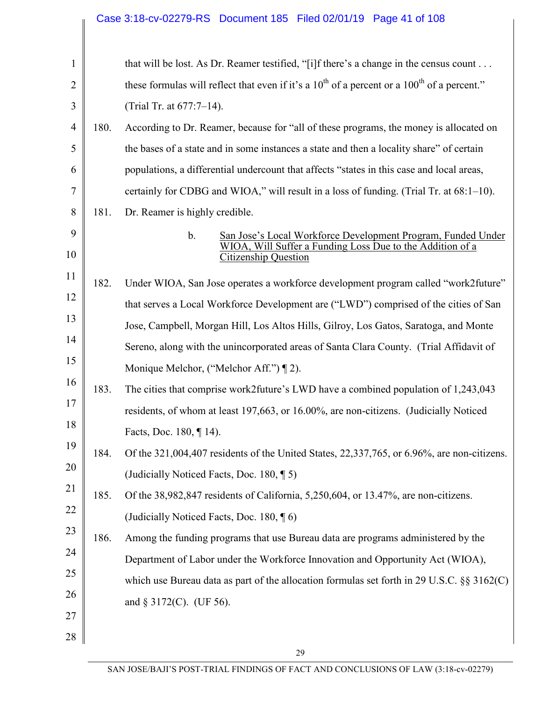|                |      | Case 3:18-cv-02279-RS  Document 185  Filed 02/01/19  Page 41 of 108                                                                                     |
|----------------|------|---------------------------------------------------------------------------------------------------------------------------------------------------------|
|                |      |                                                                                                                                                         |
| $\mathbf{1}$   |      | that will be lost. As Dr. Reamer testified, "[i]f there's a change in the census count                                                                  |
| $\overline{2}$ |      | these formulas will reflect that even if it's a $10^{th}$ of a percent or a $100^{th}$ of a percent."                                                   |
| 3              |      | (Trial Tr. at 677:7-14).                                                                                                                                |
| 4              | 180. | According to Dr. Reamer, because for "all of these programs, the money is allocated on                                                                  |
| 5              |      | the bases of a state and in some instances a state and then a locality share" of certain                                                                |
| 6              |      | populations, a differential undercount that affects "states in this case and local areas,                                                               |
| 7              |      | certainly for CDBG and WIOA," will result in a loss of funding. (Trial Tr. at 68:1–10).                                                                 |
| 8              | 181. | Dr. Reamer is highly credible.                                                                                                                          |
| 9<br>10        |      | San Jose's Local Workforce Development Program, Funded Under<br>$\mathbf b$ .<br>Suffer a Funding Loss Due to the Addition of a<br>Citizenship Question |
| 11             |      |                                                                                                                                                         |
| 12             | 182. | Under WIOA, San Jose operates a workforce development program called "work2future"                                                                      |
| 13             |      | that serves a Local Workforce Development are ("LWD") comprised of the cities of San                                                                    |
| 14             |      | Jose, Campbell, Morgan Hill, Los Altos Hills, Gilroy, Los Gatos, Saratoga, and Monte                                                                    |
|                |      | Sereno, along with the unincorporated areas of Santa Clara County. (Trial Affidavit of                                                                  |
| 15             |      | Monique Melchor, ("Melchor Aff.") [2).                                                                                                                  |
| 16             | 183. | The cities that comprise work2future's LWD have a combined population of 1,243,043                                                                      |
| 17             |      | residents, of whom at least 197,663, or 16.00%, are non-citizens. (Judicially Noticed                                                                   |
| 18             |      | Facts, Doc. 180, ¶ 14).                                                                                                                                 |
| 19             | 184. | Of the 321,004,407 residents of the United States, 22,337,765, or 6.96%, are non-citizens.                                                              |
| 20             |      | (Judicially Noticed Facts, Doc. 180, 15)                                                                                                                |
| 21             | 185. | Of the 38,982,847 residents of California, 5,250,604, or 13.47%, are non-citizens.                                                                      |
| 22             |      | (Judicially Noticed Facts, Doc. 180, 16)                                                                                                                |
| 23             | 186. | Among the funding programs that use Bureau data are programs administered by the                                                                        |
| 24             |      | Department of Labor under the Workforce Innovation and Opportunity Act (WIOA),                                                                          |
| 25             |      | which use Bureau data as part of the allocation formulas set forth in 29 U.S.C. $\S$ 3162(C)                                                            |
| 26             |      | and $\S 3172(C)$ . (UF 56).                                                                                                                             |
| 27             |      |                                                                                                                                                         |
| 28             |      |                                                                                                                                                         |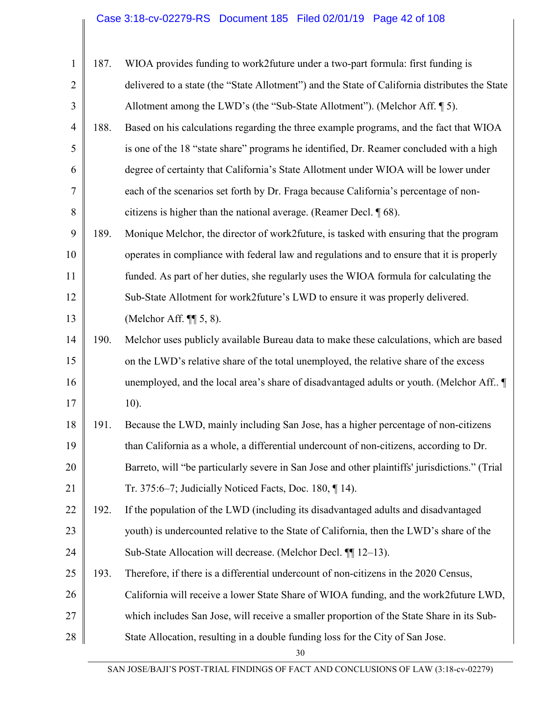# Case 3:18-cv-02279-RS Document 185 Filed 02/01/19 Page 42 of 108

| $\mathbf{1}$   | 187. | WIOA provides funding to work2 future under a two-part formula: first funding is               |
|----------------|------|------------------------------------------------------------------------------------------------|
| $\overline{2}$ |      | delivered to a state (the "State Allotment") and the State of California distributes the State |
| 3              |      | Allotment among the LWD's (the "Sub-State Allotment"). (Melchor Aff. [5].                      |
| $\overline{4}$ | 188. | Based on his calculations regarding the three example programs, and the fact that WIOA         |
| 5              |      | is one of the 18 "state share" programs he identified, Dr. Reamer concluded with a high        |
| 6              |      | degree of certainty that California's State Allotment under WIOA will be lower under           |
| 7              |      | each of the scenarios set forth by Dr. Fraga because California's percentage of non-           |
| 8              |      | citizens is higher than the national average. (Reamer Decl. $\sqrt{68}$ ).                     |
| 9              | 189. | Monique Melchor, the director of work2future, is tasked with ensuring that the program         |
| 10             |      | operates in compliance with federal law and regulations and to ensure that it is properly      |
| 11             |      | funded. As part of her duties, she regularly uses the WIOA formula for calculating the         |
| 12             |      | Sub-State Allotment for work2future's LWD to ensure it was properly delivered.                 |
| 13             |      | (Melchor Aff. $\P$ $\left[$ 5, 8).                                                             |
| 14             | 190. | Melchor uses publicly available Bureau data to make these calculations, which are based        |
| 15             |      | on the LWD's relative share of the total unemployed, the relative share of the excess          |
| 16             |      | unemployed, and the local area's share of disadvantaged adults or youth. (Melchor Aff ¶        |
| 17             |      | $10$ ).                                                                                        |
| 18             | 191. | Because the LWD, mainly including San Jose, has a higher percentage of non-citizens            |
| 19             |      | than California as a whole, a differential undercount of non-citizens, according to Dr.        |
| 20             |      | Barreto, will "be particularly severe in San Jose and other plaintiffs' jurisdictions." (Trial |
| 21             |      | Tr. 375:6–7; Judicially Noticed Facts, Doc. 180, $\P$ 14).                                     |
| 22             | 192. | If the population of the LWD (including its disadvantaged adults and disadvantaged             |
| 23             |      | youth) is undercounted relative to the State of California, then the LWD's share of the        |
| 24             |      | Sub-State Allocation will decrease. (Melchor Decl. ¶ 12–13).                                   |
| 25             | 193. | Therefore, if there is a differential undercount of non-citizens in the 2020 Census,           |
| 26             |      | California will receive a lower State Share of WIOA funding, and the work2future LWD,          |
| 27             |      | which includes San Jose, will receive a smaller proportion of the State Share in its Sub-      |
| 28             |      | State Allocation, resulting in a double funding loss for the City of San Jose.                 |
|                |      |                                                                                                |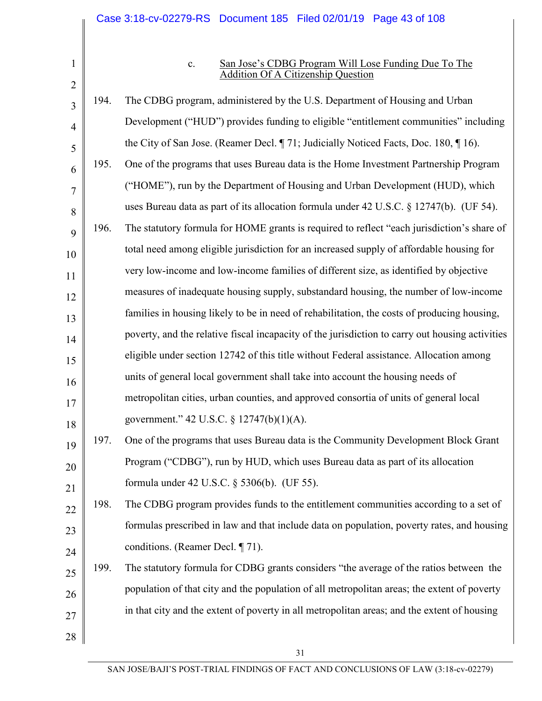1 2

#### c. San Jose's CDBG Program Will Lose Funding Due To The Addition Of A Citizenship Question

3 4 5 6 7 8 9 10 11 12 13 14 15 16 17 18 19 20 21 22 23 24 25 26 27 28 194. The CDBG program, administered by the U.S. Department of Housing and Urban Development ("HUD") provides funding to eligible "entitlement communities" including the City of San Jose. (Reamer Decl. ¶ 71; Judicially Noticed Facts, Doc. 180, ¶ 16). 195. One of the programs that uses Bureau data is the Home Investment Partnership Program ("HOME"), run by the Department of Housing and Urban Development (HUD), which uses Bureau data as part of its allocation formula under 42 U.S.C. § 12747(b). (UF 54). 196. The statutory formula for HOME grants is required to reflect "each jurisdiction's share of total need among eligible jurisdiction for an increased supply of affordable housing for very low-income and low-income families of different size, as identified by objective measures of inadequate housing supply, substandard housing, the number of low-income families in housing likely to be in need of rehabilitation, the costs of producing housing, poverty, and the relative fiscal incapacity of the jurisdiction to carry out housing activities eligible under section 12742 of this title without Federal assistance. Allocation among units of general local government shall take into account the housing needs of metropolitan cities, urban counties, and approved consortia of units of general local government." 42 U.S.C. § 12747(b)(1)(A). 197. One of the programs that uses Bureau data is the Community Development Block Grant Program ("CDBG"), run by HUD, which uses Bureau data as part of its allocation formula under 42 U.S.C. § 5306(b). (UF 55). 198. The CDBG program provides funds to the entitlement communities according to a set of formulas prescribed in law and that include data on population, poverty rates, and housing conditions. (Reamer Decl. ¶ 71). 199. The statutory formula for CDBG grants considers "the average of the ratios between the population of that city and the population of all metropolitan areas; the extent of poverty in that city and the extent of poverty in all metropolitan areas; and the extent of housing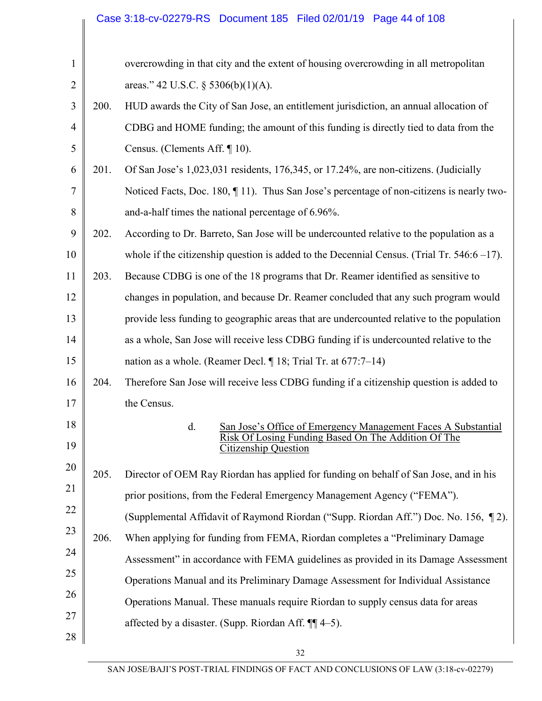|                |      | Case 3:18-cv-02279-RS  Document 185  Filed 02/01/19  Page 44 of 108                                                           |
|----------------|------|-------------------------------------------------------------------------------------------------------------------------------|
|                |      | overcrowding in that city and the extent of housing overcrowding in all metropolitan                                          |
| $\mathbf{1}$   |      |                                                                                                                               |
| $\overline{2}$ |      | areas." 42 U.S.C. $\S$ 5306(b)(1)(A).                                                                                         |
| 3              | 200. | HUD awards the City of San Jose, an entitlement jurisdiction, an annual allocation of                                         |
| $\overline{4}$ |      | CDBG and HOME funding; the amount of this funding is directly tied to data from the                                           |
| 5              |      | Census. (Clements Aff. $\P$ 10).                                                                                              |
| 6              | 201. | Of San Jose's 1,023,031 residents, 176,345, or 17.24%, are non-citizens. (Judicially                                          |
| 7              |      | Noticed Facts, Doc. 180, 11). Thus San Jose's percentage of non-citizens is nearly two-                                       |
| 8              |      | and-a-half times the national percentage of 6.96%.                                                                            |
| 9              | 202. | According to Dr. Barreto, San Jose will be undercounted relative to the population as a                                       |
| 10             |      | whole if the citizenship question is added to the Decennial Census. (Trial Tr. $546.6 - 17$ ).                                |
| 11             | 203. | Because CDBG is one of the 18 programs that Dr. Reamer identified as sensitive to                                             |
| 12             |      | changes in population, and because Dr. Reamer concluded that any such program would                                           |
| 13             |      | provide less funding to geographic areas that are undercounted relative to the population                                     |
| 14             |      | as a whole, San Jose will receive less CDBG funding if is undercounted relative to the                                        |
| 15             |      | nation as a whole. (Reamer Decl. ¶ 18; Trial Tr. at 677:7-14)                                                                 |
| 16             | 204. | Therefore San Jose will receive less CDBG funding if a citizenship question is added to                                       |
| 17             |      | the Census.                                                                                                                   |
| 18             |      | $d$ .<br>San Jose's Office of Emergency Management Faces A Substantial<br>Risk Of Losing Funding Based On The Addition Of The |
| 19             |      | <b>Citizenship Question</b>                                                                                                   |
| 20             | 205. | Director of OEM Ray Riordan has applied for funding on behalf of San Jose, and in his                                         |
| 21             |      | prior positions, from the Federal Emergency Management Agency ("FEMA").                                                       |
| 22             |      | (Supplemental Affidavit of Raymond Riordan ("Supp. Riordan Aff.") Doc. No. 156, 12).                                          |
| 23             | 206. | When applying for funding from FEMA, Riordan completes a "Preliminary Damage"                                                 |
| 24             |      | Assessment" in accordance with FEMA guidelines as provided in its Damage Assessment                                           |
| 25             |      | Operations Manual and its Preliminary Damage Assessment for Individual Assistance                                             |
| 26             |      | Operations Manual. These manuals require Riordan to supply census data for areas                                              |
| 27             |      | affected by a disaster. (Supp. Riordan Aff. $\P\P$ 4-5).                                                                      |
| 28             |      |                                                                                                                               |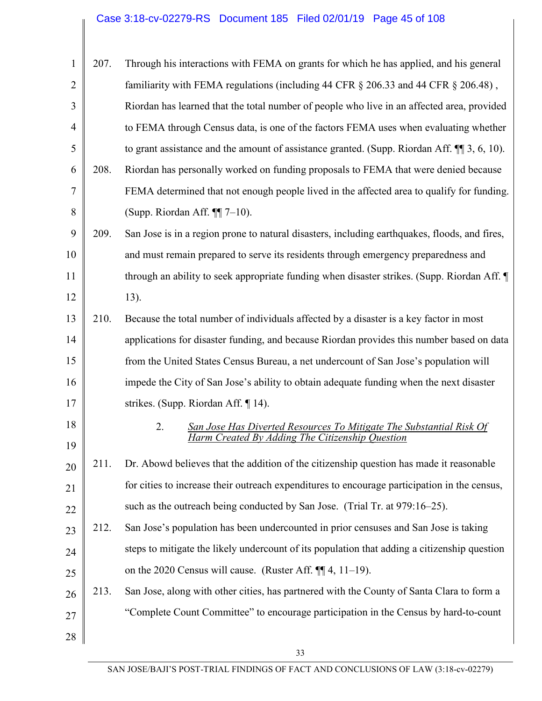# Case 3:18-cv-02279-RS Document 185 Filed 02/01/19 Page 45 of 108

| $\mathbf{1}$   | 207. | Through his interactions with FEMA on grants for which he has applied, and his general                                       |
|----------------|------|------------------------------------------------------------------------------------------------------------------------------|
| $\overline{2}$ |      | familiarity with FEMA regulations (including 44 CFR § 206.33 and 44 CFR § 206.48),                                           |
| 3              |      | Riordan has learned that the total number of people who live in an affected area, provided                                   |
| $\overline{4}$ |      | to FEMA through Census data, is one of the factors FEMA uses when evaluating whether                                         |
| 5              |      | to grant assistance and the amount of assistance granted. (Supp. Riordan Aff. $\P$ ] 3, 6, 10).                              |
| 6              | 208. | Riordan has personally worked on funding proposals to FEMA that were denied because                                          |
| 7              |      | FEMA determined that not enough people lived in the affected area to qualify for funding.                                    |
| 8              |      | (Supp. Riordan Aff. $\P$ $7-10$ ).                                                                                           |
| 9              | 209. | San Jose is in a region prone to natural disasters, including earthquakes, floods, and fires,                                |
| 10             |      | and must remain prepared to serve its residents through emergency preparedness and                                           |
| 11             |      | through an ability to seek appropriate funding when disaster strikes. (Supp. Riordan Aff. ¶                                  |
| 12             |      | 13).                                                                                                                         |
| 13             | 210. | Because the total number of individuals affected by a disaster is a key factor in most                                       |
| 14             |      | applications for disaster funding, and because Riordan provides this number based on data                                    |
| 15             |      | from the United States Census Bureau, a net undercount of San Jose's population will                                         |
| 16             |      | impede the City of San Jose's ability to obtain adequate funding when the next disaster                                      |
| 17             |      | strikes. (Supp. Riordan Aff. $\P$ 14).                                                                                       |
| 18<br>19       |      | 2.<br>San Jose Has Diverted Resources To Mitigate The Substantial Risk Of<br>Harm Created By Adding The Citizenship Question |
| 20             | 211. | Dr. Abowd believes that the addition of the citizenship question has made it reasonable                                      |
| 21             |      | for cities to increase their outreach expenditures to encourage participation in the census,                                 |
| 22             |      | such as the outreach being conducted by San Jose. (Trial Tr. at 979:16–25).                                                  |
| 23             | 212. | San Jose's population has been undercounted in prior censuses and San Jose is taking                                         |
| 24             |      | steps to mitigate the likely undercount of its population that adding a citizenship question                                 |
| 25             |      | on the 2020 Census will cause. (Ruster Aff. $\P$ $[$ $\parallel$ 4, 11–19).                                                  |
| 26             | 213. | San Jose, along with other cities, has partnered with the County of Santa Clara to form a                                    |
| 27             |      | "Complete Count Committee" to encourage participation in the Census by hard-to-count                                         |
| $28\,$         |      |                                                                                                                              |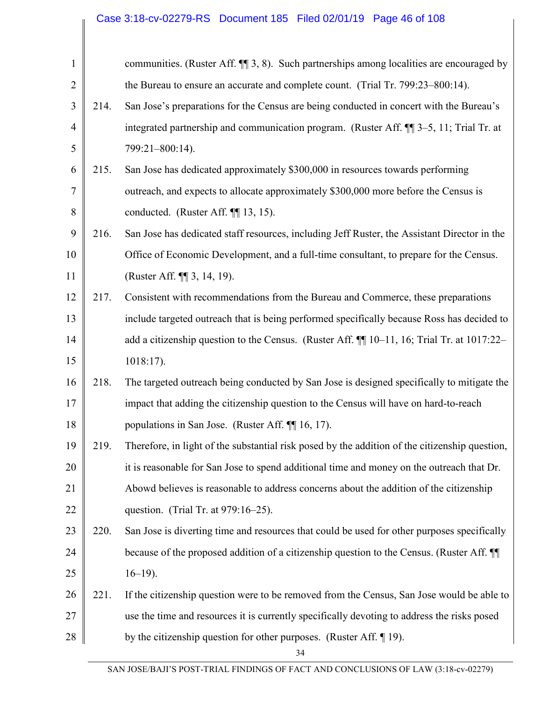# Case 3:18-cv-02279-RS Document 185 Filed 02/01/19 Page 46 of 108

| $\mathbf{1}$   |      | communities. (Ruster Aff. ¶ 3, 8). Such partnerships among localities are encouraged by        |
|----------------|------|------------------------------------------------------------------------------------------------|
| $\overline{2}$ |      | the Bureau to ensure an accurate and complete count. (Trial Tr. 799:23–800:14).                |
| 3              | 214. | San Jose's preparations for the Census are being conducted in concert with the Bureau's        |
| $\overline{4}$ |      | integrated partnership and communication program. (Ruster Aff. ¶ 3-5, 11; Trial Tr. at         |
| 5              |      | 799:21-800:14).                                                                                |
| 6              | 215. | San Jose has dedicated approximately \$300,000 in resources towards performing                 |
| 7              |      | outreach, and expects to allocate approximately \$300,000 more before the Census is            |
| $8\,$          |      | conducted. (Ruster Aff. ¶ 13, 15).                                                             |
| 9              | 216. | San Jose has dedicated staff resources, including Jeff Ruster, the Assistant Director in the   |
| 10             |      | Office of Economic Development, and a full-time consultant, to prepare for the Census.         |
| 11             |      | (Ruster Aff. ¶ 3, 14, 19).                                                                     |
| 12             | 217. | Consistent with recommendations from the Bureau and Commerce, these preparations               |
| 13             |      | include targeted outreach that is being performed specifically because Ross has decided to     |
| 14             |      | add a citizenship question to the Census. (Ruster Aff. 110-11, 16; Trial Tr. at 1017:22-       |
| 15             |      | $1018:17$ ).                                                                                   |
| 16             | 218. | The targeted outreach being conducted by San Jose is designed specifically to mitigate the     |
| 17             |      | impact that adding the citizenship question to the Census will have on hard-to-reach           |
| 18             |      | populations in San Jose. (Ruster Aff. ¶ 16, 17).                                               |
| 19             | 219. | Therefore, in light of the substantial risk posed by the addition of the citizenship question, |
| 20             |      | it is reasonable for San Jose to spend additional time and money on the outreach that Dr.      |
| 21             |      | Abowd believes is reasonable to address concerns about the addition of the citizenship         |
| 22             |      | question. (Trial Tr. at 979:16–25).                                                            |
| 23             | 220. | San Jose is diverting time and resources that could be used for other purposes specifically    |
| 24             |      | because of the proposed addition of a citizenship question to the Census. (Ruster Aff. II      |
| 25             |      | $16-19$ ).                                                                                     |
| 26             | 221. | If the citizenship question were to be removed from the Census, San Jose would be able to      |
| 27             |      | use the time and resources it is currently specifically devoting to address the risks posed    |
| 28             |      | by the citizenship question for other purposes. (Ruster Aff. $\P$ 19).                         |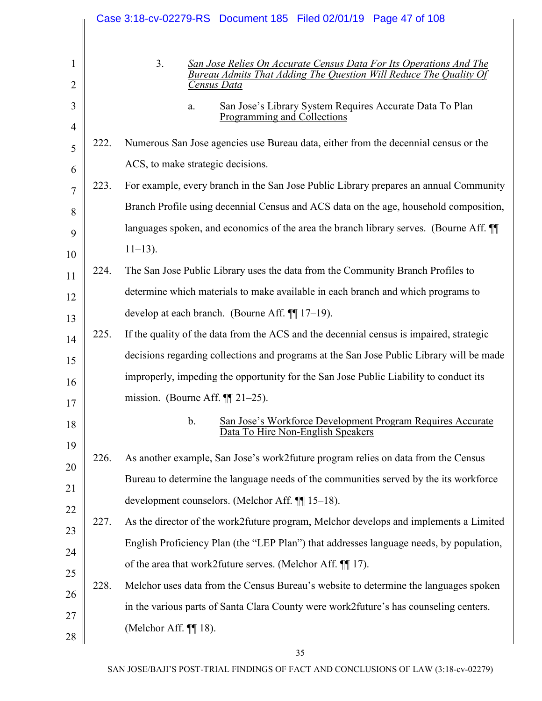|          |      | Case 3:18-cv-02279-RS Document 185 Filed 02/01/19 Page 47 of 108                                                 |
|----------|------|------------------------------------------------------------------------------------------------------------------|
| $\bf{l}$ |      | 3.<br>San Jose Relies On Accurate Census Data For Its Operations And The                                         |
| 2        |      | Bureau Admits That Adding The Question Will Reduce The Quality Of<br>Census Data                                 |
| 3        |      | San Jose's Library System Requires Accurate Data To Plan<br>a.<br><b>Programming and Collections</b>             |
| 4<br>5   | 222. | Numerous San Jose agencies use Bureau data, either from the decennial census or the                              |
| 6        |      | ACS, to make strategic decisions.                                                                                |
| 7        | 223. | For example, every branch in the San Jose Public Library prepares an annual Community                            |
| 8        |      | Branch Profile using decennial Census and ACS data on the age, household composition,                            |
| 9        |      | languages spoken, and economics of the area the branch library serves. (Bourne Aff.                              |
| 10       |      | $11 - 13$ ).                                                                                                     |
| 11       | 224. | The San Jose Public Library uses the data from the Community Branch Profiles to                                  |
| 12       |      | determine which materials to make available in each branch and which programs to                                 |
| 13       |      | develop at each branch. (Bourne Aff. $\P$ [17-19).                                                               |
| 14       | 225. | If the quality of the data from the ACS and the decennial census is impaired, strategic                          |
| 15       |      | decisions regarding collections and programs at the San Jose Public Library will be made                         |
| 16       |      | improperly, impeding the opportunity for the San Jose Public Liability to conduct its                            |
| 17       |      | mission. (Bourne Aff. $\P$ [21–25).                                                                              |
| 18       |      | $\mathbf b$ .<br>San Jose's Workforce Development Program Requires Accurate<br>Data To Hire Non-English Speakers |
| 19<br>20 | 226. | As another example, San Jose's work2 future program relies on data from the Census                               |
| 21       |      | Bureau to determine the language needs of the communities served by the its workforce                            |
| 22       |      | development counselors. (Melchor Aff. ¶ 15–18).                                                                  |
| 23       | 227. | As the director of the work2future program, Melchor develops and implements a Limited                            |
| 24       |      | English Proficiency Plan (the "LEP Plan") that addresses language needs, by population,                          |
| 25       |      | of the area that work2future serves. (Melchor Aff. ¶ 17).                                                        |
| 26       | 228. | Melchor uses data from the Census Bureau's website to determine the languages spoken                             |
| 27       |      | in the various parts of Santa Clara County were work2future's has counseling centers.                            |
| 28       |      | (Melchor Aff. $\P\P$ 18).                                                                                        |
|          |      |                                                                                                                  |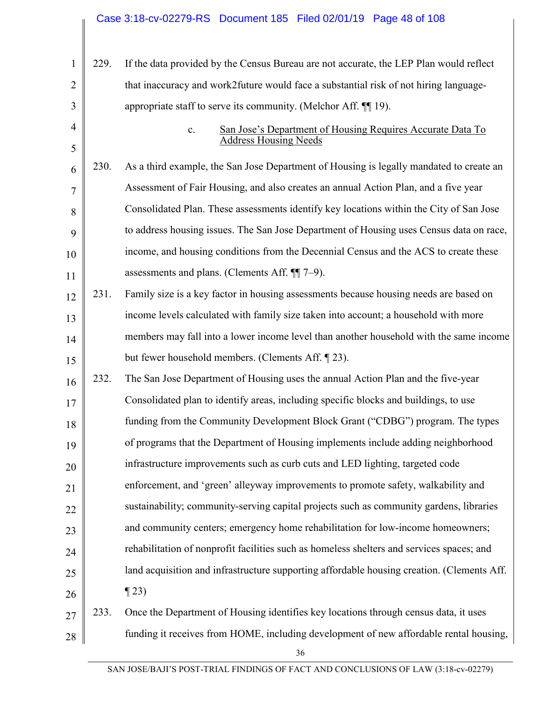| $\mathbf{1}$        | 229. | If the data provided by the Census Bureau are not accurate, the LEP Plan would reflect                       |
|---------------------|------|--------------------------------------------------------------------------------------------------------------|
| $\overline{2}$      |      | that inaccuracy and work2future would face a substantial risk of not hiring language-                        |
| 3                   |      | appropriate staff to serve its community. (Melchor Aff. $\P$ 19).                                            |
| $\overline{4}$<br>5 |      | San Jose's Department of Housing Requires Accurate Data To<br>$\mathbf{c}$ .<br><b>Address Housing Needs</b> |
| 6                   | 230. | As a third example, the San Jose Department of Housing is legally mandated to create an                      |
| $\overline{7}$      |      | Assessment of Fair Housing, and also creates an annual Action Plan, and a five year                          |
| 8                   |      | Consolidated Plan. These assessments identify key locations within the City of San Jose                      |
| 9                   |      | to address housing issues. The San Jose Department of Housing uses Census data on race,                      |
| 10                  |      | income, and housing conditions from the Decennial Census and the ACS to create these                         |
| 11                  |      | assessments and plans. (Clements Aff. ¶ 7-9).                                                                |
| 12                  | 231. | Family size is a key factor in housing assessments because housing needs are based on                        |
| 13                  |      | income levels calculated with family size taken into account; a household with more                          |
| 14                  |      | members may fall into a lower income level than another household with the same income                       |
| 15                  |      | but fewer household members. (Clements Aff. [23).                                                            |
| 16                  | 232. | The San Jose Department of Housing uses the annual Action Plan and the five-year                             |
| 17                  |      | Consolidated plan to identify areas, including specific blocks and buildings, to use                         |
| 18                  |      | funding from the Community Development Block Grant ("CDBG") program. The types                               |
| 19                  |      | of programs that the Department of Housing implements include adding neighborhood                            |
| 20                  |      | infrastructure improvements such as curb cuts and LED lighting, targeted code                                |
| 21                  |      | enforcement, and 'green' alleyway improvements to promote safety, walkability and                            |
| 22                  |      | sustainability; community-serving capital projects such as community gardens, libraries                      |
| 23                  |      | and community centers; emergency home rehabilitation for low-income homeowners;                              |
| 24                  |      | rehabilitation of nonprofit facilities such as homeless shelters and services spaces; and                    |
| 25                  |      | land acquisition and infrastructure supporting affordable housing creation. (Clements Aff.                   |
| 26                  |      | $\P$ 23)                                                                                                     |
| 27                  | 233. | Once the Department of Housing identifies key locations through census data, it uses                         |
| 28                  |      | funding it receives from HOME, including development of new affordable rental housing,                       |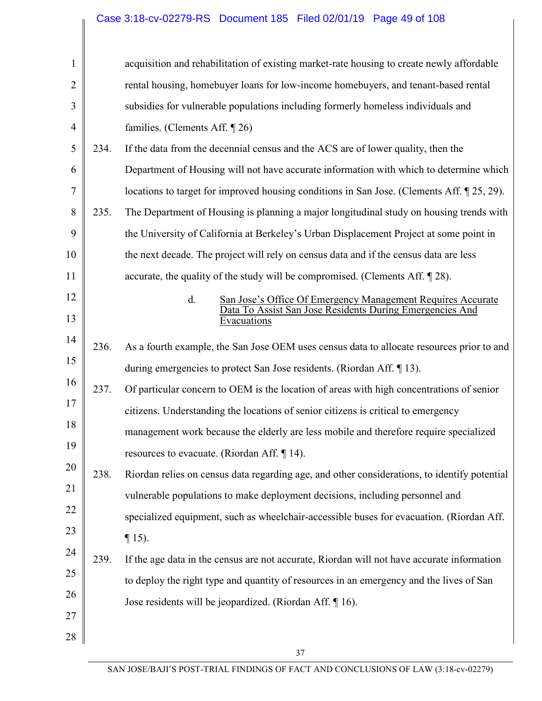|                |      | Case 3:18-cv-02279-RS  Document 185  Filed 02/01/19  Page 49 of 108                                                           |
|----------------|------|-------------------------------------------------------------------------------------------------------------------------------|
|                |      |                                                                                                                               |
| $\mathbf{1}$   |      | acquisition and rehabilitation of existing market-rate housing to create newly affordable                                     |
| $\overline{2}$ |      | rental housing, homebuyer loans for low-income homebuyers, and tenant-based rental                                            |
| 3              |      | subsidies for vulnerable populations including formerly homeless individuals and                                              |
| $\overline{4}$ |      | families. (Clements Aff. $\P$ 26)                                                                                             |
| 5              | 234. | If the data from the decennial census and the ACS are of lower quality, then the                                              |
| 6              |      | Department of Housing will not have accurate information with which to determine which                                        |
| 7              |      | locations to target for improved housing conditions in San Jose. (Clements Aff. 125, 29).                                     |
| 8              | 235. | The Department of Housing is planning a major longitudinal study on housing trends with                                       |
| 9              |      | the University of California at Berkeley's Urban Displacement Project at some point in                                        |
| 10             |      | the next decade. The project will rely on census data and if the census data are less                                         |
| 11             |      | accurate, the quality of the study will be compromised. (Clements Aff. 128).                                                  |
| 12             |      | d.<br>San Jose's Office Of Emergency Management Requires Accurate<br>Data To Assist San Jose Residents During Emergencies And |
| 13             |      | Evacuations                                                                                                                   |
| 14             | 236. | As a fourth example, the San Jose OEM uses census data to allocate resources prior to and                                     |
| 15             |      | during emergencies to protect San Jose residents. (Riordan Aff. 13).                                                          |
| 16             | 237. | Of particular concern to OEM is the location of areas with high concentrations of senior                                      |
| 17             |      | citizens. Understanding the locations of senior citizens is critical to emergency                                             |
| 18             |      | management work because the elderly are less mobile and therefore require specialized                                         |
| 19             |      | resources to evacuate. (Riordan Aff. $\P$ 14).                                                                                |
| 20             | 238. | Riordan relies on census data regarding age, and other considerations, to identify potential                                  |
| 21             |      | vulnerable populations to make deployment decisions, including personnel and                                                  |
| 22             |      | specialized equipment, such as wheelchair-accessible buses for evacuation. (Riordan Aff.                                      |
| 23             |      | $\P$ 15).                                                                                                                     |
| 24             | 239. | If the age data in the census are not accurate, Riordan will not have accurate information                                    |
| 25             |      | to deploy the right type and quantity of resources in an emergency and the lives of San                                       |
| 26             |      | Jose residents will be jeopardized. (Riordan Aff. ¶ 16).                                                                      |
| 27             |      |                                                                                                                               |
| 28             |      |                                                                                                                               |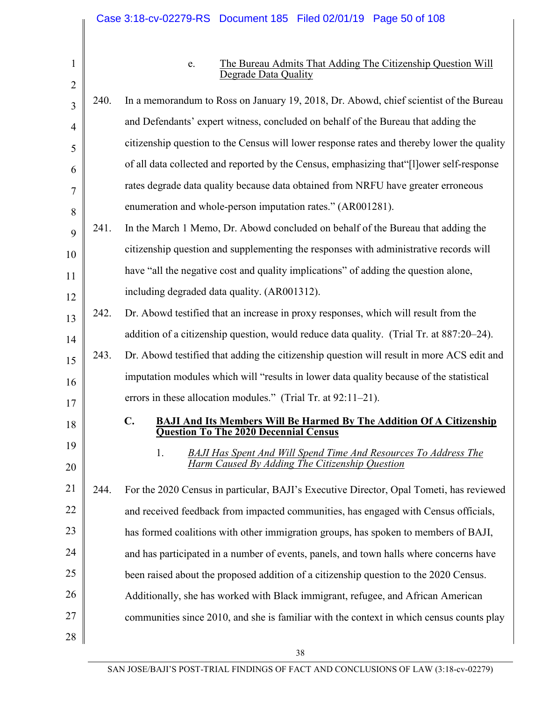1 2

### e. The Bureau Admits That Adding The Citizenship Question Will Degrade Data Quality

| 3              | 240. | In a memorandum to Ross on January 19, 2018, Dr. Abowd, chief scientist of the Bureau                                                         |
|----------------|------|-----------------------------------------------------------------------------------------------------------------------------------------------|
| $\overline{4}$ |      | and Defendants' expert witness, concluded on behalf of the Bureau that adding the                                                             |
| 5              |      | citizenship question to the Census will lower response rates and thereby lower the quality                                                    |
| 6              |      | of all data collected and reported by the Census, emphasizing that "[I] ower self-response                                                    |
| 7              |      | rates degrade data quality because data obtained from NRFU have greater erroneous                                                             |
| 8              |      | enumeration and whole-person imputation rates." (AR001281).                                                                                   |
| 9              | 241. | In the March 1 Memo, Dr. Abowd concluded on behalf of the Bureau that adding the                                                              |
| 10             |      | citizenship question and supplementing the responses with administrative records will                                                         |
| 11             |      | have "all the negative cost and quality implications" of adding the question alone,                                                           |
| 12             |      | including degraded data quality. (AR001312).                                                                                                  |
| 13             | 242. | Dr. Abowd testified that an increase in proxy responses, which will result from the                                                           |
| 14             |      | addition of a citizenship question, would reduce data quality. (Trial Tr. at 887:20–24).                                                      |
| 15             | 243. | Dr. Abowd testified that adding the citizenship question will result in more ACS edit and                                                     |
| 16             |      | imputation modules which will "results in lower data quality because of the statistical                                                       |
| 17             |      | errors in these allocation modules." (Trial Tr. at 92:11–21).                                                                                 |
| 18             |      | $\mathbf{C}$ .<br><b>BAJI And Its Members Will Be Harmed By The Addition Of A Citizenship</b><br><b>Question To The 2020 Decennial Census</b> |
| 19<br>20       |      | 1.<br><b>BAJI Has Spent And Will Spend Time And Resources To Address The</b><br>Harm Caused By Adding The Citizenship Question                |
| 21             | 244. | For the 2020 Census in particular, BAJI's Executive Director, Opal Tometi, has reviewed                                                       |
| 22             |      | and received feedback from impacted communities, has engaged with Census officials,                                                           |
| 23             |      | has formed coalitions with other immigration groups, has spoken to members of BAJI,                                                           |
| 24             |      | and has participated in a number of events, panels, and town halls where concerns have                                                        |
| 25             |      | been raised about the proposed addition of a citizenship question to the 2020 Census.                                                         |
| 26             |      | Additionally, she has worked with Black immigrant, refugee, and African American                                                              |
| 27             |      | communities since 2010, and she is familiar with the context in which census counts play                                                      |
| 28             |      |                                                                                                                                               |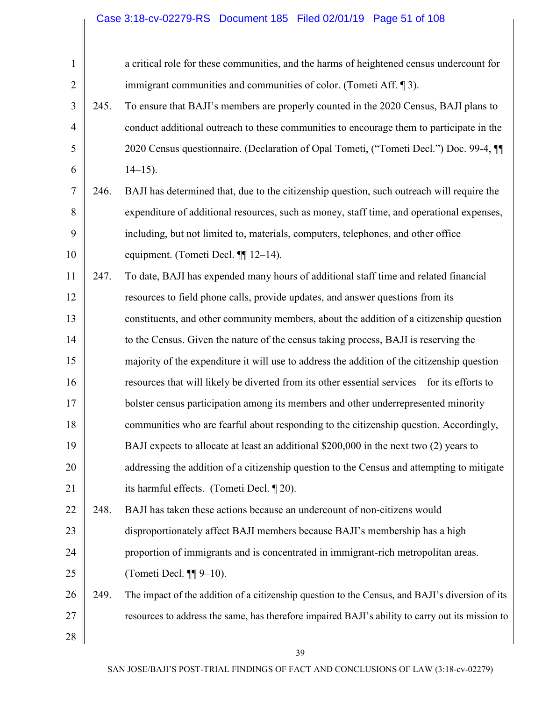# Case 3:18-cv-02279-RS Document 185 Filed 02/01/19 Page 51 of 108

| 245. | a critical role for these communities, and the harms of heightened census undercount for<br>immigrant communities and communities of color. (Tometi Aff. $\P$ 3).<br>To ensure that BAJI's members are properly counted in the 2020 Census, BAJI plans to<br>conduct additional outreach to these communities to encourage them to participate in the |
|------|-------------------------------------------------------------------------------------------------------------------------------------------------------------------------------------------------------------------------------------------------------------------------------------------------------------------------------------------------------|
|      |                                                                                                                                                                                                                                                                                                                                                       |
|      |                                                                                                                                                                                                                                                                                                                                                       |
|      |                                                                                                                                                                                                                                                                                                                                                       |
|      |                                                                                                                                                                                                                                                                                                                                                       |
|      | 2020 Census questionnaire. (Declaration of Opal Tometi, ("Tometi Decl.") Doc. 99-4, ¶                                                                                                                                                                                                                                                                 |
|      | $14-15$ ).                                                                                                                                                                                                                                                                                                                                            |
| 246. | BAJI has determined that, due to the citizenship question, such outreach will require the                                                                                                                                                                                                                                                             |
|      | expenditure of additional resources, such as money, staff time, and operational expenses,                                                                                                                                                                                                                                                             |
|      | including, but not limited to, materials, computers, telephones, and other office                                                                                                                                                                                                                                                                     |
|      | equipment. (Tometi Decl. ¶ 12–14).                                                                                                                                                                                                                                                                                                                    |
| 247. | To date, BAJI has expended many hours of additional staff time and related financial                                                                                                                                                                                                                                                                  |
|      | resources to field phone calls, provide updates, and answer questions from its                                                                                                                                                                                                                                                                        |
|      | constituents, and other community members, about the addition of a citizenship question                                                                                                                                                                                                                                                               |
|      | to the Census. Given the nature of the census taking process, BAJI is reserving the                                                                                                                                                                                                                                                                   |
|      | majority of the expenditure it will use to address the addition of the citizenship question—                                                                                                                                                                                                                                                          |
|      | resources that will likely be diverted from its other essential services—for its efforts to                                                                                                                                                                                                                                                           |
|      | bolster census participation among its members and other underrepresented minority                                                                                                                                                                                                                                                                    |
|      | communities who are fearful about responding to the citizenship question. Accordingly,                                                                                                                                                                                                                                                                |
|      | BAJI expects to allocate at least an additional \$200,000 in the next two (2) years to                                                                                                                                                                                                                                                                |
|      | addressing the addition of a citizenship question to the Census and attempting to mitigate                                                                                                                                                                                                                                                            |
|      | its harmful effects. (Tometi Decl. 120).                                                                                                                                                                                                                                                                                                              |
| 248. | BAJI has taken these actions because an undercount of non-citizens would                                                                                                                                                                                                                                                                              |
|      | disproportionately affect BAJI members because BAJI's membership has a high                                                                                                                                                                                                                                                                           |
|      | proportion of immigrants and is concentrated in immigrant-rich metropolitan areas.                                                                                                                                                                                                                                                                    |
|      | (Tometi Decl. $\P\P$ 9-10).                                                                                                                                                                                                                                                                                                                           |
|      | The impact of the addition of a citizenship question to the Census, and BAJI's diversion of its                                                                                                                                                                                                                                                       |
|      |                                                                                                                                                                                                                                                                                                                                                       |
|      | resources to address the same, has therefore impaired BAJI's ability to carry out its mission to                                                                                                                                                                                                                                                      |
|      | 249.                                                                                                                                                                                                                                                                                                                                                  |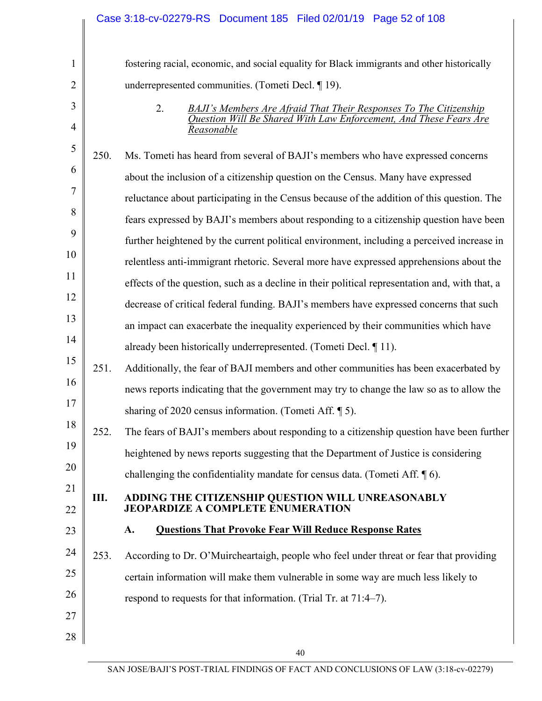|                |      | Case 3:18-cv-02279-RS  Document 185  Filed 02/01/19  Page 52 of 108                            |
|----------------|------|------------------------------------------------------------------------------------------------|
|                |      |                                                                                                |
| 1              |      | fostering racial, economic, and social equality for Black immigrants and other historically    |
| 2              |      | underrepresented communities. (Tometi Decl. ¶ 19).                                             |
| 3              |      | 2.<br><b>BAJI's Members Are Afraid That Their Responses To The Citizenship</b>                 |
| $\overline{4}$ |      | Question Will Be Shared With Law Enforcement, And These Fears Are<br>Reasonable                |
| 5              | 250. | Ms. Tometi has heard from several of BAJI's members who have expressed concerns                |
| 6              |      | about the inclusion of a citizenship question on the Census. Many have expressed               |
| 7              |      | reluctance about participating in the Census because of the addition of this question. The     |
| 8              |      | fears expressed by BAJI's members about responding to a citizenship question have been         |
| 9              |      | further heightened by the current political environment, including a perceived increase in     |
| 10             |      | relentless anti-immigrant rhetoric. Several more have expressed apprehensions about the        |
| 11             |      | effects of the question, such as a decline in their political representation and, with that, a |
| 12             |      | decrease of critical federal funding. BAJI's members have expressed concerns that such         |
| 13             |      | an impact can exacerbate the inequality experienced by their communities which have            |
| 14             |      | already been historically underrepresented. (Tometi Decl. 11).                                 |
| 15             | 251. | Additionally, the fear of BAJI members and other communities has been exacerbated by           |
| 16             |      | news reports indicating that the government may try to change the law so as to allow the       |
| 17             |      | sharing of 2020 census information. (Tometi Aff. 15).                                          |
| 18             | 252. | The fears of BAJI's members about responding to a citizenship question have been further       |
| 19             |      | heightened by news reports suggesting that the Department of Justice is considering            |
| 20             |      | challenging the confidentiality mandate for census data. (Tometi Aff. $\lceil \phi \rceil$ 6). |
| 21             | Ш.   | ADDING THE CITIZENSHIP QUESTION WILL UNREASONABLY<br><b>JEOPARDIZE A COMPLETE ENUMERATION</b>  |
| 22             |      |                                                                                                |
| 23             |      | <b>Questions That Provoke Fear Will Reduce Response Rates</b><br>A.                            |
| 24             | 253. | According to Dr. O'Muircheartaigh, people who feel under threat or fear that providing         |
| 25             |      | certain information will make them vulnerable in some way are much less likely to              |
| 26             |      | respond to requests for that information. (Trial Tr. at 71:4–7).                               |
| 27             |      |                                                                                                |
| 28             |      |                                                                                                |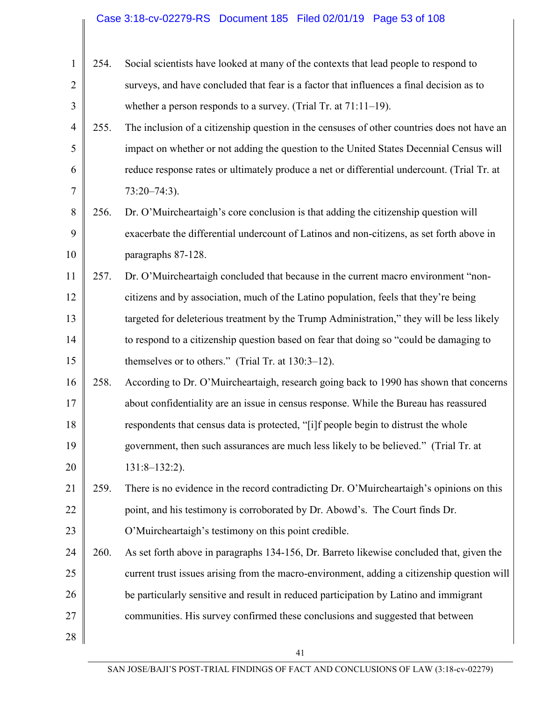# Case 3:18-cv-02279-RS Document 185 Filed 02/01/19 Page 53 of 108

| $\mathbf{1}$   | 254. | Social scientists have looked at many of the contexts that lead people to respond to        |
|----------------|------|---------------------------------------------------------------------------------------------|
| $\overline{2}$ |      | surveys, and have concluded that fear is a factor that influences a final decision as to    |
| 3              |      | whether a person responds to a survey. (Trial Tr. at $71:11-19$ ).                          |
| $\overline{4}$ | 255. | The inclusion of a citizenship question in the censuses of other countries does not have an |
| 5              |      | impact on whether or not adding the question to the United States Decennial Census will     |
| 6              |      | reduce response rates or ultimately produce a net or differential undercount. (Trial Tr. at |
| 7              |      | $73:20 - 74:3$ ).                                                                           |
| 8              | 256. | Dr. O'Muircheartaigh's core conclusion is that adding the citizenship question will         |
| 9              |      | exacerbate the differential undercount of Latinos and non-citizens, as set forth above in   |
| 10             |      | paragraphs 87-128.                                                                          |
| 11             | 257. | Dr. O'Muircheartaigh concluded that because in the current macro environment "non-          |
| 12             |      | citizens and by association, much of the Latino population, feels that they're being        |
| 13             |      | targeted for deleterious treatment by the Trump Administration," they will be less likely   |
| 14             |      | to respond to a citizenship question based on fear that doing so "could be damaging to      |
| 15             |      | themselves or to others." (Trial Tr. at 130:3-12).                                          |
| 16             | 258. | According to Dr. O'Muircheartaigh, research going back to 1990 has shown that concerns      |
| 17             |      | about confidentiality are an issue in census response. While the Bureau has reassured       |
| 18             |      | respondents that census data is protected, "[i]f people begin to distrust the whole         |
| 19             |      | government, then such assurances are much less likely to be believed." (Trial Tr. at        |
| 20             |      | $131:8-132:2$ ).                                                                            |
| 21             | 259. | There is no evidence in the record contradicting Dr. O'Muircheartaigh's opinions on this    |
| 22             |      | point, and his testimony is corroborated by Dr. Abowd's. The Court finds Dr.                |
| 23             |      | O'Muircheartaigh's testimony on this point credible.                                        |
| 24             | 260. | As set forth above in paragraphs 134-156, Dr. Barreto likewise concluded that, given the    |
| 25             |      | current trust issues arising from the macro-environment, adding a citizenship question will |
| 26             |      | be particularly sensitive and result in reduced participation by Latino and immigrant       |
| 27             |      | communities. His survey confirmed these conclusions and suggested that between              |
| 28             |      |                                                                                             |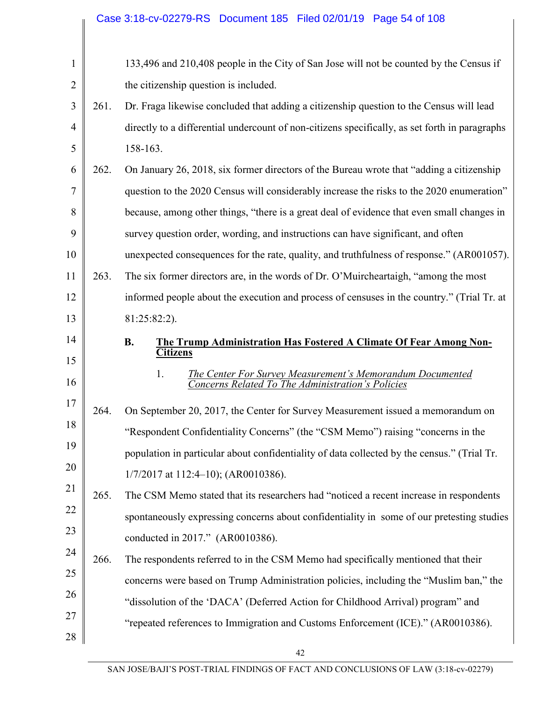|                |      | Case 3:18-cv-02279-RS Document 185 Filed 02/01/19 Page 54 of 108                                                     |
|----------------|------|----------------------------------------------------------------------------------------------------------------------|
|                |      |                                                                                                                      |
| 1              |      | 133,496 and 210,408 people in the City of San Jose will not be counted by the Census if                              |
| $\overline{c}$ |      | the citizenship question is included.                                                                                |
| 3              | 261. | Dr. Fraga likewise concluded that adding a citizenship question to the Census will lead                              |
| 4              |      | directly to a differential undercount of non-citizens specifically, as set forth in paragraphs                       |
| 5              |      | 158-163.                                                                                                             |
| 6              | 262. | On January 26, 2018, six former directors of the Bureau wrote that "adding a citizenship"                            |
| 7              |      | question to the 2020 Census will considerably increase the risks to the 2020 enumeration"                            |
| 8              |      | because, among other things, "there is a great deal of evidence that even small changes in                           |
| 9              |      | survey question order, wording, and instructions can have significant, and often                                     |
| 10             |      | unexpected consequences for the rate, quality, and truthfulness of response." (AR001057).                            |
| 11             | 263. | The six former directors are, in the words of Dr. O'Muircheartaigh, "among the most                                  |
| 12             |      | informed people about the execution and process of censuses in the country." (Trial Tr. at                           |
| 13             |      | $81:25:82:2$ ).                                                                                                      |
|                |      |                                                                                                                      |
| 14             |      | <b>B.</b><br>The Trump Administration Has Fostered A Climate Of Fear Among Non-<br><b>Citizens</b>                   |
| 15<br>16       |      | 1.<br>The Center For Survey Measurement's Memorandum Documented<br>Concerns Related To The Administration's Policies |
| 17             | 264. | On September 20, 2017, the Center for Survey Measurement issued a memorandum on                                      |
| 18             |      | "Respondent Confidentiality Concerns" (the "CSM Memo") raising "concerns in the                                      |
| 19             |      | population in particular about confidentiality of data collected by the census." (Trial Tr.                          |
| 20             |      | $1/7/2017$ at $112:4-10$ ; (AR0010386).                                                                              |
| 21             | 265. | The CSM Memo stated that its researchers had "noticed a recent increase in respondents                               |
| 22             |      | spontaneously expressing concerns about confidentiality in some of our pretesting studies                            |
| 23             |      | conducted in 2017." (AR0010386).                                                                                     |
| 24             | 266. | The respondents referred to in the CSM Memo had specifically mentioned that their                                    |
| 25             |      | concerns were based on Trump Administration policies, including the "Muslim ban," the                                |
| 26             |      | "dissolution of the 'DACA' (Deferred Action for Childhood Arrival) program" and                                      |
| 27             |      | "repeated references to Immigration and Customs Enforcement (ICE)." (AR0010386).                                     |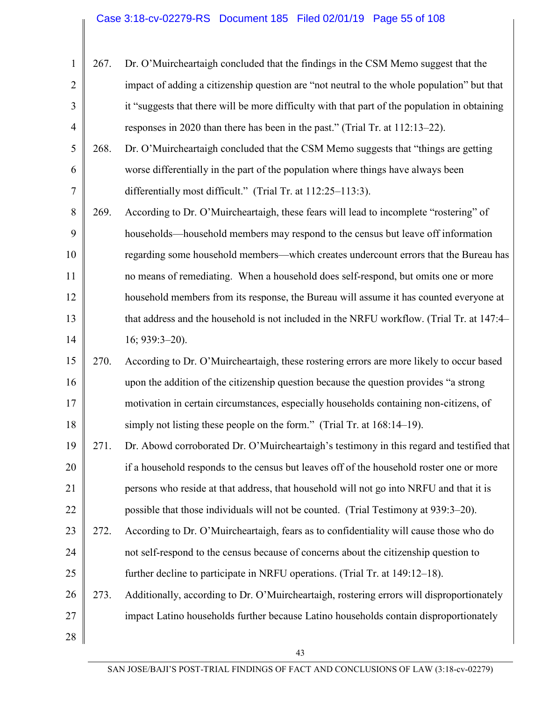| $\mathbf{1}$   | 267. | Dr. O'Muircheartaigh concluded that the findings in the CSM Memo suggest that the             |
|----------------|------|-----------------------------------------------------------------------------------------------|
| $\overline{2}$ |      | impact of adding a citizenship question are "not neutral to the whole population" but that    |
| 3              |      | it "suggests that there will be more difficulty with that part of the population in obtaining |
| $\overline{4}$ |      | responses in 2020 than there has been in the past." (Trial Tr. at 112:13–22).                 |
| 5              | 268. | Dr. O'Muircheartaigh concluded that the CSM Memo suggests that "things are getting            |
| 6              |      | worse differentially in the part of the population where things have always been              |
| 7              |      | differentially most difficult." (Trial Tr. at 112:25–113:3).                                  |
| 8              | 269. | According to Dr. O'Muircheartaigh, these fears will lead to incomplete "rostering" of         |
| 9              |      | households—household members may respond to the census but leave off information              |
| 10             |      | regarding some household members—which creates undercount errors that the Bureau has          |
| 11             |      | no means of remediating. When a household does self-respond, but omits one or more            |
| 12             |      | household members from its response, the Bureau will assume it has counted everyone at        |
| 13             |      | that address and the household is not included in the NRFU workflow. (Trial Tr. at 147:4-     |
| 14             |      | $16; 939:3-20$ ).                                                                             |
| 15             | 270. | According to Dr. O'Muircheartaigh, these rostering errors are more likely to occur based      |
| 16             |      | upon the addition of the citizenship question because the question provides "a strong         |
| 17             |      | motivation in certain circumstances, especially households containing non-citizens, of        |
| 18             |      | simply not listing these people on the form." (Trial Tr. at 168:14–19).                       |
| 19             | 271. | Dr. Abowd corroborated Dr. O'Muircheartaigh's testimony in this regard and testified that     |
| 20             |      | if a household responds to the census but leaves off of the household roster one or more      |
| 21             |      | persons who reside at that address, that household will not go into NRFU and that it is       |
| 22             |      | possible that those individuals will not be counted. (Trial Testimony at 939:3–20).           |
| 23             | 272. | According to Dr. O'Muircheartaigh, fears as to confidentiality will cause those who do        |
| 24             |      | not self-respond to the census because of concerns about the citizenship question to          |
| 25             |      | further decline to participate in NRFU operations. (Trial Tr. at 149:12–18).                  |
| 26             | 273. | Additionally, according to Dr. O'Muircheartaigh, rostering errors will disproportionately     |
| 27             |      | impact Latino households further because Latino households contain disproportionately         |
| 28             |      |                                                                                               |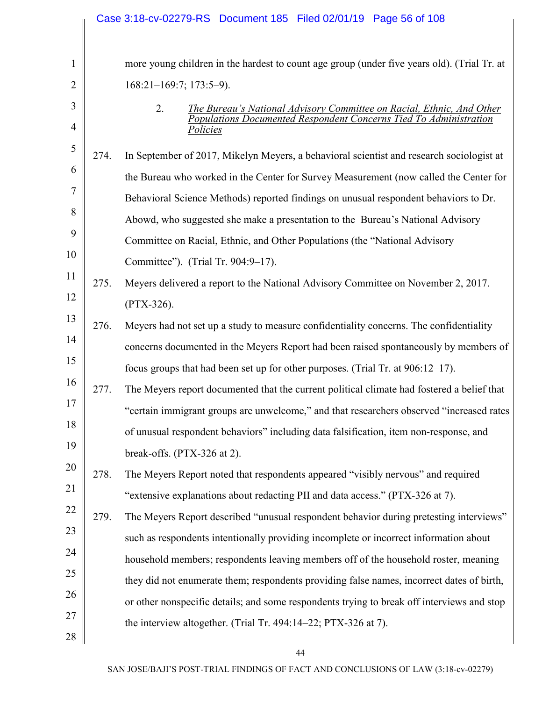|                |      | Case 3:18-cv-02279-RS Document 185 Filed 02/01/19 Page 56 of 108                            |
|----------------|------|---------------------------------------------------------------------------------------------|
|                |      |                                                                                             |
| $\mathbf{1}$   |      | more young children in the hardest to count age group (under five years old). (Trial Tr. at |
| 2              |      | $168:21-169:7$ ; $173:5-9$ ).                                                               |
| 3              |      | 2.<br>The Bureau's National Advisory Committee on Racial, Ethnic, And Other                 |
| $\overline{4}$ |      | Populations Documented Respondent Concerns Tied To Administration<br>Policies               |
| 5              | 274. | In September of 2017, Mikelyn Meyers, a behavioral scientist and research sociologist at    |
| 6              |      | the Bureau who worked in the Center for Survey Measurement (now called the Center for       |
| 7              |      | Behavioral Science Methods) reported findings on unusual respondent behaviors to Dr.        |
| 8              |      | Abowd, who suggested she make a presentation to the Bureau's National Advisory              |
| 9              |      | Committee on Racial, Ethnic, and Other Populations (the "National Advisory                  |
| 10             |      | Committee"). (Trial Tr. 904:9-17).                                                          |
| 11             | 275. | Meyers delivered a report to the National Advisory Committee on November 2, 2017.           |
| 12             |      | $(PTX-326).$                                                                                |
| 13             | 276. | Meyers had not set up a study to measure confidentiality concerns. The confidentiality      |
| 14             |      | concerns documented in the Meyers Report had been raised spontaneously by members of        |
| 15             |      | focus groups that had been set up for other purposes. (Trial Tr. at 906:12-17).             |
| 16             | 277. | The Meyers report documented that the current political climate had fostered a belief that  |
| 17             |      | 'certain immigrant groups are unwelcome," and that researchers observed "increased rates    |
| 18             |      | of unusual respondent behaviors" including data falsification, item non-response, and       |
| 19             |      | break-offs. (PTX-326 at 2).                                                                 |
| 20             | 278. | The Meyers Report noted that respondents appeared "visibly nervous" and required            |
| 21             |      | "extensive explanations about redacting PII and data access." (PTX-326 at 7).               |
| 22             | 279. | The Meyers Report described "unusual respondent behavior during pretesting interviews"      |
| 23             |      | such as respondents intentionally providing incomplete or incorrect information about       |
| 24             |      | household members; respondents leaving members off of the household roster, meaning         |
| 25             |      | they did not enumerate them; respondents providing false names, incorrect dates of birth,   |
| 26             |      | or other nonspecific details; and some respondents trying to break off interviews and stop  |
| 27             |      | the interview altogether. (Trial Tr. 494:14–22; PTX-326 at 7).                              |
| 28             |      |                                                                                             |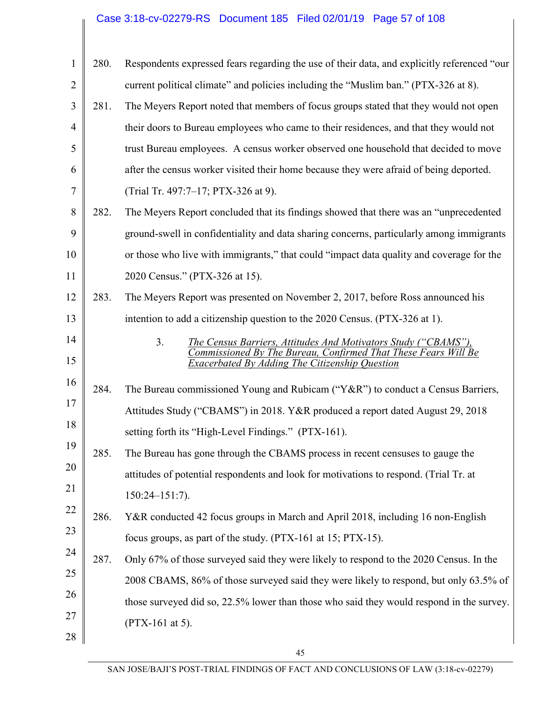## Case 3:18-cv-02279-RS Document 185 Filed 02/01/19 Page 57 of 108

| $\mathbf{1}$   | 280. | Respondents expressed fears regarding the use of their data, and explicitly referenced "our                                                        |
|----------------|------|----------------------------------------------------------------------------------------------------------------------------------------------------|
| $\overline{2}$ |      | current political climate" and policies including the "Muslim ban." (PTX-326 at 8).                                                                |
| 3              | 281. | The Meyers Report noted that members of focus groups stated that they would not open                                                               |
| $\overline{4}$ |      | their doors to Bureau employees who came to their residences, and that they would not                                                              |
| 5              |      | trust Bureau employees. A census worker observed one household that decided to move                                                                |
| 6              |      | after the census worker visited their home because they were afraid of being deported.                                                             |
| 7              |      | (Trial Tr. 497:7-17; PTX-326 at 9).                                                                                                                |
| 8              | 282. | The Meyers Report concluded that its findings showed that there was an "unprecedented"                                                             |
| 9              |      | ground-swell in confidentiality and data sharing concerns, particularly among immigrants                                                           |
| 10             |      | or those who live with immigrants," that could "impact data quality and coverage for the                                                           |
| 11             |      | 2020 Census." (PTX-326 at 15).                                                                                                                     |
| 12             | 283. | The Meyers Report was presented on November 2, 2017, before Ross announced his                                                                     |
| 13             |      | intention to add a citizenship question to the 2020 Census. (PTX-326 at 1).                                                                        |
| 14             |      | 3 <sub>1</sub><br>The Census Barriers, Attitudes And Motivators Study ("CBAMS"),<br>Commissioned By The Bureau, Confirmed That These Fears Will Be |
| 15             |      | Exacerbated By Adding The Citizenship Question                                                                                                     |
| 16             | 284. | The Bureau commissioned Young and Rubicam ("Y&R") to conduct a Census Barriers,                                                                    |
| 17             |      | Attitudes Study ("CBAMS") in 2018. Y&R produced a report dated August 29, 2018                                                                     |
| 18             |      | setting forth its "High-Level Findings." (PTX-161).                                                                                                |
| 19             | 285. | The Bureau has gone through the CBAMS process in recent censuses to gauge the                                                                      |
| 20             |      | attitudes of potential respondents and look for motivations to respond. (Trial Tr. at                                                              |
| 21             |      | $150:24 - 151:7$ .                                                                                                                                 |
| 22             | 286. | Y&R conducted 42 focus groups in March and April 2018, including 16 non-English                                                                    |
| 23             |      | focus groups, as part of the study. (PTX-161 at 15; PTX-15).                                                                                       |
| 24             | 287. | Only 67% of those surveyed said they were likely to respond to the 2020 Census. In the                                                             |
| 25             |      | 2008 CBAMS, 86% of those surveyed said they were likely to respond, but only 63.5% of                                                              |
| 26             |      | those surveyed did so, 22.5% lower than those who said they would respond in the survey.                                                           |
| 27             |      | (PTX-161 at 5).                                                                                                                                    |
| 28             |      |                                                                                                                                                    |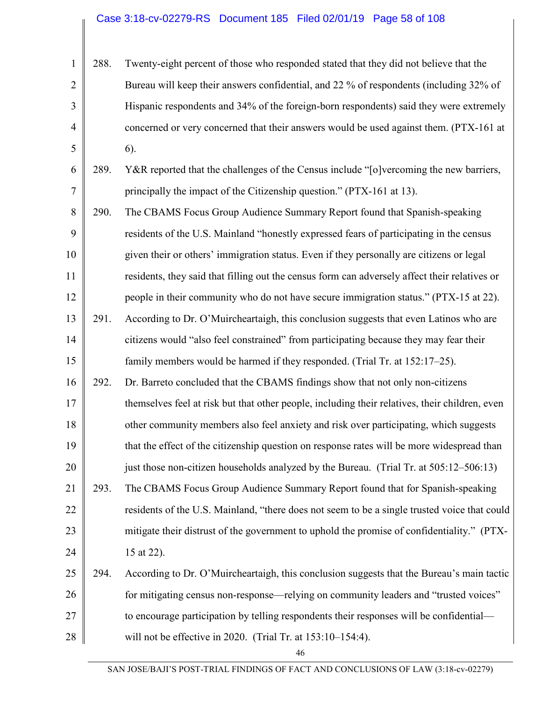1 2 3 4 5 288. Twenty-eight percent of those who responded stated that they did not believe that the Bureau will keep their answers confidential, and 22 % of respondents (including 32% of Hispanic respondents and 34% of the foreign-born respondents) said they were extremely concerned or very concerned that their answers would be used against them. (PTX-161 at 6).

6 7 289. Y&R reported that the challenges of the Census include "[o]vercoming the new barriers, principally the impact of the Citizenship question." (PTX-161 at 13).

8 9 10 11 12 13 290. The CBAMS Focus Group Audience Summary Report found that Spanish-speaking residents of the U.S. Mainland "honestly expressed fears of participating in the census given their or others' immigration status. Even if they personally are citizens or legal residents, they said that filling out the census form can adversely affect their relatives or people in their community who do not have secure immigration status." (PTX-15 at 22). 291. According to Dr. O'Muircheartaigh, this conclusion suggests that even Latinos who are

14 15 citizens would "also feel constrained" from participating because they may fear their family members would be harmed if they responded. (Trial Tr. at 152:17–25).

16 17 18 19 20 292. Dr. Barreto concluded that the CBAMS findings show that not only non-citizens themselves feel at risk but that other people, including their relatives, their children, even other community members also feel anxiety and risk over participating, which suggests that the effect of the citizenship question on response rates will be more widespread than just those non-citizen households analyzed by the Bureau. (Trial Tr. at 505:12–506:13)

21 22 23 24 293. The CBAMS Focus Group Audience Summary Report found that for Spanish-speaking residents of the U.S. Mainland, "there does not seem to be a single trusted voice that could mitigate their distrust of the government to uphold the promise of confidentiality." (PTX-15 at 22).

25 26 27 28 294. According to Dr. O'Muircheartaigh, this conclusion suggests that the Bureau's main tactic for mitigating census non-response—relying on community leaders and "trusted voices" to encourage participation by telling respondents their responses will be confidential will not be effective in 2020. (Trial Tr. at 153:10–154:4).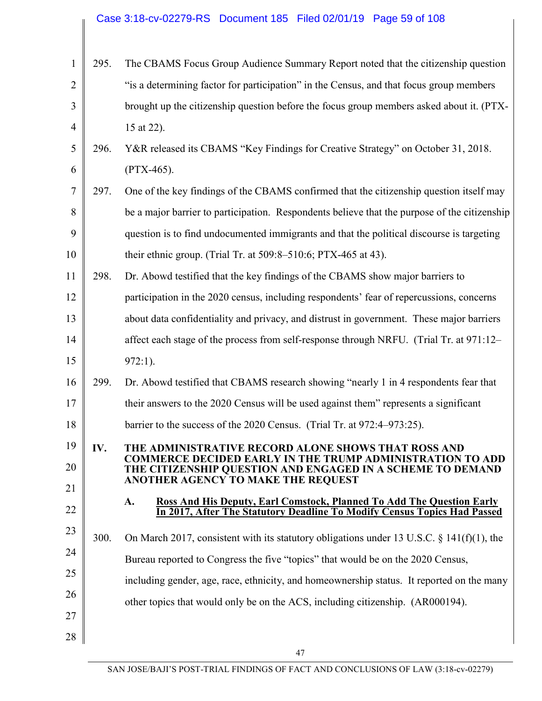|                |      | Case 3:18-cv-02279-RS  Document 185  Filed 02/01/19  Page 59 of 108                                                     |
|----------------|------|-------------------------------------------------------------------------------------------------------------------------|
|                |      |                                                                                                                         |
| $\mathbf{1}$   | 295. | The CBAMS Focus Group Audience Summary Report noted that the citizenship question                                       |
| $\overline{2}$ |      | "is a determining factor for participation" in the Census, and that focus group members                                 |
| 3              |      | brought up the citizenship question before the focus group members asked about it. (PTX-                                |
| $\overline{4}$ |      | 15 at 22).                                                                                                              |
| 5              | 296. | Y&R released its CBAMS "Key Findings for Creative Strategy" on October 31, 2018.                                        |
| 6              |      | $(PTX-465).$                                                                                                            |
| 7              | 297. | One of the key findings of the CBAMS confirmed that the citizenship question itself may                                 |
| 8              |      | be a major barrier to participation. Respondents believe that the purpose of the citizenship                            |
| 9              |      | question is to find undocumented immigrants and that the political discourse is targeting                               |
| 10             |      | their ethnic group. (Trial Tr. at 509:8-510:6; PTX-465 at 43).                                                          |
| 11             | 298. | Dr. Abowd testified that the key findings of the CBAMS show major barriers to                                           |
| 12             |      | participation in the 2020 census, including respondents' fear of repercussions, concerns                                |
| 13             |      | about data confidentiality and privacy, and distrust in government. These major barriers                                |
| 14             |      | affect each stage of the process from self-response through NRFU. (Trial Tr. at 971:12–                                 |
| 15             |      | $972:1$ ).                                                                                                              |
| 16             | 299. | Dr. Abowd testified that CBAMS research showing "nearly 1 in 4 respondents fear that                                    |
| 17             |      | their answers to the 2020 Census will be used against them" represents a significant                                    |
| 18             |      | barrier to the success of the 2020 Census. (Trial Tr. at 972:4–973:25).                                                 |
| 19             | IV.  | THE ADMINISTRATIVE RECORD ALONE SHOWS THAT ROSS AND<br><b>COMMERCE DECIDED EARLY IN THE TRUMP ADMINISTRATION TO ADD</b> |
| 20             |      | THE CITIZENSHIP QUESTION AND ENGAGED IN A SCHEME TO DEMAND<br>ANOTHER AGENCY TO MAKE THE REQUEST                        |
| 21             |      | A.<br><b>Ross And His Deputy, Earl Comstock, Planned To Add The Question Early</b>                                      |
| 22             |      | In 2017, After The Statutory Deadline To Modify Census Topics Had Passed                                                |
| 23             | 300. | On March 2017, consistent with its statutory obligations under 13 U.S.C. $\S$ 141(f)(1), the                            |
| 24             |      | Bureau reported to Congress the five "topics" that would be on the 2020 Census,                                         |
| 25             |      | including gender, age, race, ethnicity, and homeownership status. It reported on the many                               |
| 26             |      | other topics that would only be on the ACS, including citizenship. (AR000194).                                          |
| 27             |      |                                                                                                                         |
| 28             |      |                                                                                                                         |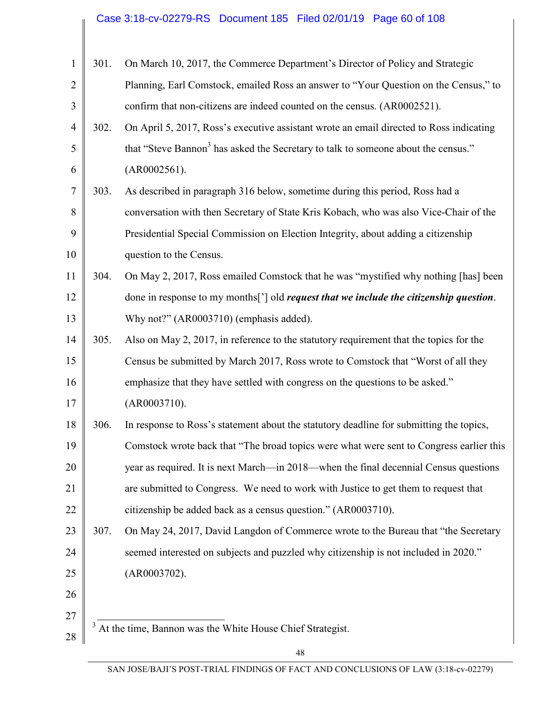# Case 3:18-cv-02279-RS Document 185 Filed 02/01/19 Page 60 of 108

| $\mathbf{1}$   | 301. | On March 10, 2017, the Commerce Department's Director of Policy and Strategic                  |
|----------------|------|------------------------------------------------------------------------------------------------|
| $\overline{2}$ |      | Planning, Earl Comstock, emailed Ross an answer to "Your Question on the Census," to           |
| 3              |      | confirm that non-citizens are indeed counted on the census. (AR0002521).                       |
| $\overline{4}$ | 302. | On April 5, 2017, Ross's executive assistant wrote an email directed to Ross indicating        |
| 5              |      | that "Steve Bannon <sup>3</sup> has asked the Secretary to talk to someone about the census."  |
| 6              |      | (AR0002561).                                                                                   |
| $\overline{7}$ | 303. | As described in paragraph 316 below, sometime during this period, Ross had a                   |
| 8              |      | conversation with then Secretary of State Kris Kobach, who was also Vice-Chair of the          |
| 9              |      | Presidential Special Commission on Election Integrity, about adding a citizenship              |
| 10             |      | question to the Census.                                                                        |
| 11             | 304. | On May 2, 2017, Ross emailed Comstock that he was "mystified why nothing [has] been            |
| 12             |      | done in response to my months['] old <i>request that we include the citizenship question</i> . |
| 13             |      | Why not?" (AR0003710) (emphasis added).                                                        |
| 14             | 305. | Also on May 2, 2017, in reference to the statutory requirement that the topics for the         |
| 15             |      | Census be submitted by March 2017, Ross wrote to Comstock that "Worst of all they              |
| 16             |      | emphasize that they have settled with congress on the questions to be asked."                  |
| 17             |      | (AR0003710).                                                                                   |
| 18             | 306. | In response to Ross's statement about the statutory deadline for submitting the topics,        |
| 19             |      | Comstock wrote back that "The broad topics were what were sent to Congress earlier this        |
| 20             |      | year as required. It is next March—in 2018—when the final decennial Census questions           |
| 21             |      | are submitted to Congress. We need to work with Justice to get them to request that            |
| 22             |      | citizenship be added back as a census question." (AR0003710).                                  |
| 23             | 307. | On May 24, 2017, David Langdon of Commerce wrote to the Bureau that "the Secretary"            |
| 24             |      | seemed interested on subjects and puzzled why citizenship is not included in 2020."            |
| 25             |      | (AR0003702).                                                                                   |
| 26             |      |                                                                                                |
| 27             |      |                                                                                                |
| 28             |      | At the time, Bannon was the White House Chief Strategist.                                      |
|                |      | 48                                                                                             |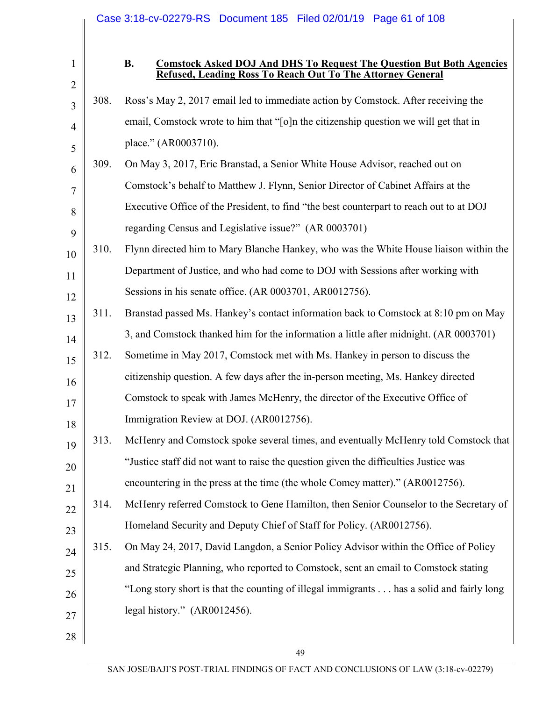| $\mathbf{1}$        |      | Case 3:18-cv-02279-RS  Document 185  Filed 02/01/19  Page 61 of 108<br><b>B.</b><br><b>Comstock Asked DOJ And DHS To Request The Question But Both Agencies</b><br>Refused, Leading Ross To Reach Out To The Attorney General |
|---------------------|------|-------------------------------------------------------------------------------------------------------------------------------------------------------------------------------------------------------------------------------|
| $\overline{2}$<br>3 | 308. | Ross's May 2, 2017 email led to immediate action by Comstock. After receiving the                                                                                                                                             |
| $\overline{4}$      |      | email, Comstock wrote to him that "[o]n the citizenship question we will get that in                                                                                                                                          |
| 5                   |      | place." (AR0003710).                                                                                                                                                                                                          |
| 6                   | 309. | On May 3, 2017, Eric Branstad, a Senior White House Advisor, reached out on                                                                                                                                                   |
| 7                   |      | Comstock's behalf to Matthew J. Flynn, Senior Director of Cabinet Affairs at the                                                                                                                                              |
| 8                   |      | Executive Office of the President, to find "the best counterpart to reach out to at DOJ                                                                                                                                       |
| 9                   |      | regarding Census and Legislative issue?" (AR 0003701)                                                                                                                                                                         |
| 10                  | 310. | Flynn directed him to Mary Blanche Hankey, who was the White House liaison within the                                                                                                                                         |
| 11                  |      | Department of Justice, and who had come to DOJ with Sessions after working with                                                                                                                                               |
| 12                  |      | Sessions in his senate office. (AR 0003701, AR0012756).                                                                                                                                                                       |
| 13                  | 311. | Branstad passed Ms. Hankey's contact information back to Comstock at 8:10 pm on May                                                                                                                                           |
| 14                  |      | 3, and Comstock thanked him for the information a little after midnight. (AR 0003701)                                                                                                                                         |
| 15                  | 312. | Sometime in May 2017, Comstock met with Ms. Hankey in person to discuss the                                                                                                                                                   |
| 16                  |      | citizenship question. A few days after the in-person meeting, Ms. Hankey directed                                                                                                                                             |
| 17                  |      | Comstock to speak with James McHenry, the director of the Executive Office of                                                                                                                                                 |
| 18                  |      | Immigration Review at DOJ. (AR0012756).                                                                                                                                                                                       |
| 19                  | 313. | McHenry and Comstock spoke several times, and eventually McHenry told Comstock that                                                                                                                                           |
| 20                  |      | "Justice staff did not want to raise the question given the difficulties Justice was                                                                                                                                          |
| 21                  |      | encountering in the press at the time (the whole Comey matter)." (AR0012756).                                                                                                                                                 |
| 22                  | 314. | McHenry referred Comstock to Gene Hamilton, then Senior Counselor to the Secretary of                                                                                                                                         |
| 23                  |      | Homeland Security and Deputy Chief of Staff for Policy. (AR0012756).                                                                                                                                                          |
| 24                  | 315. | On May 24, 2017, David Langdon, a Senior Policy Advisor within the Office of Policy                                                                                                                                           |
| 25                  |      | and Strategic Planning, who reported to Comstock, sent an email to Comstock stating                                                                                                                                           |
| 26                  |      | "Long story short is that the counting of illegal immigrants has a solid and fairly long                                                                                                                                      |
| 27                  |      | legal history." (AR0012456).                                                                                                                                                                                                  |
| 28                  |      |                                                                                                                                                                                                                               |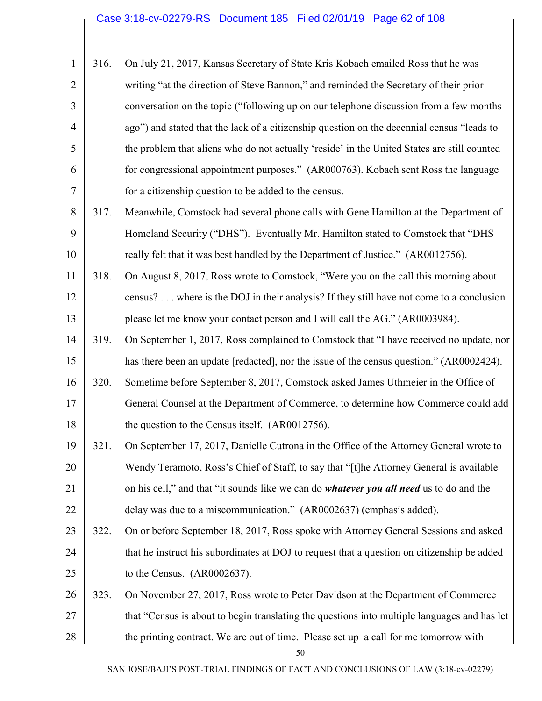|                | 316. | On July 21, 2017, Kansas Secretary of State Kris Kobach emailed Ross that he was            |
|----------------|------|---------------------------------------------------------------------------------------------|
| $\overline{2}$ |      | writing "at the direction of Steve Bannon," and reminded the Secretary of their prior       |
| $\overline{3}$ |      | conversation on the topic ("following up on our telephone discussion from a few months      |
| 4              |      | ago") and stated that the lack of a citizenship question on the decennial census "leads to  |
| 5              |      | the problem that aliens who do not actually 'reside' in the United States are still counted |
| 6              |      | for congressional appointment purposes." (AR000763). Kobach sent Ross the language          |
| 7              |      | for a citizenship question to be added to the census.                                       |

- 8 9 10 317. Meanwhile, Comstock had several phone calls with Gene Hamilton at the Department of Homeland Security ("DHS"). Eventually Mr. Hamilton stated to Comstock that "DHS really felt that it was best handled by the Department of Justice." (AR0012756).
- 11 12 13 318. On August 8, 2017, Ross wrote to Comstock, "Were you on the call this morning about census? . . . where is the DOJ in their analysis? If they still have not come to a conclusion please let me know your contact person and I will call the AG." (AR0003984).
- 14 15 319. On September 1, 2017, Ross complained to Comstock that "I have received no update, nor has there been an update [redacted], nor the issue of the census question." (AR0002424).
- 16 17 18 320. Sometime before September 8, 2017, Comstock asked James Uthmeier in the Office of General Counsel at the Department of Commerce, to determine how Commerce could add the question to the Census itself. (AR0012756).
- 19 20 21 22 321. On September 17, 2017, Danielle Cutrona in the Office of the Attorney General wrote to Wendy Teramoto, Ross's Chief of Staff, to say that "[t]he Attorney General is available on his cell," and that "it sounds like we can do *whatever you all need* us to do and the delay was due to a miscommunication." (AR0002637) (emphasis added).
- 23 24 25 322. On or before September 18, 2017, Ross spoke with Attorney General Sessions and asked that he instruct his subordinates at DOJ to request that a question on citizenship be added to the Census. (AR0002637).
- 26 27 28 323. On November 27, 2017, Ross wrote to Peter Davidson at the Department of Commerce that "Census is about to begin translating the questions into multiple languages and has let the printing contract. We are out of time. Please set up a call for me tomorrow with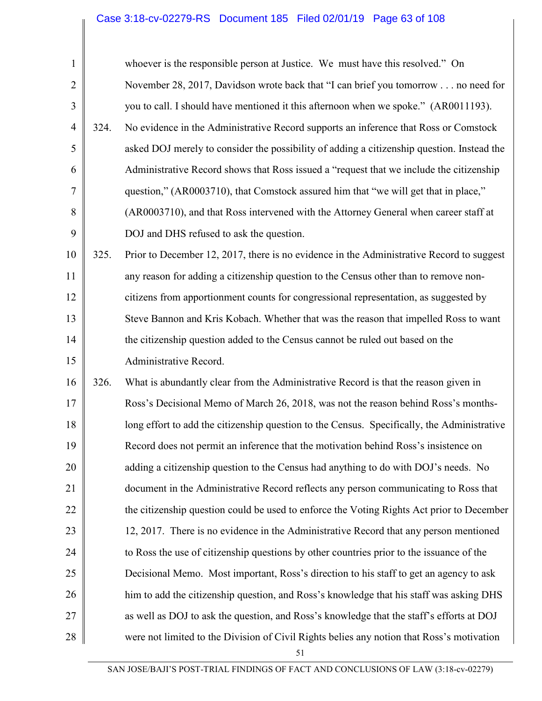# Case 3:18-cv-02279-RS Document 185 Filed 02/01/19 Page 63 of 108

| $\mathbf{1}$   |      | whoever is the responsible person at Justice. We must have this resolved." On               |
|----------------|------|---------------------------------------------------------------------------------------------|
| $\overline{2}$ |      | November 28, 2017, Davidson wrote back that "I can brief you tomorrow no need for           |
| 3              |      | you to call. I should have mentioned it this afternoon when we spoke." (AR0011193).         |
| $\overline{4}$ | 324. | No evidence in the Administrative Record supports an inference that Ross or Comstock        |
| 5              |      | asked DOJ merely to consider the possibility of adding a citizenship question. Instead the  |
| 6              |      | Administrative Record shows that Ross issued a "request that we include the citizenship     |
| 7              |      | question," (AR0003710), that Comstock assured him that "we will get that in place,"         |
| 8              |      | (AR0003710), and that Ross intervened with the Attorney General when career staff at        |
| 9              |      | DOJ and DHS refused to ask the question.                                                    |
| 10             | 325. | Prior to December 12, 2017, there is no evidence in the Administrative Record to suggest    |
| 11             |      | any reason for adding a citizenship question to the Census other than to remove non-        |
| 12             |      | citizens from apportionment counts for congressional representation, as suggested by        |
| 13             |      | Steve Bannon and Kris Kobach. Whether that was the reason that impelled Ross to want        |
| 14             |      | the citizenship question added to the Census cannot be ruled out based on the               |
| 15             |      | Administrative Record.                                                                      |
| 16             | 326. | What is abundantly clear from the Administrative Record is that the reason given in         |
| 17             |      | Ross's Decisional Memo of March 26, 2018, was not the reason behind Ross's months-          |
| 18             |      | long effort to add the citizenship question to the Census. Specifically, the Administrative |
| 19             |      | Record does not permit an inference that the motivation behind Ross's insistence on         |
| 20             |      | adding a citizenship question to the Census had anything to do with DOJ's needs. No         |
| 21             |      | document in the Administrative Record reflects any person communicating to Ross that        |
| 22             |      | the citizenship question could be used to enforce the Voting Rights Act prior to December   |
| 23             |      | 12, 2017. There is no evidence in the Administrative Record that any person mentioned       |
| 24             |      | to Ross the use of citizenship questions by other countries prior to the issuance of the    |
| 25             |      | Decisional Memo. Most important, Ross's direction to his staff to get an agency to ask      |
| 26             |      | him to add the citizenship question, and Ross's knowledge that his staff was asking DHS     |
| 27             |      | as well as DOJ to ask the question, and Ross's knowledge that the staff's efforts at DOJ    |
| 28             |      | were not limited to the Division of Civil Rights belies any notion that Ross's motivation   |
|                |      |                                                                                             |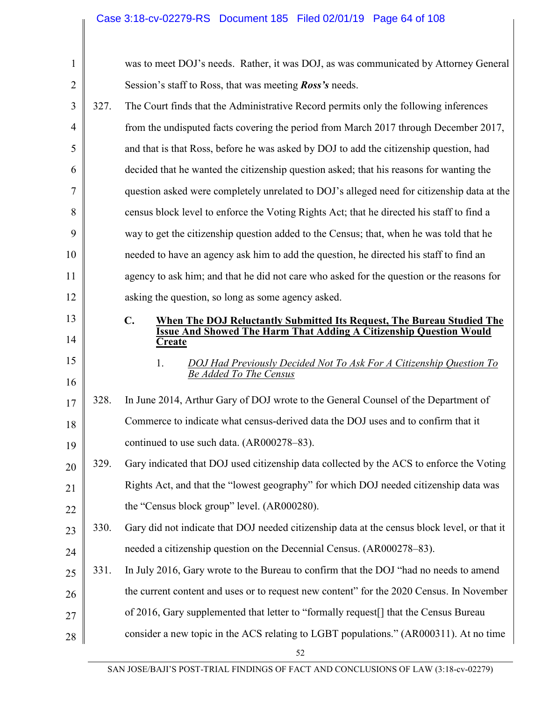| $\mathbf{1}$ |      | was to meet DOJ's needs. Rather, it was DOJ, as was communicated by Attorney General                       |
|--------------|------|------------------------------------------------------------------------------------------------------------|
| 2            |      | Session's staff to Ross, that was meeting <b>Ross's</b> needs.                                             |
| 3            | 327. | The Court finds that the Administrative Record permits only the following inferences                       |
| 4            |      | from the undisputed facts covering the period from March 2017 through December 2017,                       |
| 5            |      | and that is that Ross, before he was asked by DOJ to add the citizenship question, had                     |
| 6            |      | decided that he wanted the citizenship question asked; that his reasons for wanting the                    |
| 7            |      | question asked were completely unrelated to DOJ's alleged need for citizenship data at the                 |
| 8            |      | census block level to enforce the Voting Rights Act; that he directed his staff to find a                  |
| 9            |      | way to get the citizenship question added to the Census; that, when he was told that he                    |
| 10           |      | needed to have an agency ask him to add the question, he directed his staff to find an                     |
| 11           |      | agency to ask him; and that he did not care who asked for the question or the reasons for                  |
| 12           |      | asking the question, so long as some agency asked.                                                         |
| 13           |      | $\mathbf{C}$ .<br>When The DOJ Reluctantly Submitted Its Request, The Bureau Studied The                   |
| 14           |      | <b>Issue And Showed The Harm That Adding A Citizenship Question Would</b><br>Create                        |
| 15<br>16     |      | 1.<br>DOJ Had Previously Decided Not To Ask For A Citizenship Question To<br><b>Be Added To The Census</b> |
| 17           | 328. | In June 2014, Arthur Gary of DOJ wrote to the General Counsel of the Department of                         |
| 18           |      | Commerce to indicate what census-derived data the DOJ uses and to confirm that it                          |
| 19           |      | continued to use such data. (AR000278–83).                                                                 |
| 20           | 329. | Gary indicated that DOJ used citizenship data collected by the ACS to enforce the Voting                   |
| 21           |      | Rights Act, and that the "lowest geography" for which DOJ needed citizenship data was                      |
| 22           |      | the "Census block group" level. (AR000280).                                                                |
| 23           | 330. | Gary did not indicate that DOJ needed citizenship data at the census block level, or that it               |
| 24           |      | needed a citizenship question on the Decennial Census. (AR000278–83).                                      |
| 25           | 331. | In July 2016, Gary wrote to the Bureau to confirm that the DOJ "had no needs to amend                      |
| 26           |      | the current content and uses or to request new content" for the 2020 Census. In November                   |
| 27           |      | of 2016, Gary supplemented that letter to "formally request <sup>[]</sup> that the Census Bureau           |
| 28           |      | consider a new topic in the ACS relating to LGBT populations." (AR000311). At no time                      |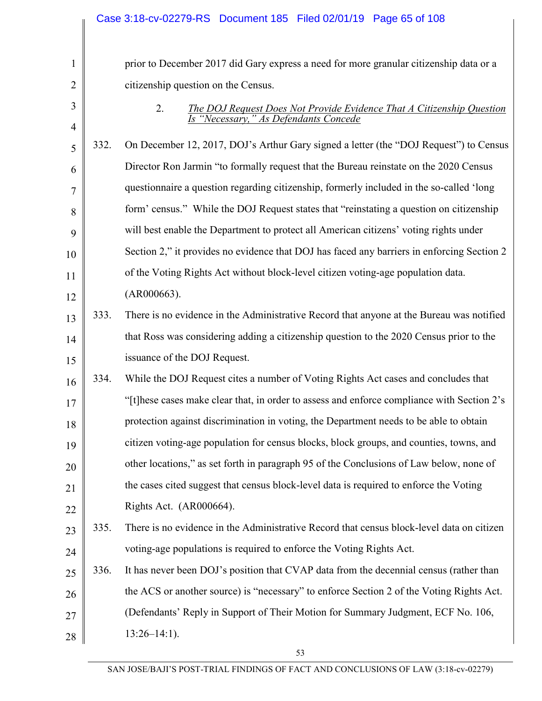|                |      | Case 3:18-cv-02279-RS Document 185 Filed 02/01/19 Page 65 of 108                                                            |
|----------------|------|-----------------------------------------------------------------------------------------------------------------------------|
|                |      |                                                                                                                             |
| $\mathbf{1}$   |      | prior to December 2017 did Gary express a need for more granular citizenship data or a                                      |
| $\overline{2}$ |      | citizenship question on the Census.                                                                                         |
| 3              |      | 2.<br><b>The DOJ Request Does Not Provide Evidence That A Citizenship Question</b><br>Is "Necessary," As Defendants Concede |
| $\overline{4}$ |      |                                                                                                                             |
| 5              | 332. | On December 12, 2017, DOJ's Arthur Gary signed a letter (the "DOJ Request") to Census                                       |
| 6              |      | Director Ron Jarmin "to formally request that the Bureau reinstate on the 2020 Census                                       |
| 7              |      | questionnaire a question regarding citizenship, formerly included in the so-called 'long                                    |
| 8              |      | form' census." While the DOJ Request states that "reinstating a question on citizenship                                     |
| 9              |      | will best enable the Department to protect all American citizens' voting rights under                                       |
| 10             |      | Section 2," it provides no evidence that DOJ has faced any barriers in enforcing Section 2                                  |
| 11             |      | of the Voting Rights Act without block-level citizen voting-age population data.                                            |
| 12             |      | (AR000663).                                                                                                                 |
| 13             | 333. | There is no evidence in the Administrative Record that anyone at the Bureau was notified                                    |
| 14             |      | that Ross was considering adding a citizenship question to the 2020 Census prior to the                                     |
| 15             |      | issuance of the DOJ Request.                                                                                                |
| 16             | 334. | While the DOJ Request cites a number of Voting Rights Act cases and concludes that                                          |
| 17             |      | "[t] hese cases make clear that, in order to assess and enforce compliance with Section 2's                                 |
| 18             |      | protection against discrimination in voting, the Department needs to be able to obtain                                      |
| 19             |      | citizen voting-age population for census blocks, block groups, and counties, towns, and                                     |
| 20             |      | other locations," as set forth in paragraph 95 of the Conclusions of Law below, none of                                     |
| 21             |      | the cases cited suggest that census block-level data is required to enforce the Voting                                      |
| 22             |      | Rights Act. (AR000664).                                                                                                     |
| 23             | 335. | There is no evidence in the Administrative Record that census block-level data on citizen                                   |
| 24             |      | voting-age populations is required to enforce the Voting Rights Act.                                                        |
| 25             | 336. | It has never been DOJ's position that CVAP data from the decennial census (rather than                                      |
| 26             |      | the ACS or another source) is "necessary" to enforce Section 2 of the Voting Rights Act.                                    |
| 27             |      | (Defendants' Reply in Support of Their Motion for Summary Judgment, ECF No. 106,                                            |
| 28             |      | $13:26-14:1$ ).                                                                                                             |
|                |      | 53                                                                                                                          |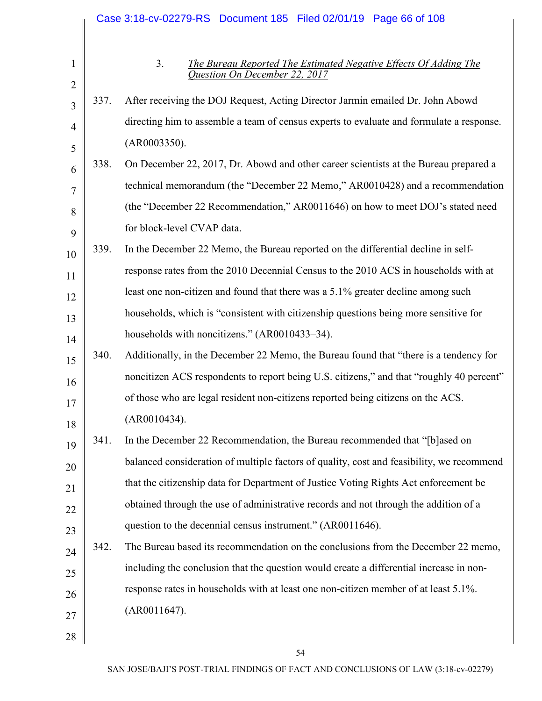|                                |      | Case 3:18-cv-02279-RS  Document 185  Filed 02/01/19  Page 66 of 108                                                        |
|--------------------------------|------|----------------------------------------------------------------------------------------------------------------------------|
| $\mathbf{1}$<br>$\overline{2}$ |      | 3 <sub>1</sub><br><b>The Bureau Reported The Estimated Negative Effects Of Adding The</b><br>Question On December 22, 2017 |
| 3                              | 337. | After receiving the DOJ Request, Acting Director Jarmin emailed Dr. John Abowd                                             |
| $\overline{4}$                 |      | directing him to assemble a team of census experts to evaluate and formulate a response.                                   |
| 5                              |      | (AR0003350).                                                                                                               |
| 6                              | 338. | On December 22, 2017, Dr. Abowd and other career scientists at the Bureau prepared a                                       |
| 7                              |      | technical memorandum (the "December 22 Memo," AR0010428) and a recommendation                                              |
| 8                              |      | (the "December 22 Recommendation," AR0011646) on how to meet DOJ's stated need                                             |
| 9                              |      | for block-level CVAP data.                                                                                                 |
| 10                             | 339. | In the December 22 Memo, the Bureau reported on the differential decline in self-                                          |
| 11                             |      | response rates from the 2010 Decennial Census to the 2010 ACS in households with at                                        |
| 12                             |      | least one non-citizen and found that there was a 5.1% greater decline among such                                           |
| 13                             |      | households, which is "consistent with citizenship questions being more sensitive for                                       |
| 14                             |      | households with noncitizens." (AR0010433-34).                                                                              |
| 15                             | 340. | Additionally, in the December 22 Memo, the Bureau found that "there is a tendency for                                      |
| 16                             |      | noncitizen ACS respondents to report being U.S. citizens," and that "roughly 40 percent"                                   |
| 17                             |      | of those who are legal resident non-citizens reported being citizens on the ACS.                                           |
| 18                             |      | (AR0010434).                                                                                                               |
| 19                             | 341. | In the December 22 Recommendation, the Bureau recommended that "[b]ased on                                                 |
| 20                             |      | balanced consideration of multiple factors of quality, cost and feasibility, we recommend                                  |
| 21                             |      | that the citizenship data for Department of Justice Voting Rights Act enforcement be                                       |
| 22                             |      | obtained through the use of administrative records and not through the addition of a                                       |
| 23                             |      | question to the decennial census instrument." (AR0011646).                                                                 |
| 24                             | 342. | The Bureau based its recommendation on the conclusions from the December 22 memo,                                          |
| 25                             |      | including the conclusion that the question would create a differential increase in non-                                    |
| 26                             |      | response rates in households with at least one non-citizen member of at least 5.1%.                                        |
| 27                             |      | (AR0011647).                                                                                                               |
| 28                             |      |                                                                                                                            |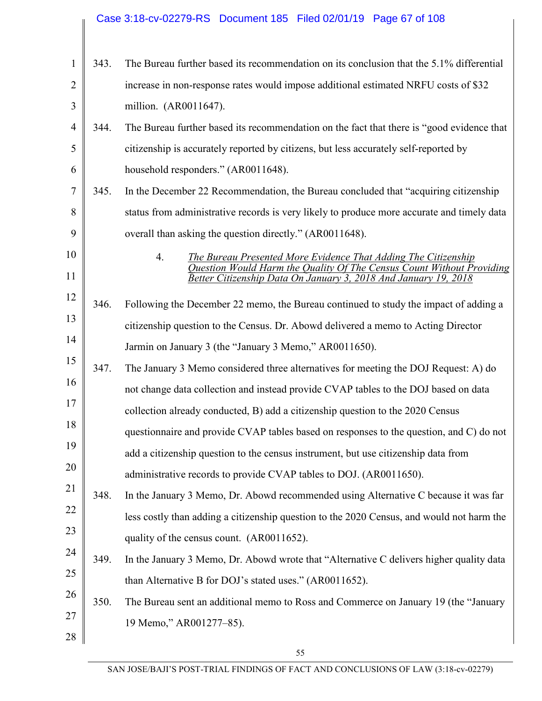#### 1 2 3 4 5 6 7 8 9 10 11 12 13 14 15 16 17 18 19 20 21 22 23 24 25 26 27 28 343. The Bureau further based its recommendation on its conclusion that the 5.1% differential increase in non-response rates would impose additional estimated NRFU costs of \$32 million. (AR0011647). 344. The Bureau further based its recommendation on the fact that there is "good evidence that citizenship is accurately reported by citizens, but less accurately self-reported by household responders." (AR0011648). 345. In the December 22 Recommendation, the Bureau concluded that "acquiring citizenship status from administrative records is very likely to produce more accurate and timely data overall than asking the question directly." (AR0011648). 4. *The Bureau Presented More Evidence That Adding The Citizenship Question Would Harm the Quality Of The Census Count Without Providing Better Citizenship Data On January 3, 2018 And January 19, 2018*  346. Following the December 22 memo, the Bureau continued to study the impact of adding a citizenship question to the Census. Dr. Abowd delivered a memo to Acting Director Jarmin on January 3 (the "January 3 Memo," AR0011650). 347. The January 3 Memo considered three alternatives for meeting the DOJ Request: A) do not change data collection and instead provide CVAP tables to the DOJ based on data collection already conducted, B) add a citizenship question to the 2020 Census questionnaire and provide CVAP tables based on responses to the question, and C) do not add a citizenship question to the census instrument, but use citizenship data from administrative records to provide CVAP tables to DOJ. (AR0011650). 348. In the January 3 Memo, Dr. Abowd recommended using Alternative C because it was far less costly than adding a citizenship question to the 2020 Census, and would not harm the quality of the census count. (AR0011652). 349. In the January 3 Memo, Dr. Abowd wrote that "Alternative C delivers higher quality data than Alternative B for DOJ's stated uses." (AR0011652). 350. The Bureau sent an additional memo to Ross and Commerce on January 19 (the "January 19 Memo," AR001277–85). Case 3:18-cv-02279-RS Document 185 Filed 02/01/19 Page 67 of 108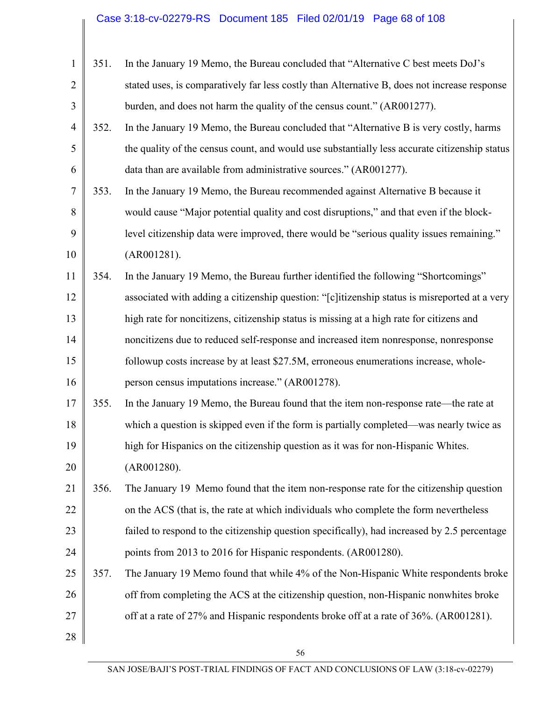# Case 3:18-cv-02279-RS Document 185 Filed 02/01/19 Page 68 of 108

| $\mathbf{1}$   | 351. | In the January 19 Memo, the Bureau concluded that "Alternative C best meets DoJ's             |
|----------------|------|-----------------------------------------------------------------------------------------------|
| $\overline{2}$ |      | stated uses, is comparatively far less costly than Alternative B, does not increase response  |
| 3              |      | burden, and does not harm the quality of the census count." (AR001277).                       |
| $\overline{4}$ | 352. | In the January 19 Memo, the Bureau concluded that "Alternative B is very costly, harms        |
| 5              |      | the quality of the census count, and would use substantially less accurate citizenship status |
| 6              |      | data than are available from administrative sources." (AR001277).                             |
| 7              | 353. | In the January 19 Memo, the Bureau recommended against Alternative B because it               |
| 8              |      | would cause "Major potential quality and cost disruptions," and that even if the block-       |
| 9              |      | level citizenship data were improved, there would be "serious quality issues remaining."      |
| 10             |      | (AR001281).                                                                                   |
| 11             | 354. | In the January 19 Memo, the Bureau further identified the following "Shortcomings"            |
| 12             |      | associated with adding a citizenship question: "[c]itizenship status is misreported at a very |
| 13             |      | high rate for noncitizens, citizenship status is missing at a high rate for citizens and      |
| 14             |      | noncitizens due to reduced self-response and increased item nonresponse, nonresponse          |
| 15             |      | followup costs increase by at least \$27.5M, erroneous enumerations increase, whole-          |
| 16             |      | person census imputations increase." (AR001278).                                              |
| 17             | 355. | In the January 19 Memo, the Bureau found that the item non-response rate—the rate at          |
| 18             |      | which a question is skipped even if the form is partially completed—was nearly twice as       |
| 19             |      | high for Hispanics on the citizenship question as it was for non-Hispanic Whites.             |
| 20             |      | (AR001280).                                                                                   |
| 21             | 356. | The January 19 Memo found that the item non-response rate for the citizenship question        |
| 22             |      | on the ACS (that is, the rate at which individuals who complete the form nevertheless         |
| 23             |      | failed to respond to the citizenship question specifically), had increased by 2.5 percentage  |
| 24             |      | points from 2013 to 2016 for Hispanic respondents. (AR001280).                                |
| 25             | 357. | The January 19 Memo found that while 4% of the Non-Hispanic White respondents broke           |
| 26             |      | off from completing the ACS at the citizenship question, non-Hispanic nonwhites broke         |
| 27             |      | off at a rate of 27% and Hispanic respondents broke off at a rate of 36%. (AR001281).         |
| 28             |      |                                                                                               |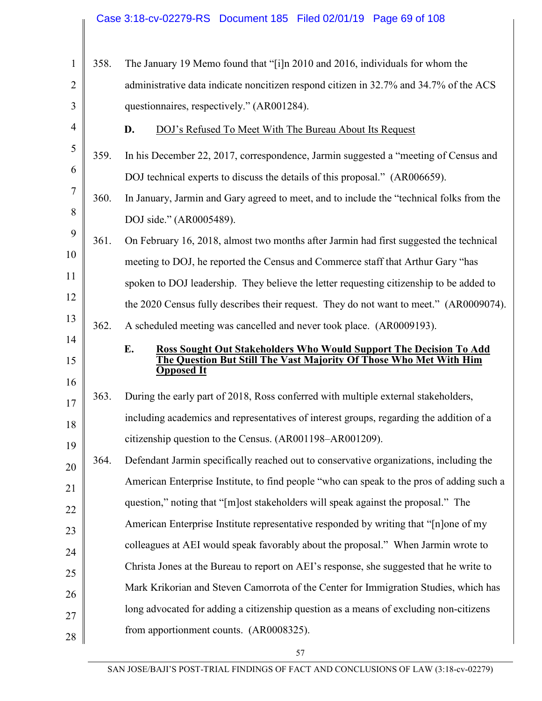|                |      | Case 3:18-cv-02279-RS Document 185 Filed 02/01/19 Page 69 of 108                                                                              |
|----------------|------|-----------------------------------------------------------------------------------------------------------------------------------------------|
|                |      |                                                                                                                                               |
| 1              | 358. | The January 19 Memo found that "[i]n 2010 and 2016, individuals for whom the                                                                  |
| $\overline{2}$ |      | administrative data indicate noncitizen respond citizen in 32.7% and 34.7% of the ACS                                                         |
| 3              |      | questionnaires, respectively." (AR001284).                                                                                                    |
| $\overline{4}$ |      | D.<br>DOJ's Refused To Meet With The Bureau About Its Request                                                                                 |
| 5              | 359. | In his December 22, 2017, correspondence, Jarmin suggested a "meeting of Census and                                                           |
| 6              |      | DOJ technical experts to discuss the details of this proposal." (AR006659).                                                                   |
| 7              | 360. | In January, Jarmin and Gary agreed to meet, and to include the "technical folks from the                                                      |
| 8              |      | DOJ side." (AR0005489).                                                                                                                       |
| 9              | 361. | On February 16, 2018, almost two months after Jarmin had first suggested the technical                                                        |
| 10             |      | meeting to DOJ, he reported the Census and Commerce staff that Arthur Gary "has                                                               |
| 11             |      | spoken to DOJ leadership. They believe the letter requesting citizenship to be added to                                                       |
| 12             |      | the 2020 Census fully describes their request. They do not want to meet." (AR0009074).                                                        |
| 13             | 362. | A scheduled meeting was cancelled and never took place. (AR0009193).                                                                          |
| 14             |      |                                                                                                                                               |
|                |      |                                                                                                                                               |
| 15             |      | E.<br>Ross Sought Out Stakeholders Who Would Support The Decision To Add<br>he Question But Still The Vast Majority Of Those Who Met With Him |
| 16             |      | <b>Opposed It</b>                                                                                                                             |
| 17             | 363. | During the early part of 2018, Ross conferred with multiple external stakeholders,                                                            |
| 18             |      | including academics and representatives of interest groups, regarding the addition of a                                                       |
| 19             |      | citizenship question to the Census. (AR001198-AR001209).                                                                                      |
| 20             | 364. | Defendant Jarmin specifically reached out to conservative organizations, including the                                                        |
| 21             |      | American Enterprise Institute, to find people "who can speak to the pros of adding such a                                                     |
| 22             |      | question," noting that "[m]ost stakeholders will speak against the proposal." The                                                             |
|                |      | American Enterprise Institute representative responded by writing that "[n]one of my                                                          |
| 23<br>24       |      | colleagues at AEI would speak favorably about the proposal." When Jarmin wrote to                                                             |
|                |      | Christa Jones at the Bureau to report on AEI's response, she suggested that he write to                                                       |
| 25             |      | Mark Krikorian and Steven Camorrota of the Center for Immigration Studies, which has                                                          |
| 26             |      | long advocated for adding a citizenship question as a means of excluding non-citizens                                                         |
| 27<br>28       |      | from apportionment counts. (AR0008325).                                                                                                       |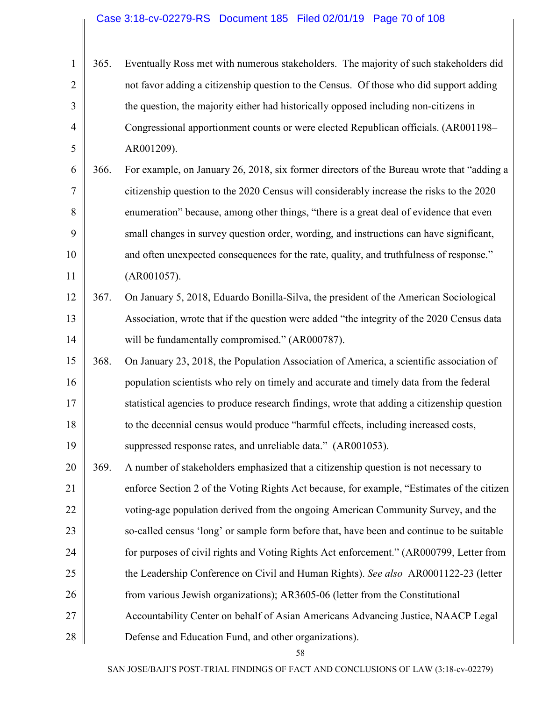|                | 365. | Eventually Ross met with numerous stakeholders. The majority of such stakeholders did  |
|----------------|------|----------------------------------------------------------------------------------------|
| $\overline{2}$ |      | not favor adding a citizenship question to the Census. Of those who did support adding |
| 3 <sup>1</sup> |      | the question, the majority either had historically opposed including non-citizens in   |
| 4              |      | Congressional apportionment counts or were elected Republican officials. (AR001198–    |
| 5              |      | AR001209).                                                                             |

6 7 8 9 10 11 366. For example, on January 26, 2018, six former directors of the Bureau wrote that "adding a citizenship question to the 2020 Census will considerably increase the risks to the 2020 enumeration" because, among other things, "there is a great deal of evidence that even small changes in survey question order, wording, and instructions can have significant, and often unexpected consequences for the rate, quality, and truthfulness of response." (AR001057).

#### 12 13 14 367. On January 5, 2018, Eduardo Bonilla-Silva, the president of the American Sociological Association, wrote that if the question were added "the integrity of the 2020 Census data will be fundamentally compromised." (AR000787).

15 16 17 18 19 368. On January 23, 2018, the Population Association of America, a scientific association of population scientists who rely on timely and accurate and timely data from the federal statistical agencies to produce research findings, wrote that adding a citizenship question to the decennial census would produce "harmful effects, including increased costs, suppressed response rates, and unreliable data." (AR001053).

20 21 22 23 24 25 26 27 28 369. A number of stakeholders emphasized that a citizenship question is not necessary to enforce Section 2 of the Voting Rights Act because, for example, "Estimates of the citizen voting-age population derived from the ongoing American Community Survey, and the so-called census 'long' or sample form before that, have been and continue to be suitable for purposes of civil rights and Voting Rights Act enforcement." (AR000799, Letter from the Leadership Conference on Civil and Human Rights). *See also* AR0001122-23 (letter from various Jewish organizations); AR3605-06 (letter from the Constitutional Accountability Center on behalf of Asian Americans Advancing Justice, NAACP Legal Defense and Education Fund, and other organizations).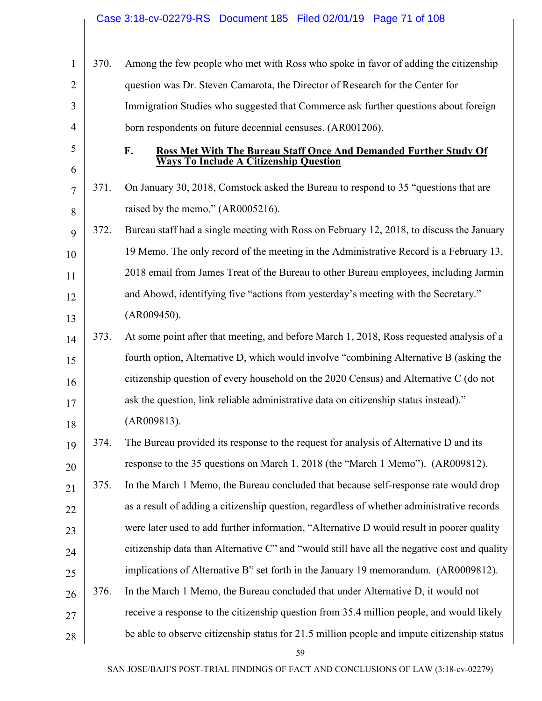|                |      | Case 3:18-cv-02279-RS  Document 185  Filed 02/01/19  Page 71 of 108                          |
|----------------|------|----------------------------------------------------------------------------------------------|
| $\mathbf{1}$   | 370. | Among the few people who met with Ross who spoke in favor of adding the citizenship          |
| $\overline{2}$ |      | question was Dr. Steven Camarota, the Director of Research for the Center for                |
| 3              |      | Immigration Studies who suggested that Commerce ask further questions about foreign          |
| $\overline{4}$ |      | born respondents on future decennial censuses. (AR001206).                                   |
| 5              |      | F.<br><b>Ross Met With The Bureau Staff Once And Demanded Further Study Of</b>               |
| 6              |      | <b>Ways To Include A Citizenship Question</b>                                                |
| $\overline{7}$ | 371. | On January 30, 2018, Comstock asked the Bureau to respond to 35 "questions that are          |
| 8              |      | raised by the memo." (AR0005216).                                                            |
| 9              | 372. | Bureau staff had a single meeting with Ross on February 12, 2018, to discuss the January     |
| 10             |      | 19 Memo. The only record of the meeting in the Administrative Record is a February 13,       |
| 11             |      | 2018 email from James Treat of the Bureau to other Bureau employees, including Jarmin        |
| 12             |      | and Abowd, identifying five "actions from yesterday's meeting with the Secretary."           |
| 13             |      | (AR009450).                                                                                  |
| 14             | 373. | At some point after that meeting, and before March 1, 2018, Ross requested analysis of a     |
| 15             |      | fourth option, Alternative D, which would involve "combining Alternative B (asking the       |
| 16             |      | citizenship question of every household on the 2020 Census) and Alternative C (do not        |
| 17             |      | ask the question, link reliable administrative data on citizenship status instead)."         |
| 18             |      | (AR009813).                                                                                  |
| 19             | 374. | The Bureau provided its response to the request for analysis of Alternative D and its        |
| 20             |      | response to the 35 questions on March 1, 2018 (the "March 1 Memo"). (AR009812).              |
| 21             | 375. | In the March 1 Memo, the Bureau concluded that because self-response rate would drop         |
| 22             |      | as a result of adding a citizenship question, regardless of whether administrative records   |
| 23             |      | were later used to add further information, "Alternative D would result in poorer quality    |
| 24             |      | citizenship data than Alternative C" and "would still have all the negative cost and quality |
| 25             |      | implications of Alternative B" set forth in the January 19 memorandum. (AR0009812).          |
| 26             | 376. | In the March 1 Memo, the Bureau concluded that under Alternative D, it would not             |
| 27             |      | receive a response to the citizenship question from 35.4 million people, and would likely    |
| 28             |      | be able to observe citizenship status for 21.5 million people and impute citizenship status  |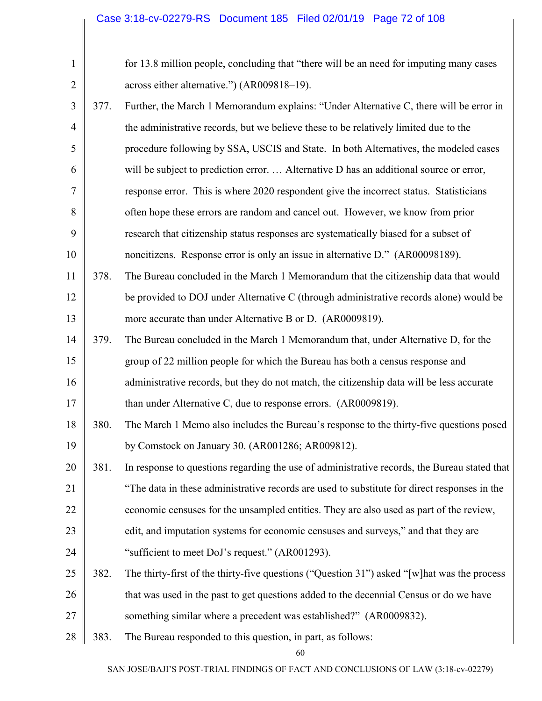|      | for 13.8 million people, concluding that "there will be an need for imputing many cases      |
|------|----------------------------------------------------------------------------------------------|
|      | across either alternative.") (AR009818-19).                                                  |
| 377. | Further, the March 1 Memorandum explains: "Under Alternative C, there will be error in       |
|      | the administrative records, but we believe these to be relatively limited due to the         |
|      | procedure following by SSA, USCIS and State. In both Alternatives, the modeled cases         |
|      | will be subject to prediction error.  Alternative D has an additional source or error,       |
|      | response error. This is where 2020 respondent give the incorrect status. Statisticians       |
|      | often hope these errors are random and cancel out. However, we know from prior               |
|      | research that citizenship status responses are systematically biased for a subset of         |
|      | noncitizens. Response error is only an issue in alternative D." (AR00098189).                |
| 378. | The Bureau concluded in the March 1 Memorandum that the citizenship data that would          |
|      | be provided to DOJ under Alternative C (through administrative records alone) would be       |
|      | more accurate than under Alternative B or D. (AR0009819).                                    |
| 379. | The Bureau concluded in the March 1 Memorandum that, under Alternative D, for the            |
|      | group of 22 million people for which the Bureau has both a census response and               |
|      | administrative records, but they do not match, the citizenship data will be less accurate    |
|      | than under Alternative C, due to response errors. (AR0009819).                               |
| 380. | The March 1 Memo also includes the Bureau's response to the thirty-five questions posed      |
|      | by Comstock on January 30. (AR001286; AR009812).                                             |
| 381. | In response to questions regarding the use of administrative records, the Bureau stated that |
|      | "The data in these administrative records are used to substitute for direct responses in the |
|      | economic censuses for the unsampled entities. They are also used as part of the review,      |
|      | edit, and imputation systems for economic censuses and surveys," and that they are           |
|      | "sufficient to meet DoJ's request." (AR001293).                                              |
| 382. | The thirty-first of the thirty-five questions ("Question 31") asked "[w] hat was the process |
|      | that was used in the past to get questions added to the decennial Census or do we have       |
|      | something similar where a precedent was established?" (AR0009832).                           |
| 383. | The Bureau responded to this question, in part, as follows:                                  |
|      |                                                                                              |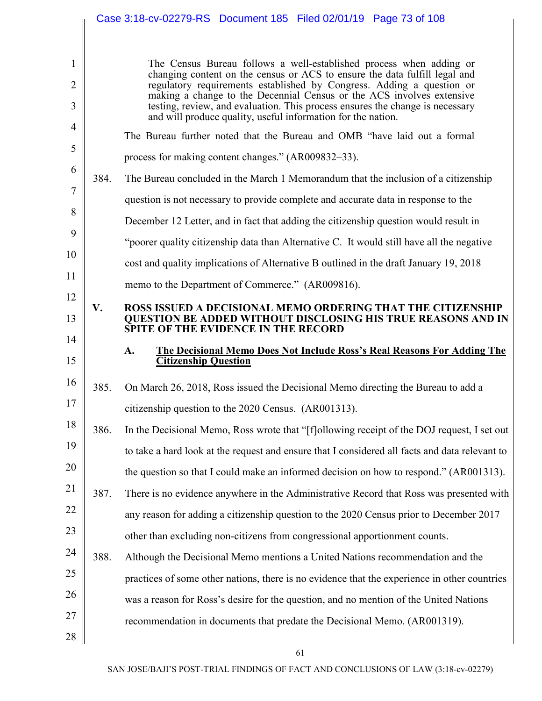|                                     |      | Case 3:18-cv-02279-RS Document 185 Filed 02/01/19 Page 73 of 108                                                                                                                                                                                                                                                                                                                                                                                     |
|-------------------------------------|------|------------------------------------------------------------------------------------------------------------------------------------------------------------------------------------------------------------------------------------------------------------------------------------------------------------------------------------------------------------------------------------------------------------------------------------------------------|
| $\mathbf{1}$<br>$\overline{2}$<br>3 |      | The Census Bureau follows a well-established process when adding or<br>changing content on the census or ACS to ensure the data fulfill legal and<br>regulatory requirements established by Congress. Adding a question or<br>making a change to the Decennial Census or the ACS involves extensive<br>testing, review, and evaluation. This process ensures the change is necessary<br>and will produce quality, useful information for the nation. |
| $\overline{4}$                      |      | The Bureau further noted that the Bureau and OMB "have laid out a formal                                                                                                                                                                                                                                                                                                                                                                             |
| 5                                   |      | process for making content changes." (AR009832–33).                                                                                                                                                                                                                                                                                                                                                                                                  |
| 6                                   | 384. | The Bureau concluded in the March 1 Memorandum that the inclusion of a citizenship                                                                                                                                                                                                                                                                                                                                                                   |
| $\overline{7}$                      |      | question is not necessary to provide complete and accurate data in response to the                                                                                                                                                                                                                                                                                                                                                                   |
| 8                                   |      | December 12 Letter, and in fact that adding the citizenship question would result in                                                                                                                                                                                                                                                                                                                                                                 |
| 9                                   |      | "poorer quality citizenship data than Alternative C. It would still have all the negative                                                                                                                                                                                                                                                                                                                                                            |
| 10                                  |      | cost and quality implications of Alternative B outlined in the draft January 19, 2018                                                                                                                                                                                                                                                                                                                                                                |
| 11                                  |      | memo to the Department of Commerce." (AR009816).                                                                                                                                                                                                                                                                                                                                                                                                     |
| 12<br>13                            | V.   | ROSS ISSUED A DECISIONAL MEMO ORDERING THAT THE CITIZENSHIP<br><b>QUESTION BE ADDED WITHOUT DISCLOSING HIS TRUE REASONS AND IN</b>                                                                                                                                                                                                                                                                                                                   |
|                                     |      |                                                                                                                                                                                                                                                                                                                                                                                                                                                      |
| 14                                  |      | <b>SPITE OF THE EVIDENCE IN THE RECORD</b>                                                                                                                                                                                                                                                                                                                                                                                                           |
| 15                                  |      | The Decisional Memo Does Not Include Ross's Real Reasons For Adding The<br>A.<br><b>Citizenship Question</b>                                                                                                                                                                                                                                                                                                                                         |
| 16                                  | 385. | On March 26, 2018, Ross issued the Decisional Memo directing the Bureau to add a                                                                                                                                                                                                                                                                                                                                                                     |
| 17                                  |      | citizenship question to the 2020 Census. (AR001313).                                                                                                                                                                                                                                                                                                                                                                                                 |
| 18                                  | 386. | In the Decisional Memo, Ross wrote that "[f]ollowing receipt of the DOJ request, I set out                                                                                                                                                                                                                                                                                                                                                           |
| 19                                  |      | to take a hard look at the request and ensure that I considered all facts and data relevant to                                                                                                                                                                                                                                                                                                                                                       |
| 20                                  |      | the question so that I could make an informed decision on how to respond." (AR001313).                                                                                                                                                                                                                                                                                                                                                               |
| 21                                  | 387. | There is no evidence anywhere in the Administrative Record that Ross was presented with                                                                                                                                                                                                                                                                                                                                                              |
| 22                                  |      | any reason for adding a citizenship question to the 2020 Census prior to December 2017                                                                                                                                                                                                                                                                                                                                                               |
| 23                                  |      | other than excluding non-citizens from congressional apportionment counts.                                                                                                                                                                                                                                                                                                                                                                           |
| 24                                  | 388. | Although the Decisional Memo mentions a United Nations recommendation and the                                                                                                                                                                                                                                                                                                                                                                        |
| 25                                  |      | practices of some other nations, there is no evidence that the experience in other countries                                                                                                                                                                                                                                                                                                                                                         |
| 26                                  |      | was a reason for Ross's desire for the question, and no mention of the United Nations                                                                                                                                                                                                                                                                                                                                                                |
| 27                                  |      | recommendation in documents that predate the Decisional Memo. (AR001319).                                                                                                                                                                                                                                                                                                                                                                            |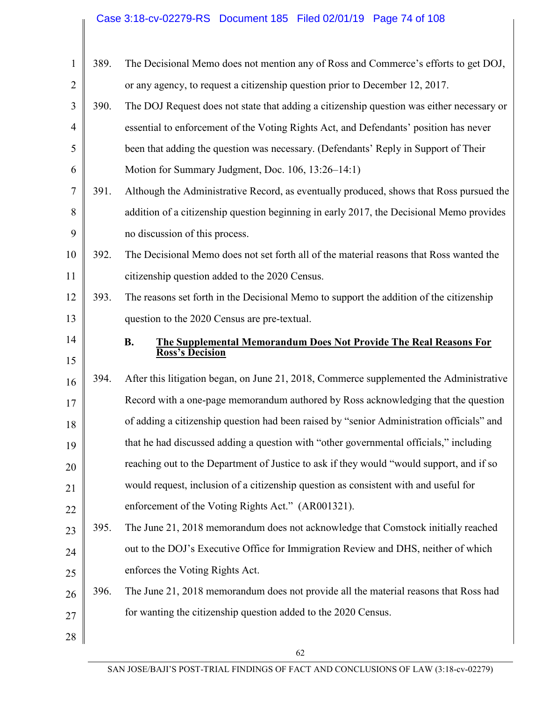# Case 3:18-cv-02279-RS Document 185 Filed 02/01/19 Page 74 of 108

| $\mathbf{1}$   | 389. | The Decisional Memo does not mention any of Ross and Commerce's efforts to get DOJ,       |
|----------------|------|-------------------------------------------------------------------------------------------|
| $\overline{2}$ |      | or any agency, to request a citizenship question prior to December 12, 2017.              |
| 3              | 390. | The DOJ Request does not state that adding a citizenship question was either necessary or |
| $\overline{4}$ |      | essential to enforcement of the Voting Rights Act, and Defendants' position has never     |
| 5              |      | been that adding the question was necessary. (Defendants' Reply in Support of Their       |
| 6              |      | Motion for Summary Judgment, Doc. 106, 13:26–14:1)                                        |
| $\overline{7}$ | 391. | Although the Administrative Record, as eventually produced, shows that Ross pursued the   |
| 8              |      | addition of a citizenship question beginning in early 2017, the Decisional Memo provides  |
| 9              |      | no discussion of this process.                                                            |
| 10             | 392. | The Decisional Memo does not set forth all of the material reasons that Ross wanted the   |
| 11             |      | citizenship question added to the 2020 Census.                                            |
| 12             | 393. | The reasons set forth in the Decisional Memo to support the addition of the citizenship   |
| 13             |      | question to the 2020 Census are pre-textual.                                              |
| 14             |      | <b>B.</b><br>The Supplemental Memorandum Does Not Provide The Real Reasons For            |
| 15             |      | <b>Ross's Decision</b>                                                                    |
| 16             | 394. | After this litigation began, on June 21, 2018, Commerce supplemented the Administrative   |
| 17             |      | Record with a one-page memorandum authored by Ross acknowledging that the question        |
| 18             |      | of adding a citizenship question had been raised by "senior Administration officials" and |
| 19             |      | that he had discussed adding a question with "other governmental officials," including    |
| 20             |      | reaching out to the Department of Justice to ask if they would "would support, and if so  |
| 21             |      | would request, inclusion of a citizenship question as consistent with and useful for      |
| 22             |      | enforcement of the Voting Rights Act." (AR001321).                                        |
| 23             | 395. | The June 21, 2018 memorandum does not acknowledge that Comstock initially reached         |
| 24             |      | out to the DOJ's Executive Office for Immigration Review and DHS, neither of which        |
| 25             |      | enforces the Voting Rights Act.                                                           |
| 26             | 396. | The June 21, 2018 memorandum does not provide all the material reasons that Ross had      |
| 27             |      | for wanting the citizenship question added to the 2020 Census.                            |
| 28             |      |                                                                                           |
|                |      | 62                                                                                        |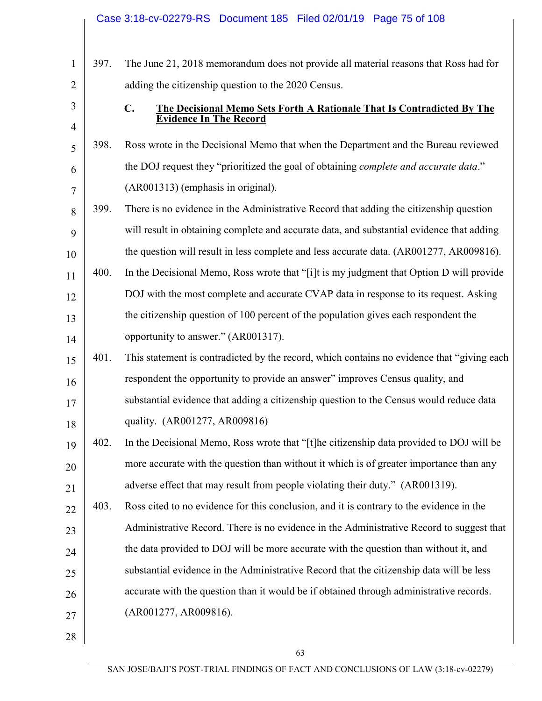|                |      | Case 3:18-cv-02279-RS Document 185 Filed 02/01/19 Page 75 of 108                             |
|----------------|------|----------------------------------------------------------------------------------------------|
|                |      |                                                                                              |
| $\mathbf{1}$   | 397. | The June 21, 2018 memorandum does not provide all material reasons that Ross had for         |
| $\overline{2}$ |      | adding the citizenship question to the 2020 Census.                                          |
| 3              |      | $C_{\bullet}$<br>The Decisional Memo Sets Forth A Rationale That Is Contradicted By The      |
| $\overline{4}$ |      | <b>Evidence In The Record</b>                                                                |
| 5              | 398. | Ross wrote in the Decisional Memo that when the Department and the Bureau reviewed           |
| 6              |      | the DOJ request they "prioritized the goal of obtaining <i>complete and accurate data</i> ." |
| $\overline{7}$ |      | (AR001313) (emphasis in original).                                                           |
| 8              | 399. | There is no evidence in the Administrative Record that adding the citizenship question       |
| 9              |      | will result in obtaining complete and accurate data, and substantial evidence that adding    |
| 10             |      | the question will result in less complete and less accurate data. (AR001277, AR009816).      |
| 11             | 400. | In the Decisional Memo, Ross wrote that "[i]t is my judgment that Option D will provide      |
| 12             |      | DOJ with the most complete and accurate CVAP data in response to its request. Asking         |
| 13             |      | the citizenship question of 100 percent of the population gives each respondent the          |
| 14             |      | opportunity to answer." (AR001317).                                                          |
| 15             | 401. | This statement is contradicted by the record, which contains no evidence that "giving each"  |
| 16             |      | respondent the opportunity to provide an answer" improves Census quality, and                |
| 17             |      | substantial evidence that adding a citizenship question to the Census would reduce data      |
| 18             |      | quality. (AR001277, AR009816)                                                                |
| 19             | 402. | In the Decisional Memo, Ross wrote that "[t]he citizenship data provided to DOJ will be      |
| 20             |      | more accurate with the question than without it which is of greater importance than any      |
| 21             |      | adverse effect that may result from people violating their duty." (AR001319).                |
| 22             | 403. | Ross cited to no evidence for this conclusion, and it is contrary to the evidence in the     |
| 23             |      | Administrative Record. There is no evidence in the Administrative Record to suggest that     |
| 24             |      | the data provided to DOJ will be more accurate with the question than without it, and        |
| 25             |      | substantial evidence in the Administrative Record that the citizenship data will be less     |
| 26             |      | accurate with the question than it would be if obtained through administrative records.      |
| 27             |      | (AR001277, AR009816).                                                                        |
| 28             |      |                                                                                              |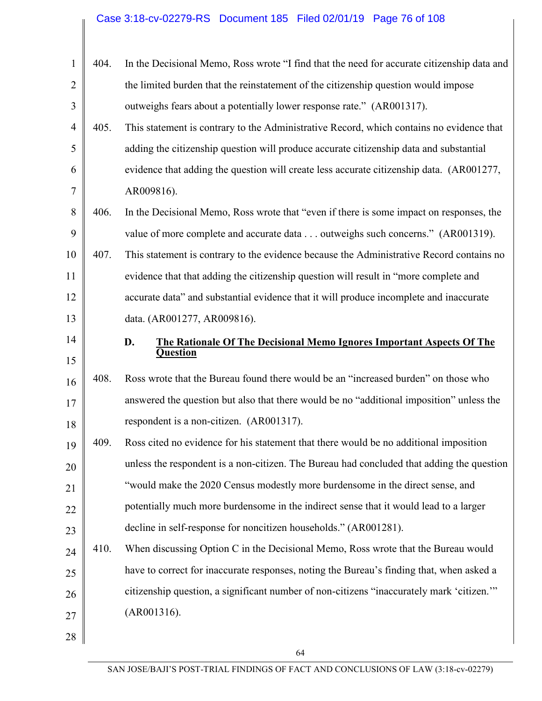# Case 3:18-cv-02279-RS Document 185 Filed 02/01/19 Page 76 of 108

| $\mathbf{1}$   | 404. | In the Decisional Memo, Ross wrote "I find that the need for accurate citizenship data and |
|----------------|------|--------------------------------------------------------------------------------------------|
| $\overline{2}$ |      | the limited burden that the reinstatement of the citizenship question would impose         |
| 3              |      | outweighs fears about a potentially lower response rate." (AR001317).                      |
| $\overline{4}$ | 405. | This statement is contrary to the Administrative Record, which contains no evidence that   |
| 5              |      | adding the citizenship question will produce accurate citizenship data and substantial     |
| 6              |      | evidence that adding the question will create less accurate citizenship data. (AR001277,   |
| 7              |      | AR009816).                                                                                 |
| 8              | 406. | In the Decisional Memo, Ross wrote that "even if there is some impact on responses, the    |
| 9              |      | value of more complete and accurate data outweighs such concerns." (AR001319).             |
| 10             | 407. | This statement is contrary to the evidence because the Administrative Record contains no   |
| 11             |      | evidence that that adding the citizenship question will result in "more complete and       |
| 12             |      | accurate data" and substantial evidence that it will produce incomplete and inaccurate     |
| 13             |      | data. (AR001277, AR009816).                                                                |
| 14             |      | D.<br>The Rationale Of The Decisional Memo Ignores Important Aspects Of The                |
| 15             |      | <b>Question</b>                                                                            |
| 16             | 408. | Ross wrote that the Bureau found there would be an "increased burden" on those who         |
| 17             |      | answered the question but also that there would be no "additional imposition" unless the   |
| 18             |      | respondent is a non-citizen. (AR001317).                                                   |
| 19             | 409  | Ross cited no evidence for his statement that there would be no additional imposition      |
| 20             |      | unless the respondent is a non-citizen. The Bureau had concluded that adding the question  |
| 21             |      | "would make the 2020 Census modestly more burdensome in the direct sense, and              |
| 22             |      | potentially much more burdensome in the indirect sense that it would lead to a larger      |
| 23             |      | decline in self-response for noncitizen households." (AR001281).                           |
| 24             | 410. | When discussing Option C in the Decisional Memo, Ross wrote that the Bureau would          |
| 25             |      | have to correct for inaccurate responses, noting the Bureau's finding that, when asked a   |
| 26             |      | citizenship question, a significant number of non-citizens "inaccurately mark 'citizen."   |
| 27             |      | (AR001316).                                                                                |
| 28             |      |                                                                                            |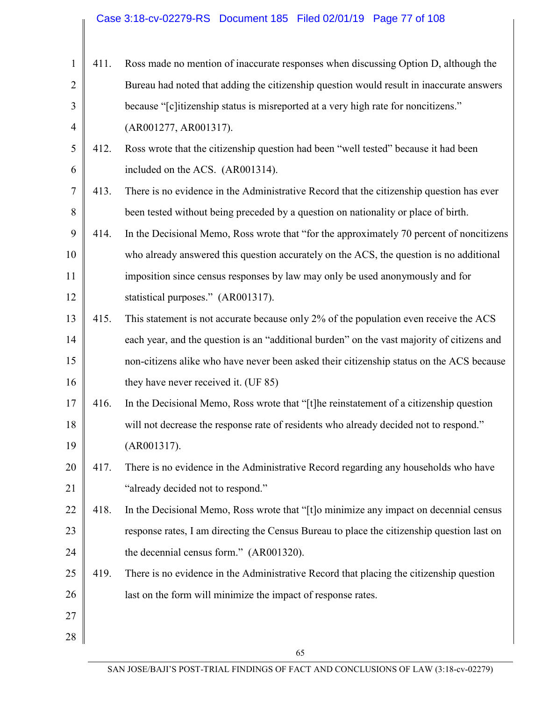|                |      | Case 3:18-cv-02279-RS  Document 185  Filed 02/01/19  Page 77 of 108                        |
|----------------|------|--------------------------------------------------------------------------------------------|
|                |      |                                                                                            |
| $\mathbf{1}$   | 411. | Ross made no mention of inaccurate responses when discussing Option D, although the        |
| $\overline{2}$ |      | Bureau had noted that adding the citizenship question would result in inaccurate answers   |
| 3              |      | because "[c]itizenship status is misreported at a very high rate for noncitizens."         |
| $\overline{4}$ |      | (AR001277, AR001317).                                                                      |
| 5              | 412. | Ross wrote that the citizenship question had been "well tested" because it had been        |
| 6              |      | included on the ACS. (AR001314).                                                           |
| $\tau$         | 413. | There is no evidence in the Administrative Record that the citizenship question has ever   |
| 8              |      | been tested without being preceded by a question on nationality or place of birth.         |
| 9              | 414. | In the Decisional Memo, Ross wrote that "for the approximately 70 percent of noncitizens"  |
| 10             |      | who already answered this question accurately on the ACS, the question is no additional    |
| 11             |      | imposition since census responses by law may only be used anonymously and for              |
| 12             |      | statistical purposes." (AR001317).                                                         |
| 13             | 415. | This statement is not accurate because only 2% of the population even receive the ACS      |
| 14             |      | each year, and the question is an "additional burden" on the vast majority of citizens and |
| 15             |      | non-citizens alike who have never been asked their citizenship status on the ACS because   |
| 16             |      | they have never received it. (UF 85)                                                       |
| 17             | 416. | In the Decisional Memo, Ross wrote that "[t]he reinstatement of a citizenship question     |
| 18             |      | will not decrease the response rate of residents who already decided not to respond."      |
| 19             |      | (AR001317).                                                                                |
| 20             | 417. | There is no evidence in the Administrative Record regarding any households who have        |
| 21             |      | "already decided not to respond."                                                          |
| 22             | 418. | In the Decisional Memo, Ross wrote that "[t] o minimize any impact on decennial census     |
| 23             |      | response rates, I am directing the Census Bureau to place the citizenship question last on |
| 24             |      | the decennial census form." (AR001320).                                                    |
| 25             | 419. | There is no evidence in the Administrative Record that placing the citizenship question    |
| 26             |      | last on the form will minimize the impact of response rates.                               |
| 27             |      |                                                                                            |
| 28             |      |                                                                                            |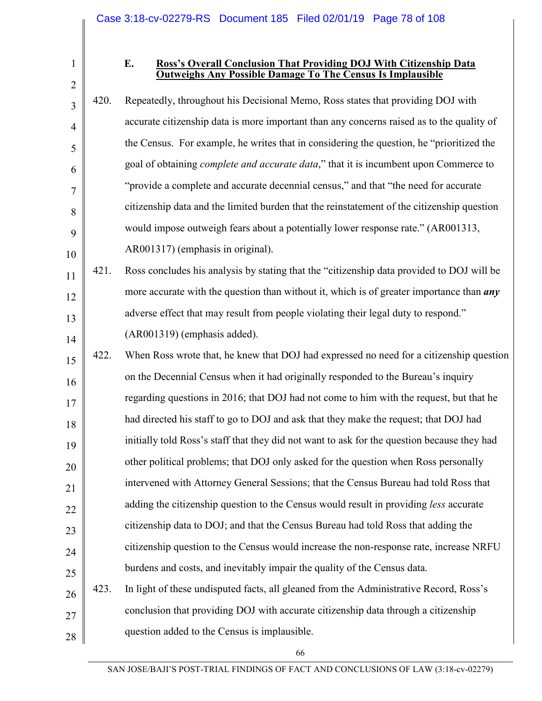3

4

5

6

7

8

9

#### **E. Ross's Overall Conclusion That Providing DOJ With Citizenship Data Outweighs Any Possible Damage To The Census Is Implausible**

10 420. Repeatedly, throughout his Decisional Memo, Ross states that providing DOJ with accurate citizenship data is more important than any concerns raised as to the quality of the Census. For example, he writes that in considering the question, he "prioritized the goal of obtaining *complete and accurate data*," that it is incumbent upon Commerce to "provide a complete and accurate decennial census," and that "the need for accurate citizenship data and the limited burden that the reinstatement of the citizenship question would impose outweigh fears about a potentially lower response rate." (AR001313, AR001317) (emphasis in original).

11 12 13 14 421. Ross concludes his analysis by stating that the "citizenship data provided to DOJ will be more accurate with the question than without it, which is of greater importance than *any* adverse effect that may result from people violating their legal duty to respond." (AR001319) (emphasis added).

15 16 17 18 19 20 21 22 23 24 25 26 27 28 422. When Ross wrote that, he knew that DOJ had expressed no need for a citizenship question on the Decennial Census when it had originally responded to the Bureau's inquiry regarding questions in 2016; that DOJ had not come to him with the request, but that he had directed his staff to go to DOJ and ask that they make the request; that DOJ had initially told Ross's staff that they did not want to ask for the question because they had other political problems; that DOJ only asked for the question when Ross personally intervened with Attorney General Sessions; that the Census Bureau had told Ross that adding the citizenship question to the Census would result in providing *less* accurate citizenship data to DOJ; and that the Census Bureau had told Ross that adding the citizenship question to the Census would increase the non-response rate, increase NRFU burdens and costs, and inevitably impair the quality of the Census data. 423. In light of these undisputed facts, all gleaned from the Administrative Record, Ross's conclusion that providing DOJ with accurate citizenship data through a citizenship question added to the Census is implausible.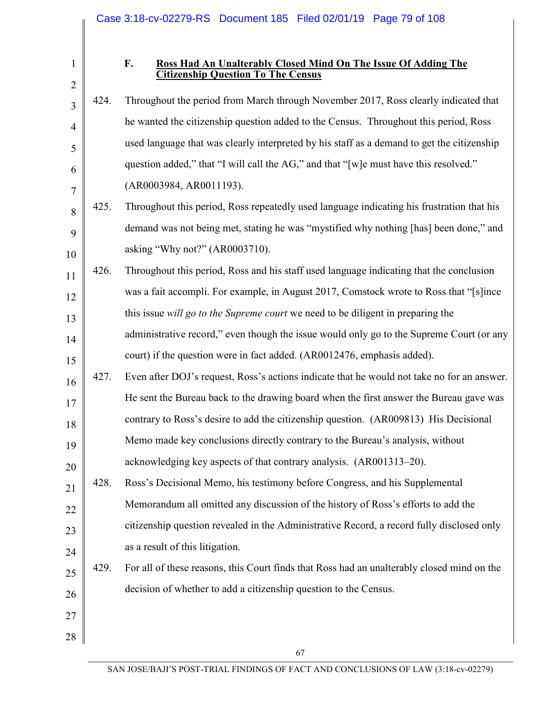#### **F. Ross Had An Unalterably Closed Mind On The Issue Of Adding The Citizenship Question To The Census**

3 4 5 6 7 8 9 10 11 12 13 14 15 16 17 18 19 20 21 22 23 24 25 26 27 28 424. Throughout the period from March through November 2017, Ross clearly indicated that he wanted the citizenship question added to the Census. Throughout this period, Ross used language that was clearly interpreted by his staff as a demand to get the citizenship question added," that "I will call the AG," and that "[w]e must have this resolved." (AR0003984, AR0011193). 425. Throughout this period, Ross repeatedly used language indicating his frustration that his demand was not being met, stating he was "mystified why nothing [has] been done," and asking "Why not?" (AR0003710). 426. Throughout this period, Ross and his staff used language indicating that the conclusion was a fait accompli. For example, in August 2017, Comstock wrote to Ross that "[s]ince this issue *will go to the Supreme court* we need to be diligent in preparing the administrative record," even though the issue would only go to the Supreme Court (or any court) if the question were in fact added. (AR0012476, emphasis added). 427. Even after DOJ's request, Ross's actions indicate that he would not take no for an answer. He sent the Bureau back to the drawing board when the first answer the Bureau gave was contrary to Ross's desire to add the citizenship question. (AR009813) His Decisional Memo made key conclusions directly contrary to the Bureau's analysis, without acknowledging key aspects of that contrary analysis. (AR001313–20). 428. Ross's Decisional Memo, his testimony before Congress, and his Supplemental Memorandum all omitted any discussion of the history of Ross's efforts to add the citizenship question revealed in the Administrative Record, a record fully disclosed only as a result of this litigation. 429. For all of these reasons, this Court finds that Ross had an unalterably closed mind on the decision of whether to add a citizenship question to the Census.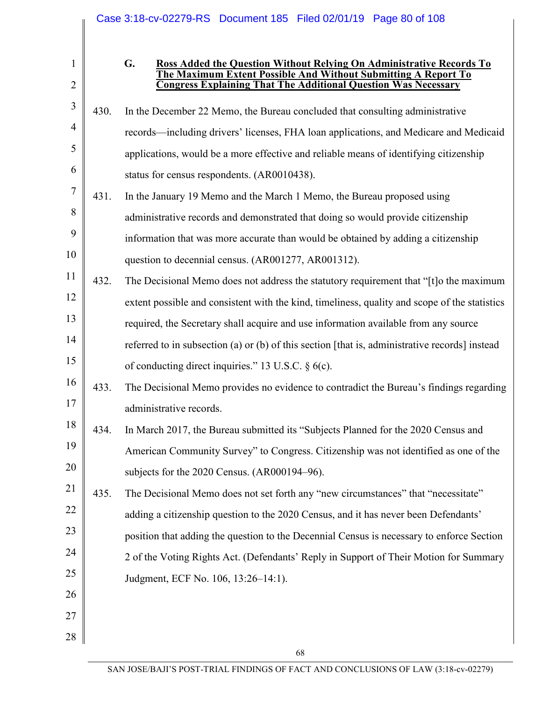|                |      |    | Case 3:18-cv-02279-RS Document 185 Filed 02/01/19 Page 80 of 108                                                                        |
|----------------|------|----|-----------------------------------------------------------------------------------------------------------------------------------------|
| $\mathbf{1}$   |      | G. | Ross Added the Question Without Relying On Administrative Records To                                                                    |
| $\overline{2}$ |      |    | The Maximum Extent Possible And Without Submitting A Report To<br><b>Congress Explaining That The Additional Question Was Necessary</b> |
| 3              | 430. |    | In the December 22 Memo, the Bureau concluded that consulting administrative                                                            |
| 4              |      |    | records—including drivers' licenses, FHA loan applications, and Medicare and Medicaid                                                   |
| 5              |      |    | applications, would be a more effective and reliable means of identifying citizenship                                                   |
| 6              |      |    | status for census respondents. (AR0010438).                                                                                             |
| 7              | 431. |    | In the January 19 Memo and the March 1 Memo, the Bureau proposed using                                                                  |
| 8              |      |    | administrative records and demonstrated that doing so would provide citizenship                                                         |
| 9              |      |    | information that was more accurate than would be obtained by adding a citizenship                                                       |
| 10             |      |    | question to decennial census. (AR001277, AR001312).                                                                                     |
| 11             | 432. |    | The Decisional Memo does not address the statutory requirement that "[t]o the maximum                                                   |
| 12             |      |    | extent possible and consistent with the kind, timeliness, quality and scope of the statistics                                           |
| 13             |      |    | required, the Secretary shall acquire and use information available from any source                                                     |
| 14             |      |    | referred to in subsection (a) or (b) of this section [that is, administrative records] instead                                          |
| 15             |      |    | of conducting direct inquiries." 13 U.S.C. $\S$ 6(c).                                                                                   |
| 16             | 433. |    | The Decisional Memo provides no evidence to contradict the Bureau's findings regarding                                                  |
| 17             |      |    | administrative records.                                                                                                                 |
| 18             | 434. |    | In March 2017, the Bureau submitted its "Subjects Planned for the 2020 Census and                                                       |
| 19             |      |    | American Community Survey" to Congress. Citizenship was not identified as one of the                                                    |
| 20             |      |    | subjects for the 2020 Census. (AR000194–96).                                                                                            |
| 21             | 435. |    | The Decisional Memo does not set forth any "new circumstances" that "necessitate"                                                       |
| 22             |      |    | adding a citizenship question to the 2020 Census, and it has never been Defendants'                                                     |
| 23             |      |    | position that adding the question to the Decennial Census is necessary to enforce Section                                               |
| 24             |      |    | 2 of the Voting Rights Act. (Defendants' Reply in Support of Their Motion for Summary                                                   |
| 25             |      |    | Judgment, ECF No. 106, 13:26-14:1).                                                                                                     |
| 26             |      |    |                                                                                                                                         |
| 27             |      |    |                                                                                                                                         |
| 28             |      |    |                                                                                                                                         |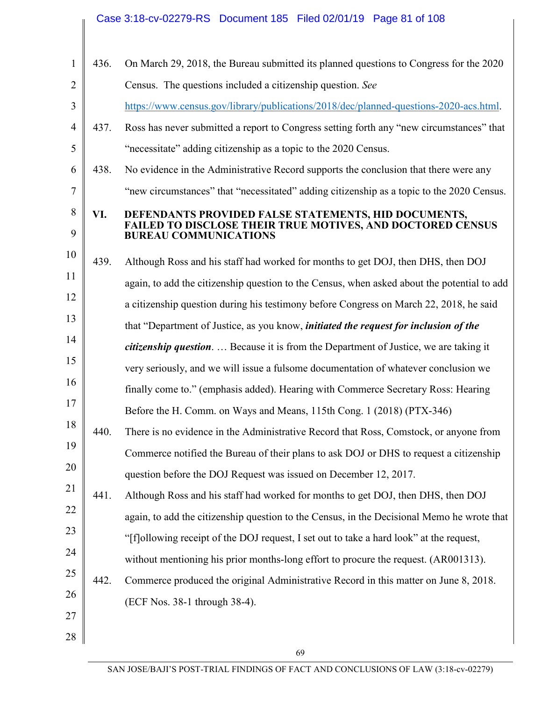|                |      | Case 3:18-cv-02279-RS  Document 185  Filed 02/01/19  Page 81 of 108                                                |
|----------------|------|--------------------------------------------------------------------------------------------------------------------|
| $\mathbf{1}$   | 436. | On March 29, 2018, the Bureau submitted its planned questions to Congress for the 2020                             |
| $\overline{2}$ |      | Census. The questions included a citizenship question. See                                                         |
| 3              |      | https://www.census.gov/library/publications/2018/dec/planned-questions-2020-acs.html.                              |
| $\overline{4}$ | 437. | Ross has never submitted a report to Congress setting forth any "new circumstances" that                           |
| 5              |      | "necessitate" adding citizenship as a topic to the 2020 Census.                                                    |
| 6              | 438. | No evidence in the Administrative Record supports the conclusion that there were any                               |
| 7              |      | "new circumstances" that "necessitated" adding citizenship as a topic to the 2020 Census.                          |
| 8              | VI.  | DEFENDANTS PROVIDED FALSE STATEMENTS, HID DOCUMENTS,<br>FAILED TO DISCLOSE THEIR TRUE MOTIVES, AND DOCTORED CENSUS |
| 9              |      | <b>BUREAU COMMUNICATIONS</b>                                                                                       |
| 10             | 439. | Although Ross and his staff had worked for months to get DOJ, then DHS, then DOJ                                   |
| 11             |      | again, to add the citizenship question to the Census, when asked about the potential to add                        |
| 12             |      | a citizenship question during his testimony before Congress on March 22, 2018, he said                             |
| 13             |      | that "Department of Justice, as you know, <i>initiated the request for inclusion of the</i>                        |
| 14             |      | citizenship question.  Because it is from the Department of Justice, we are taking it                              |
| 15             |      | very seriously, and we will issue a fulsome documentation of whatever conclusion we                                |
| 16             |      | finally come to." (emphasis added). Hearing with Commerce Secretary Ross: Hearing                                  |
| 17             |      | Before the H. Comm. on Ways and Means, 115th Cong. 1 (2018) (PTX-346)                                              |
| 18             | 440. | There is no evidence in the Administrative Record that Ross, Comstock, or anyone from                              |
| 19             |      | Commerce notified the Bureau of their plans to ask DOJ or DHS to request a citizenship                             |
| 20             |      | question before the DOJ Request was issued on December 12, 2017.                                                   |
| 21             | 441. | Although Ross and his staff had worked for months to get DOJ, then DHS, then DOJ                                   |
| 22             |      | again, to add the citizenship question to the Census, in the Decisional Memo he wrote that                         |
| 23             |      | "[f] ollowing receipt of the DOJ request, I set out to take a hard look" at the request,                           |
| 24             |      | without mentioning his prior months-long effort to procure the request. (AR001313).                                |
| 25             | 442. | Commerce produced the original Administrative Record in this matter on June 8, 2018.                               |
| 26             |      | (ECF Nos. 38-1 through 38-4).                                                                                      |
| 27             |      |                                                                                                                    |
| 28             |      |                                                                                                                    |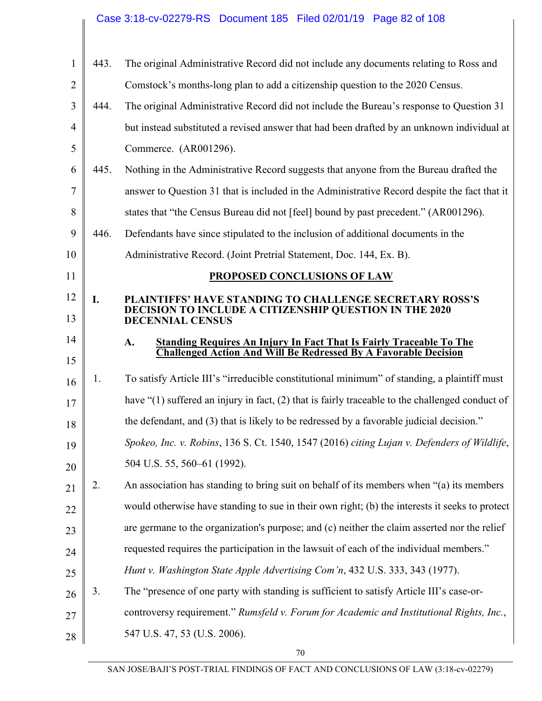#### 1 2 3 4 5 6 7 8 9 10 11 12 13 14 15 16 17 18 19 20 21 22 23 24 25 26 27 28 443. The original Administrative Record did not include any documents relating to Ross and Comstock's months-long plan to add a citizenship question to the 2020 Census. 444. The original Administrative Record did not include the Bureau's response to Question 31 but instead substituted a revised answer that had been drafted by an unknown individual at Commerce. (AR001296). 445. Nothing in the Administrative Record suggests that anyone from the Bureau drafted the answer to Question 31 that is included in the Administrative Record despite the fact that it states that "the Census Bureau did not [feel] bound by past precedent." (AR001296). 446. Defendants have since stipulated to the inclusion of additional documents in the Administrative Record. (Joint Pretrial Statement, Doc. 144, Ex. B). **PROPOSED CONCLUSIONS OF LAW I. PLAINTIFFS' HAVE STANDING TO CHALLENGE SECRETARY ROSS'S DECISION TO INCLUDE A CITIZENSHIP QUESTION IN THE 2020 DECENNIAL CENSUS A. Standing Requires An Injury In Fact That Is Fairly Traceable To The Challenged Action And Will Be Redressed By A Favorable Decision**  1. To satisfy Article III's "irreducible constitutional minimum" of standing, a plaintiff must have "(1) suffered an injury in fact, (2) that is fairly traceable to the challenged conduct of the defendant, and (3) that is likely to be redressed by a favorable judicial decision." *Spokeo, Inc. v. Robins*, 136 S. Ct. 1540, 1547 (2016) *citing Lujan v. Defenders of Wildlife*, 504 U.S. 55, 560–61 (1992). 2. An association has standing to bring suit on behalf of its members when "(a) its members would otherwise have standing to sue in their own right; (b) the interests it seeks to protect are germane to the organization's purpose; and (c) neither the claim asserted nor the relief requested requires the participation in the lawsuit of each of the individual members." *Hunt v. Washington State Apple Advertising Com'n*, 432 U.S. 333, 343 (1977). 3. The "presence of one party with standing is sufficient to satisfy Article III's case-orcontroversy requirement." *Rumsfeld v. Forum for Academic and Institutional Rights, Inc.*, 547 U.S. 47, 53 (U.S. 2006). Case 3:18-cv-02279-RS Document 185 Filed 02/01/19 Page 82 of 108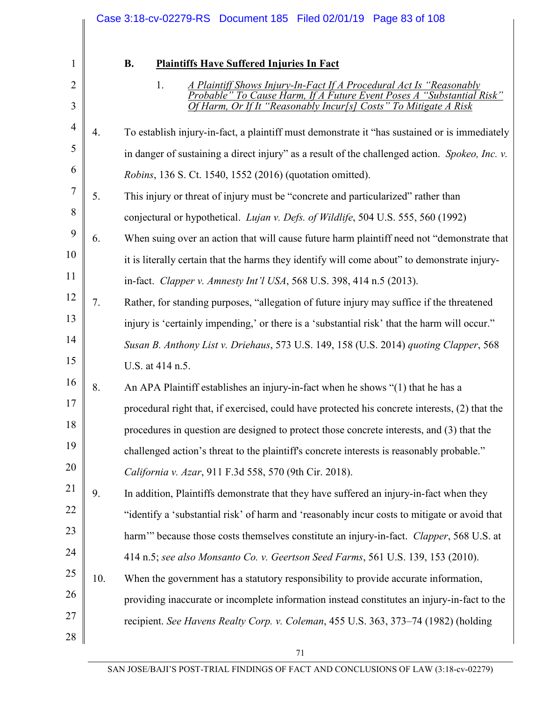|                |     | Case 3:18-cv-02279-RS  Document 185  Filed 02/01/19  Page 83 of 108                                                                                   |
|----------------|-----|-------------------------------------------------------------------------------------------------------------------------------------------------------|
|                |     |                                                                                                                                                       |
| 1              |     | <b>B.</b><br><b>Plaintiffs Have Suffered Injuries In Fact</b>                                                                                         |
| $\overline{2}$ |     | 1.<br>A Plaintiff Shows Injury-In-Fact If A Procedural Act Is "Reasonably<br>Probable" To Cause Harm, If A Future Event Poses A<br>"Substantial Risk" |
| 3              |     | Harm, Or If It "Reasonably Incur[s] Costs" To Mitigate A Risk                                                                                         |
| $\overline{4}$ | 4.  | To establish injury-in-fact, a plaintiff must demonstrate it "has sustained or is immediately                                                         |
| 5              |     | in danger of sustaining a direct injury" as a result of the challenged action. Spokeo, Inc. v.                                                        |
| 6              |     | <i>Robins</i> , 136 S. Ct. 1540, 1552 (2016) (quotation omitted).                                                                                     |
| 7              | 5.  | This injury or threat of injury must be "concrete and particularized" rather than                                                                     |
| 8              |     | conjectural or hypothetical. <i>Lujan v. Defs. of Wildlife</i> , 504 U.S. 555, 560 (1992)                                                             |
| 9              | 6.  | When suing over an action that will cause future harm plaintiff need not "demonstrate that                                                            |
| 10             |     | it is literally certain that the harms they identify will come about" to demonstrate injury-                                                          |
| 11             |     | in-fact. Clapper v. Amnesty Int'l USA, 568 U.S. 398, 414 n.5 (2013).                                                                                  |
| 12             | 7.  | Rather, for standing purposes, "allegation of future injury may suffice if the threatened                                                             |
| 13             |     | injury is 'certainly impending,' or there is a 'substantial risk' that the harm will occur."                                                          |
| 14             |     | Susan B. Anthony List v. Driehaus, 573 U.S. 149, 158 (U.S. 2014) quoting Clapper, 568                                                                 |
| 15             |     | U.S. at 414 n.5.                                                                                                                                      |
| 16             | 8.  | An APA Plaintiff establishes an injury-in-fact when he shows "(1) that he has a                                                                       |
| 17             |     | procedural right that, if exercised, could have protected his concrete interests, (2) that the                                                        |
| 18             |     | procedures in question are designed to protect those concrete interests, and (3) that the                                                             |
| 19             |     | challenged action's threat to the plaintiff's concrete interests is reasonably probable."                                                             |
| 20             |     | California v. Azar, 911 F.3d 558, 570 (9th Cir. 2018).                                                                                                |
| 21             | 9.  | In addition, Plaintiffs demonstrate that they have suffered an injury-in-fact when they                                                               |
| 22             |     | "identify a 'substantial risk' of harm and 'reasonably incur costs to mitigate or avoid that                                                          |
| 23             |     | harm" because those costs themselves constitute an injury-in-fact. Clapper, 568 U.S. at                                                               |
| 24             |     | 414 n.5; see also Monsanto Co. v. Geertson Seed Farms, 561 U.S. 139, 153 (2010).                                                                      |
| 25             | 10. | When the government has a statutory responsibility to provide accurate information,                                                                   |
| 26             |     | providing inaccurate or incomplete information instead constitutes an injury-in-fact to the                                                           |
| 27             |     | recipient. See Havens Realty Corp. v. Coleman, 455 U.S. 363, 373-74 (1982) (holding                                                                   |
| 28             |     |                                                                                                                                                       |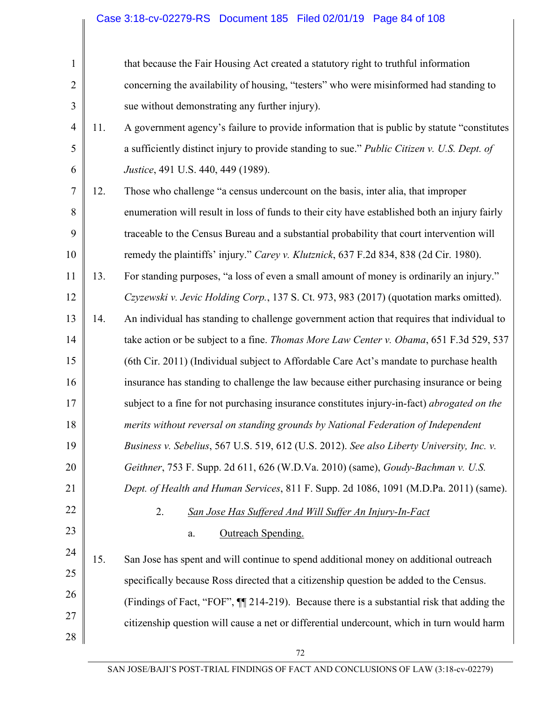| $\mathbf{1}$   |     | that because the Fair Housing Act created a statutory right to truthful information           |
|----------------|-----|-----------------------------------------------------------------------------------------------|
| $\overline{2}$ |     | concerning the availability of housing, "testers" who were misinformed had standing to        |
| 3              |     | sue without demonstrating any further injury).                                                |
| $\overline{4}$ | 11. | A government agency's failure to provide information that is public by statute "constitutes   |
| 5              |     | a sufficiently distinct injury to provide standing to sue." Public Citizen v. U.S. Dept. of   |
| 6              |     | Justice, 491 U.S. 440, 449 (1989).                                                            |
| 7              | 12. | Those who challenge "a census undercount on the basis, inter alia, that improper              |
| 8              |     | enumeration will result in loss of funds to their city have established both an injury fairly |
| 9              |     | traceable to the Census Bureau and a substantial probability that court intervention will     |
| 10             |     | remedy the plaintiffs' injury." Carey v. Klutznick, 637 F.2d 834, 838 (2d Cir. 1980).         |
| 11             | 13. | For standing purposes, "a loss of even a small amount of money is ordinarily an injury."      |
| 12             |     | Czyzewski v. Jevic Holding Corp., 137 S. Ct. 973, 983 (2017) (quotation marks omitted).       |
| 13             | 14. | An individual has standing to challenge government action that requires that individual to    |
| 14             |     | take action or be subject to a fine. Thomas More Law Center v. Obama, 651 F.3d 529, 537       |
| 15             |     | (6th Cir. 2011) (Individual subject to Affordable Care Act's mandate to purchase health       |
| 16             |     | insurance has standing to challenge the law because either purchasing insurance or being      |
| 17             |     | subject to a fine for not purchasing insurance constitutes injury-in-fact) abrogated on the   |
| 18             |     | merits without reversal on standing grounds by National Federation of Independent             |
| 19             |     | Business v. Sebelius, 567 U.S. 519, 612 (U.S. 2012). See also Liberty University, Inc. v.     |
| 20             |     | Geithner, 753 F. Supp. 2d 611, 626 (W.D.Va. 2010) (same), Goudy-Bachman v. U.S.               |
| 21             |     | Dept. of Health and Human Services, 811 F. Supp. 2d 1086, 1091 (M.D.Pa. 2011) (same).         |
| 22             |     | 2.<br>San Jose Has Suffered And Will Suffer An Injury-In-Fact                                 |
| 23             |     | Outreach Spending.<br>$a$ .                                                                   |
| 24             | 15. | San Jose has spent and will continue to spend additional money on additional outreach         |
| 25             |     | specifically because Ross directed that a citizenship question be added to the Census.        |
| 26             |     | (Findings of Fact, "FOF", $\P$ 214-219). Because there is a substantial risk that adding the  |
| 27             |     | citizenship question will cause a net or differential undercount, which in turn would harm    |
| 28             |     |                                                                                               |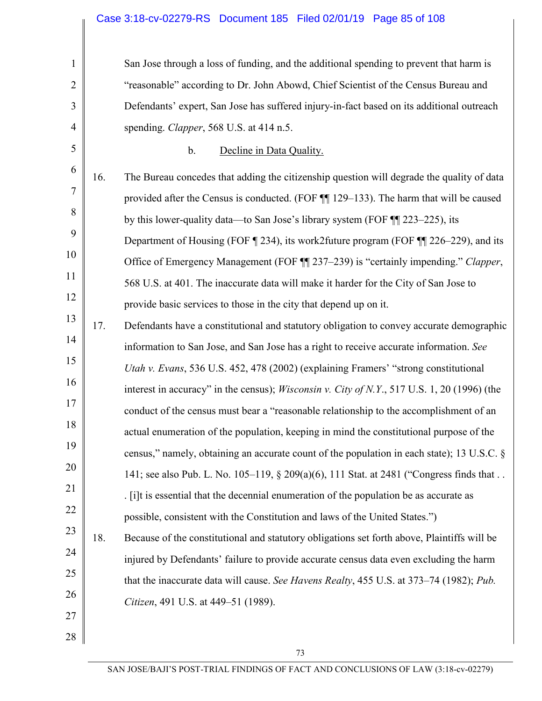| $\mathbf{1}$   |     | San Jose through a loss of funding, and the additional spending to prevent that harm is             |
|----------------|-----|-----------------------------------------------------------------------------------------------------|
| $\overline{2}$ |     | "reasonable" according to Dr. John Abowd, Chief Scientist of the Census Bureau and                  |
| 3              |     | Defendants' expert, San Jose has suffered injury-in-fact based on its additional outreach           |
| $\overline{4}$ |     | spending. Clapper, 568 U.S. at 414 n.5.                                                             |
| 5              |     | Decline in Data Quality.<br>b.                                                                      |
| 6              | 16. | The Bureau concedes that adding the citizenship question will degrade the quality of data           |
| 7              |     | provided after the Census is conducted. (FOF ¶¶ 129-133). The harm that will be caused              |
| 8              |     | by this lower-quality data—to San Jose's library system (FOF ¶¶ 223–225), its                       |
| 9              |     | Department of Housing (FOF $\P$ 234), its work2future program (FOF $\P$ $\P$ 226–229), and its      |
| 10             |     | Office of Emergency Management (FOF ¶ 237-239) is "certainly impending." Clapper,                   |
| 11             |     | 568 U.S. at 401. The inaccurate data will make it harder for the City of San Jose to                |
| 12             |     | provide basic services to those in the city that depend up on it.                                   |
| 13             | 17. | Defendants have a constitutional and statutory obligation to convey accurate demographic            |
| 14             |     | information to San Jose, and San Jose has a right to receive accurate information. See              |
| 15             |     | Utah v. Evans, 536 U.S. 452, 478 (2002) (explaining Framers' "strong constitutional                 |
| 16             |     | interest in accuracy" in the census); <i>Wisconsin v. City of N.Y.</i> , 517 U.S. 1, 20 (1996) (the |
| 17             |     | conduct of the census must bear a "reasonable relationship to the accomplishment of an              |
| 18             |     | actual enumeration of the population, keeping in mind the constitutional purpose of the             |
| 19             |     | census," namely, obtaining an accurate count of the population in each state); 13 U.S.C. §          |
| 20             |     | 141; see also Pub. L. No. 105–119, § 209(a)(6), 111 Stat. at 2481 ("Congress finds that             |
| 21             |     | . [i]t is essential that the decennial enumeration of the population be as accurate as              |
| 22             |     | possible, consistent with the Constitution and laws of the United States.")                         |
| 23             | 18. | Because of the constitutional and statutory obligations set forth above, Plaintiffs will be         |
| 24             |     | injured by Defendants' failure to provide accurate census data even excluding the harm              |
| 25             |     | that the inaccurate data will cause. See Havens Realty, 455 U.S. at 373–74 (1982); Pub.             |
| 26             |     | Citizen, 491 U.S. at 449–51 (1989).                                                                 |
| 27             |     |                                                                                                     |
| 28             |     |                                                                                                     |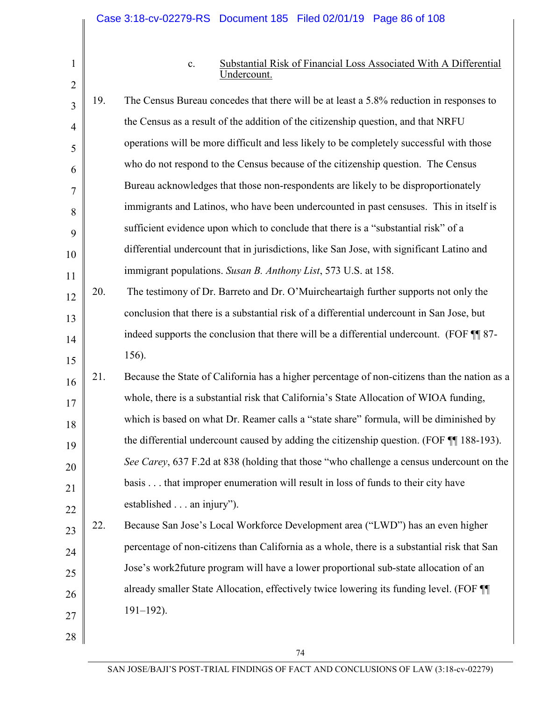#### c. Substantial Risk of Financial Loss Associated With A Differential Undercount.

| 3              | 19. | The Census Bureau concedes that there will be at least a 5.8% reduction in responses to      |
|----------------|-----|----------------------------------------------------------------------------------------------|
| $\overline{4}$ |     | the Census as a result of the addition of the citizenship question, and that NRFU            |
| 5              |     | operations will be more difficult and less likely to be completely successful with those     |
| 6              |     | who do not respond to the Census because of the citizenship question. The Census             |
| 7              |     | Bureau acknowledges that those non-respondents are likely to be disproportionately           |
| 8              |     | immigrants and Latinos, who have been undercounted in past censuses. This in itself is       |
| 9              |     | sufficient evidence upon which to conclude that there is a "substantial risk" of a           |
| 10             |     | differential undercount that in jurisdictions, like San Jose, with significant Latino and    |
| 11             |     | immigrant populations. Susan B. Anthony List, 573 U.S. at 158.                               |
| 12             | 20. | The testimony of Dr. Barreto and Dr. O'Muircheartaigh further supports not only the          |
| 13             |     | conclusion that there is a substantial risk of a differential undercount in San Jose, but    |
| 14             |     | indeed supports the conclusion that there will be a differential undercount. (FOF TI 87-     |
| 15             |     | 156).                                                                                        |
| 16             | 21. | Because the State of California has a higher percentage of non-citizens than the nation as a |
| 17             |     | whole, there is a substantial risk that California's State Allocation of WIOA funding,       |
| 18             |     | which is based on what Dr. Reamer calls a "state share" formula, will be diminished by       |
| 19             |     | the differential undercount caused by adding the citizenship question. (FOF ¶ 188-193).      |
| 20             |     | See Carey, 637 F.2d at 838 (holding that those "who challenge a census undercount on the     |
| 21             |     | basis that improper enumeration will result in loss of funds to their city have              |
| 22             |     | established an injury").                                                                     |
| 23             | 22. | Because San Jose's Local Workforce Development area ("LWD") has an even higher               |
| 24             |     | percentage of non-citizens than California as a whole, there is a substantial risk that San  |
| 25             |     | Jose's work2future program will have a lower proportional sub-state allocation of an         |
| 26             |     | already smaller State Allocation, effectively twice lowering its funding level. (FOF ¶       |
| 27             |     | $191 - 192$ ).                                                                               |
| 28             |     |                                                                                              |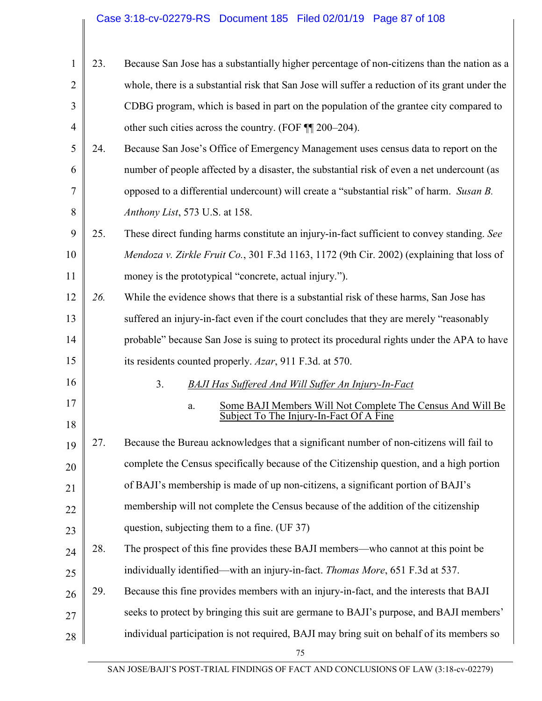| 1              | 23. | Because San Jose has a substantially higher percentage of non-citizens than the nation as a     |
|----------------|-----|-------------------------------------------------------------------------------------------------|
| $\overline{2}$ |     | whole, there is a substantial risk that San Jose will suffer a reduction of its grant under the |
| 3              |     | CDBG program, which is based in part on the population of the grantee city compared to          |
| $\overline{4}$ |     | other such cities across the country. (FOF $\P$ 200–204).                                       |
| 5              | 24. | Because San Jose's Office of Emergency Management uses census data to report on the             |
| 6              |     | number of people affected by a disaster, the substantial risk of even a net undercount (as      |
| 7              |     | opposed to a differential undercount) will create a "substantial risk" of harm. Susan B.        |
| 8              |     | Anthony List, 573 U.S. at 158.                                                                  |
| 9              | 25. | These direct funding harms constitute an injury-in-fact sufficient to convey standing. See      |
| 10             |     | Mendoza v. Zirkle Fruit Co., 301 F.3d 1163, 1172 (9th Cir. 2002) (explaining that loss of       |
| 11             |     | money is the prototypical "concrete, actual injury.").                                          |
| 12             | 26. | While the evidence shows that there is a substantial risk of these harms, San Jose has          |
| 13             |     | suffered an injury-in-fact even if the court concludes that they are merely "reasonably"        |
| 14             |     | probable" because San Jose is suing to protect its procedural rights under the APA to have      |
| 15             |     | its residents counted properly. Azar, 911 F.3d. at 570.                                         |
| 16             |     | 3 <sub>1</sub><br><b>BAJI Has Suffered And Will Suffer An Injury-In-Fact</b>                    |
| 17             |     | Some BAJI Members Will Not Complete The Census And Will Be<br>a.                                |
| 18             |     | Subject To The Injury-In-Fact Of A Fine                                                         |
| 19             | 27. | Because the Bureau acknowledges that a significant number of non-citizens will fail to          |
| 20             |     | complete the Census specifically because of the Citizenship question, and a high portion        |
| 21             |     | of BAJI's membership is made of up non-citizens, a significant portion of BAJI's                |
| 22             |     | membership will not complete the Census because of the addition of the citizenship              |
| 23             |     | question, subjecting them to a fine. (UF 37)                                                    |
| 24             | 28. | The prospect of this fine provides these BAJI members—who cannot at this point be               |
| 25             |     | individually identified—with an injury-in-fact. Thomas More, 651 F.3d at 537.                   |
| 26             | 29. | Because this fine provides members with an injury-in-fact, and the interests that BAJI          |
| 27             |     | seeks to protect by bringing this suit are germane to BAJI's purpose, and BAJI members'         |
| 28             |     | individual participation is not required, BAJI may bring suit on behalf of its members so       |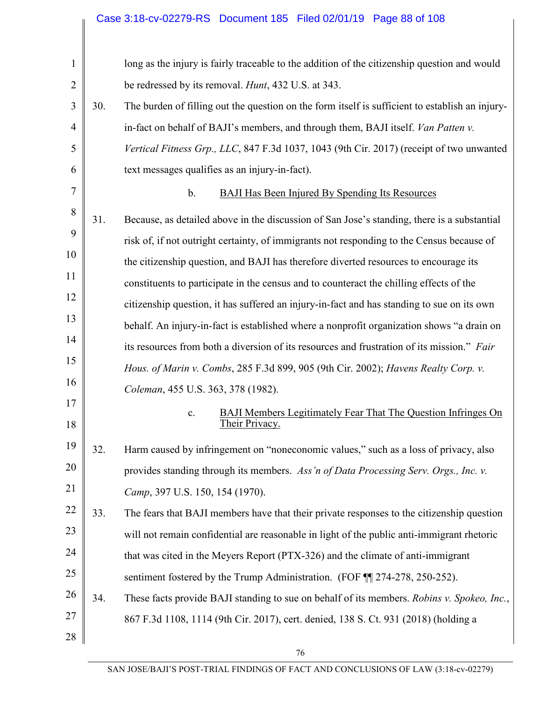# Case 3:18-cv-02279-RS Document 185 Filed 02/01/19 Page 88 of 108

| $\mathbf{1}$   |     | long as the injury is fairly traceable to the addition of the citizenship question and would             |
|----------------|-----|----------------------------------------------------------------------------------------------------------|
| $\overline{2}$ |     | be redressed by its removal. <i>Hunt</i> , 432 U.S. at 343.                                              |
| 3              | 30. | The burden of filling out the question on the form itself is sufficient to establish an injury-          |
| $\overline{4}$ |     | in-fact on behalf of BAJI's members, and through them, BAJI itself. <i>Van Patten v.</i>                 |
| 5              |     | Vertical Fitness Grp., LLC, 847 F.3d 1037, 1043 (9th Cir. 2017) (receipt of two unwanted                 |
| 6              |     | text messages qualifies as an injury-in-fact).                                                           |
| $\overline{7}$ |     | $\mathbf b$ .<br><b>BAJI Has Been Injured By Spending Its Resources</b>                                  |
| 8              | 31. | Because, as detailed above in the discussion of San Jose's standing, there is a substantial              |
| 9              |     | risk of, if not outright certainty, of immigrants not responding to the Census because of                |
| 10             |     | the citizenship question, and BAJI has therefore diverted resources to encourage its                     |
| 11             |     | constituents to participate in the census and to counteract the chilling effects of the                  |
| 12             |     | citizenship question, it has suffered an injury-in-fact and has standing to sue on its own               |
| 13             |     | behalf. An injury-in-fact is established where a nonprofit organization shows "a drain on                |
| 14             |     | its resources from both a diversion of its resources and frustration of its mission." Fair               |
| 15             |     | Hous. of Marin v. Combs, 285 F.3d 899, 905 (9th Cir. 2002); Havens Realty Corp. v.                       |
| 16             |     | Coleman, 455 U.S. 363, 378 (1982).                                                                       |
| 17<br>18       |     | <b>BAJI Members Legitimately Fear That The Question Infringes On</b><br>$\mathbf{c}$ .<br>Their Privacy. |
| 19             | 32. | Harm caused by infringement on "noneconomic values," such as a loss of privacy, also                     |
| 20             |     | provides standing through its members. Ass'n of Data Processing Serv. Orgs., Inc. v.                     |
| 21             |     | Camp, 397 U.S. 150, 154 (1970).                                                                          |
| 22             | 33. | The fears that BAJI members have that their private responses to the citizenship question                |
| 23             |     | will not remain confidential are reasonable in light of the public anti-immigrant rhetoric               |
| 24             |     | that was cited in the Meyers Report (PTX-326) and the climate of anti-immigrant                          |
| 25             |     | sentiment fostered by the Trump Administration. (FOF ¶ 274-278, 250-252).                                |
| 26             | 34. | These facts provide BAJI standing to sue on behalf of its members. <i>Robins v. Spokeo, Inc.</i> ,       |
| 27             |     | 867 F.3d 1108, 1114 (9th Cir. 2017), cert. denied, 138 S. Ct. 931 (2018) (holding a                      |
| $28\,$         |     |                                                                                                          |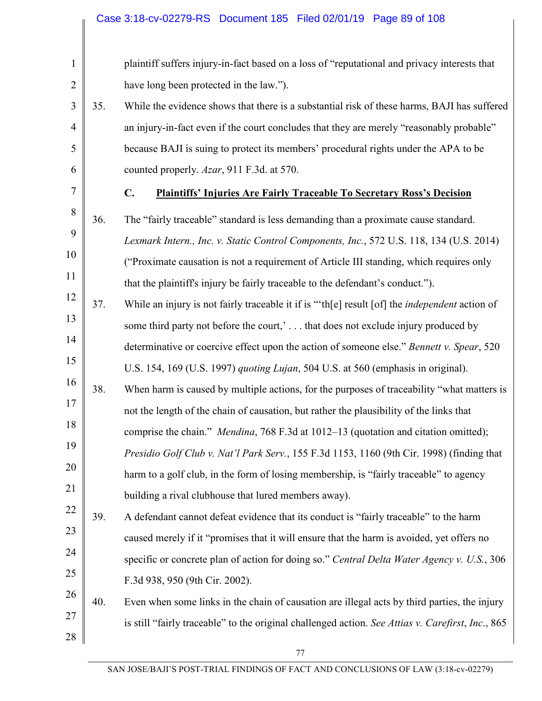| $\mathbf{1}$   |     | plaintiff suffers injury-in-fact based on a loss of "reputational and privacy interests that       |
|----------------|-----|----------------------------------------------------------------------------------------------------|
| $\overline{2}$ |     | have long been protected in the law.").                                                            |
| 3              | 35. | While the evidence shows that there is a substantial risk of these harms, BAJI has suffered        |
| $\overline{4}$ |     | an injury-in-fact even if the court concludes that they are merely "reasonably probable"           |
| 5              |     | because BAJI is suing to protect its members' procedural rights under the APA to be                |
| 6              |     | counted properly. Azar, 911 F.3d. at 570.                                                          |
| $\tau$         |     | $\mathbf{C}$ .<br><b>Plaintiffs' Injuries Are Fairly Traceable To Secretary Ross's Decision</b>    |
| 8              | 36. | The "fairly traceable" standard is less demanding than a proximate cause standard.                 |
| 9              |     | Lexmark Intern., Inc. v. Static Control Components, Inc., 572 U.S. 118, 134 (U.S. 2014)            |
| 10             |     | ("Proximate causation is not a requirement of Article III standing, which requires only            |
| 11             |     | that the plaintiff's injury be fairly traceable to the defendant's conduct.").                     |
| 12             | 37. | While an injury is not fairly traceable it if is "the result [of] the <i>independent</i> action of |
| 13             |     | some third party not before the court,' that does not exclude injury produced by                   |
| 14             |     | determinative or coercive effect upon the action of someone else." Bennett v. Spear, 520           |
| 15             |     | U.S. 154, 169 (U.S. 1997) quoting Lujan, 504 U.S. at 560 (emphasis in original).                   |
| 16             | 38. | When harm is caused by multiple actions, for the purposes of traceability "what matters is         |
| 17             |     | not the length of the chain of causation, but rather the plausibility of the links that            |
| 18             |     | comprise the chain." Mendina, 768 F.3d at 1012–13 (quotation and citation omitted);                |
| 19             |     | Presidio Golf Club v. Nat'l Park Serv., 155 F.3d 1153, 1160 (9th Cir. 1998) (finding that          |
| 20             |     | harm to a golf club, in the form of losing membership, is "fairly traceable" to agency             |
| 21             |     | building a rival clubhouse that lured members away).                                               |
| 22             | 39. | A defendant cannot defeat evidence that its conduct is "fairly traceable" to the harm              |
| 23             |     | caused merely if it "promises that it will ensure that the harm is avoided, yet offers no          |
| 24             |     | specific or concrete plan of action for doing so." Central Delta Water Agency v. U.S., 306         |
| 25             |     | F.3d 938, 950 (9th Cir. 2002).                                                                     |
| 26             | 40. | Even when some links in the chain of causation are illegal acts by third parties, the injury       |
| 27             |     | is still "fairly traceable" to the original challenged action. See Attias v. Carefirst, Inc., 865  |
| 28             |     |                                                                                                    |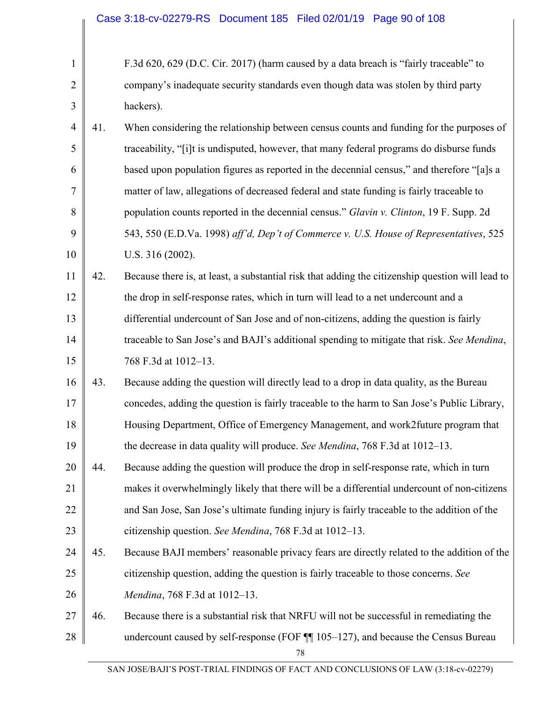| $\mathbf{1}$   |     | F.3d 620, 629 (D.C. Cir. 2017) (harm caused by a data breach is "fairly traceable" to            |
|----------------|-----|--------------------------------------------------------------------------------------------------|
| $\overline{2}$ |     | company's inadequate security standards even though data was stolen by third party               |
| 3              |     | hackers).                                                                                        |
| $\overline{4}$ | 41. | When considering the relationship between census counts and funding for the purposes of          |
| 5              |     | traceability, "[i]t is undisputed, however, that many federal programs do disburse funds         |
| 6              |     | based upon population figures as reported in the decennial census," and therefore "[a]s a        |
| 7              |     | matter of law, allegations of decreased federal and state funding is fairly traceable to         |
| 8              |     | population counts reported in the decennial census." Glavin v. Clinton, 19 F. Supp. 2d           |
| 9              |     | 543, 550 (E.D.Va. 1998) aff'd, Dep't of Commerce v. U.S. House of Representatives, 525           |
| 10             |     | U.S. 316 (2002).                                                                                 |
| 11             | 42. | Because there is, at least, a substantial risk that adding the citizenship question will lead to |
| 12             |     | the drop in self-response rates, which in turn will lead to a net undercount and a               |
| 13             |     | differential undercount of San Jose and of non-citizens, adding the question is fairly           |
| 14             |     | traceable to San Jose's and BAJI's additional spending to mitigate that risk. See Mendina,       |
| 15             |     | 768 F.3d at 1012-13.                                                                             |
| 16             | 43. | Because adding the question will directly lead to a drop in data quality, as the Bureau          |
| 17             |     | concedes, adding the question is fairly traceable to the harm to San Jose's Public Library,      |
| 18             |     | Housing Department, Office of Emergency Management, and work2future program that                 |
| 19             |     | the decrease in data quality will produce. See Mendina, 768 F.3d at 1012–13.                     |
| 20             | 44. | Because adding the question will produce the drop in self-response rate, which in turn           |
| 21             |     | makes it overwhelmingly likely that there will be a differential undercount of non-citizens      |
| 22             |     | and San Jose, San Jose's ultimate funding injury is fairly traceable to the addition of the      |
| 23             |     | citizenship question. See Mendina, 768 F.3d at 1012-13.                                          |
| 24             | 45. | Because BAJI members' reasonable privacy fears are directly related to the addition of the       |
| 25             |     | citizenship question, adding the question is fairly traceable to those concerns. See             |
| 26             |     | Mendina, 768 F.3d at 1012-13.                                                                    |
| 27             | 46. | Because there is a substantial risk that NRFU will not be successful in remediating the          |
| 28             |     | undercount caused by self-response (FOF $\P$ 105–127), and because the Census Bureau<br>78       |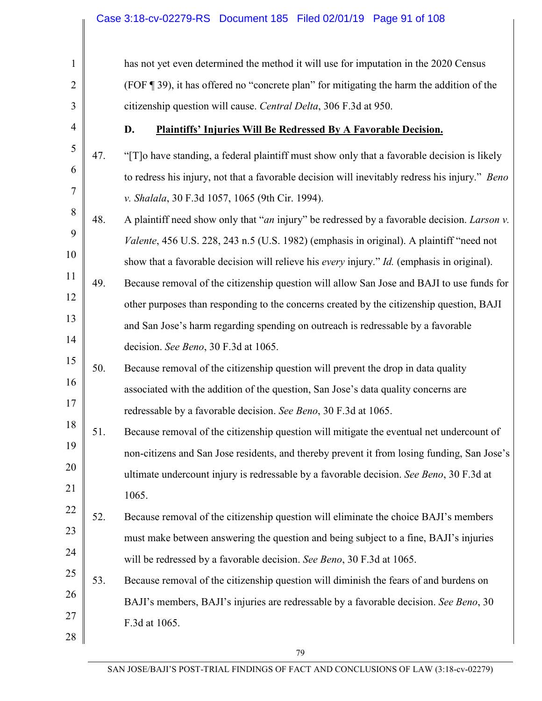| 1              |     | has not yet even determined the method it will use for imputation in the 2020 Census           |
|----------------|-----|------------------------------------------------------------------------------------------------|
| $\overline{2}$ |     | (FOF 139), it has offered no "concrete plan" for mitigating the harm the addition of the       |
| 3              |     | citizenship question will cause. Central Delta, 306 F.3d at 950.                               |
| $\overline{4}$ |     | D.<br><b>Plaintiffs' Injuries Will Be Redressed By A Favorable Decision.</b>                   |
| 5              | 47. | "[T] o have standing, a federal plaintiff must show only that a favorable decision is likely   |
| 6              |     | to redress his injury, not that a favorable decision will inevitably redress his injury." Beno |
| 7              |     | v. Shalala, 30 F.3d 1057, 1065 (9th Cir. 1994).                                                |
| 8              | 48. | A plaintiff need show only that "an injury" be redressed by a favorable decision. Larson v.    |
| 9              |     | Valente, 456 U.S. 228, 243 n.5 (U.S. 1982) (emphasis in original). A plaintiff "need not       |
| 10             |     | show that a favorable decision will relieve his every injury." Id. (emphasis in original).     |
| 11             | 49. | Because removal of the citizenship question will allow San Jose and BAJI to use funds for      |
| 12             |     | other purposes than responding to the concerns created by the citizenship question, BAJI       |
| 13             |     | and San Jose's harm regarding spending on outreach is redressable by a favorable               |
| 14             |     | decision. See Beno, 30 F.3d at 1065.                                                           |
| 15             | 50. | Because removal of the citizenship question will prevent the drop in data quality              |
| 16             |     | associated with the addition of the question, San Jose's data quality concerns are             |
| 17             |     | redressable by a favorable decision. See Beno, 30 F.3d at 1065.                                |
| 18             | 51. | Because removal of the citizenship question will mitigate the eventual net undercount of       |
| 19             |     | non-citizens and San Jose residents, and thereby prevent it from losing funding, San Jose's    |
| 20             |     | ultimate undercount injury is redressable by a favorable decision. See Beno, 30 F.3d at        |
| 21             |     | 1065.                                                                                          |
| 22             | 52. | Because removal of the citizenship question will eliminate the choice BAJI's members           |
| 23             |     | must make between answering the question and being subject to a fine, BAJI's injuries          |
| 24             |     | will be redressed by a favorable decision. See Beno, 30 F.3d at 1065.                          |
| 25             | 53. | Because removal of the citizenship question will diminish the fears of and burdens on          |
| 26             |     | BAJI's members, BAJI's injuries are redressable by a favorable decision. See Beno, 30          |
| 27             |     | F.3d at 1065.                                                                                  |
| 28             |     |                                                                                                |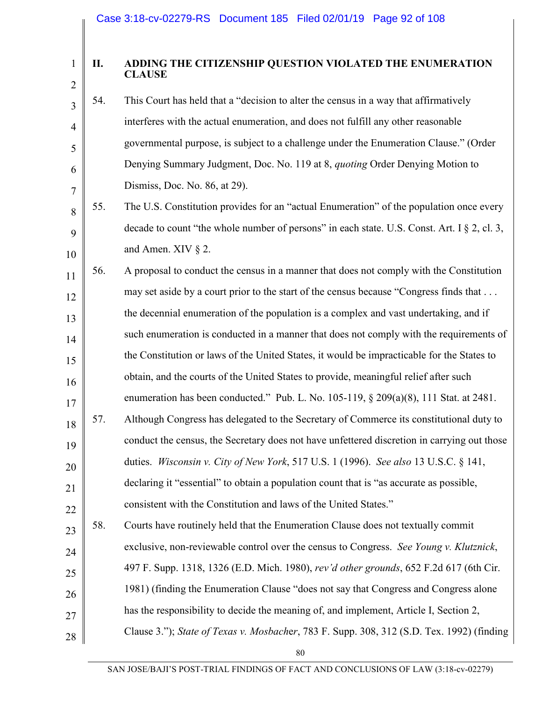### **II. ADDING THE CITIZENSHIP QUESTION VIOLATED THE ENUMERATION CLAUSE**

- 3 4 5 6 7 54. This Court has held that a "decision to alter the census in a way that affirmatively interferes with the actual enumeration, and does not fulfill any other reasonable governmental purpose, is subject to a challenge under the Enumeration Clause." (Order Denying Summary Judgment, Doc. No. 119 at 8, *quoting* Order Denying Motion to Dismiss, Doc. No. 86, at 29).
- 8 9 10 55. The U.S. Constitution provides for an "actual Enumeration" of the population once every decade to count "the whole number of persons" in each state. U.S. Const. Art. I § 2, cl. 3, and Amen. XIV § 2.
- 11 12 13 14 15 16 17 18 19 20 21 22 56. A proposal to conduct the census in a manner that does not comply with the Constitution may set aside by a court prior to the start of the census because "Congress finds that . . . the decennial enumeration of the population is a complex and vast undertaking, and if such enumeration is conducted in a manner that does not comply with the requirements of the Constitution or laws of the United States, it would be impracticable for the States to obtain, and the courts of the United States to provide, meaningful relief after such enumeration has been conducted." Pub. L. No. 105-119, § 209(a)(8), 111 Stat. at 2481. 57. Although Congress has delegated to the Secretary of Commerce its constitutional duty to conduct the census, the Secretary does not have unfettered discretion in carrying out those duties. *Wisconsin v. City of New York*, 517 U.S. 1 (1996). *See also* 13 U.S.C. § 141, declaring it "essential" to obtain a population count that is "as accurate as possible, consistent with the Constitution and laws of the United States."
- 23 24 25 26 27 28 58. Courts have routinely held that the Enumeration Clause does not textually commit exclusive, non-reviewable control over the census to Congress. *See Young v. Klutznick*, 497 F. Supp. 1318, 1326 (E.D. Mich. 1980), *rev'd other grounds*, 652 F.2d 617 (6th Cir. 1981) (finding the Enumeration Clause "does not say that Congress and Congress alone has the responsibility to decide the meaning of, and implement, Article I, Section 2, Clause 3."); *State of Texas v. Mosbach*e*r*, 783 F. Supp. 308, 312 (S.D. Tex. 1992) (finding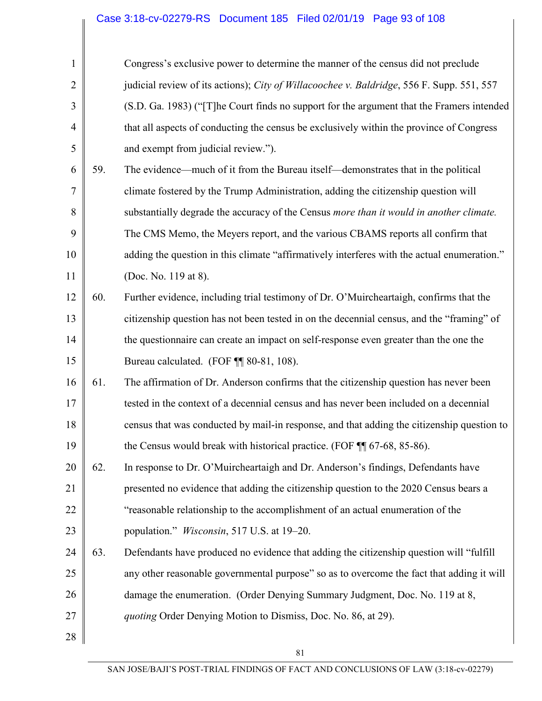| $\mathbf{1}$   |     | Congress's exclusive power to determine the manner of the census did not preclude           |
|----------------|-----|---------------------------------------------------------------------------------------------|
| $\overline{2}$ |     | judicial review of its actions); City of Willacoochee v. Baldridge, 556 F. Supp. 551, 557   |
| 3              |     | (S.D. Ga. 1983) ("[T]he Court finds no support for the argument that the Framers intended   |
| $\overline{4}$ |     | that all aspects of conducting the census be exclusively within the province of Congress    |
| 5              |     | and exempt from judicial review.").                                                         |
| 6              | 59. | The evidence—much of it from the Bureau itself—demonstrates that in the political           |
| 7              |     | climate fostered by the Trump Administration, adding the citizenship question will          |
| 8              |     | substantially degrade the accuracy of the Census more than it would in another climate.     |
| 9              |     | The CMS Memo, the Meyers report, and the various CBAMS reports all confirm that             |
| 10             |     | adding the question in this climate "affirmatively interferes with the actual enumeration." |
| 11             |     | (Doc. No. 119 at 8).                                                                        |
| 12             | 60. | Further evidence, including trial testimony of Dr. O'Muircheartaigh, confirms that the      |
| 13             |     | citizenship question has not been tested in on the decennial census, and the "framing" of   |
| 14             |     | the questionnaire can create an impact on self-response even greater than the one the       |
| 15             |     | Bureau calculated. (FOF ¶ 80-81, 108).                                                      |
| 16             | 61. | The affirmation of Dr. Anderson confirms that the citizenship question has never been       |
| 17             |     | tested in the context of a decennial census and has never been included on a decennial      |
| 18             |     | census that was conducted by mail-in response, and that adding the citizenship question to  |
| 19             |     | the Census would break with historical practice. (FOF ¶ 67-68, 85-86).                      |
| 20             | 62. | In response to Dr. O'Muircheartaigh and Dr. Anderson's findings, Defendants have            |
| 21             |     | presented no evidence that adding the citizenship question to the 2020 Census bears a       |
| 22             |     | "reasonable relationship to the accomplishment of an actual enumeration of the              |
| 23             |     | population." <i>Wisconsin</i> , 517 U.S. at 19–20.                                          |
| 24             | 63. | Defendants have produced no evidence that adding the citizenship question will "fulfill"    |
| 25             |     | any other reasonable governmental purpose" so as to overcome the fact that adding it will   |
| 26             |     | damage the enumeration. (Order Denying Summary Judgment, Doc. No. 119 at 8,                 |
| 27             |     | quoting Order Denying Motion to Dismiss, Doc. No. 86, at 29).                               |
| 28             |     |                                                                                             |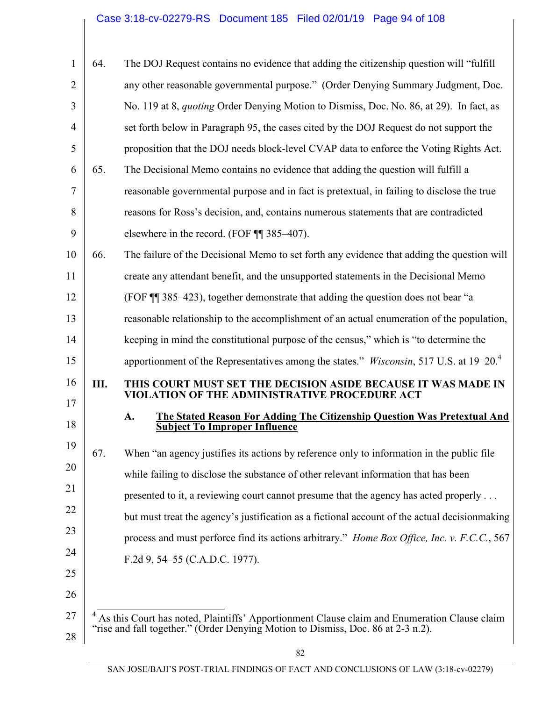# Case 3:18-cv-02279-RS Document 185 Filed 02/01/19 Page 94 of 108

| $\mathbf{1}$   | 64. | The DOJ Request contains no evidence that adding the citizenship question will "fulfill"                                                                                         |
|----------------|-----|----------------------------------------------------------------------------------------------------------------------------------------------------------------------------------|
| $\overline{2}$ |     | any other reasonable governmental purpose." (Order Denying Summary Judgment, Doc.                                                                                                |
| 3              |     | No. 119 at 8, <i>quoting</i> Order Denying Motion to Dismiss, Doc. No. 86, at 29). In fact, as                                                                                   |
| $\overline{4}$ |     | set forth below in Paragraph 95, the cases cited by the DOJ Request do not support the                                                                                           |
| 5              |     | proposition that the DOJ needs block-level CVAP data to enforce the Voting Rights Act.                                                                                           |
| 6              | 65. | The Decisional Memo contains no evidence that adding the question will fulfill a                                                                                                 |
| 7              |     | reasonable governmental purpose and in fact is pretextual, in failing to disclose the true                                                                                       |
| 8              |     | reasons for Ross's decision, and, contains numerous statements that are contradicted                                                                                             |
| 9              |     | elsewhere in the record. (FOF $\P$ ] 385–407).                                                                                                                                   |
| 10             | 66. | The failure of the Decisional Memo to set forth any evidence that adding the question will                                                                                       |
| 11             |     | create any attendant benefit, and the unsupported statements in the Decisional Memo                                                                                              |
| 12             |     | (FOF ¶ 385–423), together demonstrate that adding the question does not bear "a                                                                                                  |
| 13             |     | reasonable relationship to the accomplishment of an actual enumeration of the population,                                                                                        |
| 14             |     | keeping in mind the constitutional purpose of the census," which is "to determine the                                                                                            |
| 15             |     | apportionment of the Representatives among the states." <i>Wisconsin</i> , 517 U.S. at 19–20. <sup>4</sup>                                                                       |
| 16<br>17       | Ш.  | THIS COURT MUST SET THE DECISION ASIDE BECAUSE IT WAS MADE IN<br>VIOLATION OF THE ADMINISTRATIVE PROCEDURE ACT                                                                   |
| 18             |     | The Stated Reason For Adding The Citizenship Question Was Pretextual And<br>A.<br><b>Subject To Improper Influence</b>                                                           |
| 19             | 67. | When "an agency justifies its actions by reference only to information in the public file                                                                                        |
| 20             |     | while failing to disclose the substance of other relevant information that has been                                                                                              |
| 21             |     | presented to it, a reviewing court cannot presume that the agency has acted properly                                                                                             |
| 22             |     | but must treat the agency's justification as a fictional account of the actual decision making                                                                                   |
| 23             |     | process and must perforce find its actions arbitrary." Home Box Office, Inc. v. F.C.C., 567                                                                                      |
| 24             |     | F.2d 9, 54–55 (C.A.D.C. 1977).                                                                                                                                                   |
| 25             |     |                                                                                                                                                                                  |
| 26             |     |                                                                                                                                                                                  |
| 27             |     | As this Court has noted, Plaintiffs' Apportionment Clause claim and Enumeration Clause claim<br>"rise and fall together." (Order Denying Motion to Dismiss, Doc. 86 at 2-3 n.2). |
| 28             |     |                                                                                                                                                                                  |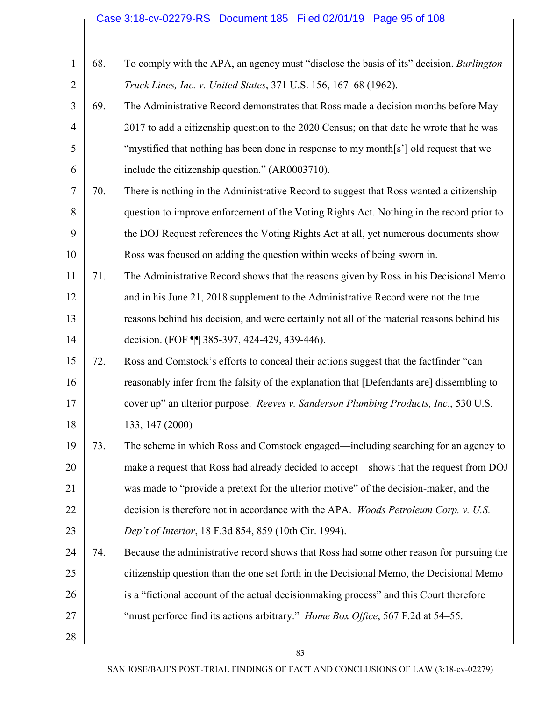# Case 3:18-cv-02279-RS Document 185 Filed 02/01/19 Page 95 of 108

| $\mathbf{1}$   | 68. | To comply with the APA, an agency must "disclose the basis of its" decision. Burlington    |
|----------------|-----|--------------------------------------------------------------------------------------------|
| $\overline{2}$ |     | Truck Lines, Inc. v. United States, 371 U.S. 156, 167-68 (1962).                           |
| 3              | 69. | The Administrative Record demonstrates that Ross made a decision months before May         |
| $\overline{4}$ |     | 2017 to add a citizenship question to the 2020 Census; on that date he wrote that he was   |
| 5              |     | "mystified that nothing has been done in response to my month[s'] old request that we      |
| 6              |     | include the citizenship question." (AR0003710).                                            |
| 7              | 70. | There is nothing in the Administrative Record to suggest that Ross wanted a citizenship    |
| 8              |     | question to improve enforcement of the Voting Rights Act. Nothing in the record prior to   |
| 9              |     | the DOJ Request references the Voting Rights Act at all, yet numerous documents show       |
| 10             |     | Ross was focused on adding the question within weeks of being sworn in.                    |
| 11             | 71. | The Administrative Record shows that the reasons given by Ross in his Decisional Memo      |
| 12             |     | and in his June 21, 2018 supplement to the Administrative Record were not the true         |
| 13             |     | reasons behind his decision, and were certainly not all of the material reasons behind his |
| 14             |     | decision. (FOF 11 385-397, 424-429, 439-446).                                              |
| 15             | 72. | Ross and Comstock's efforts to conceal their actions suggest that the factfinder "can      |
| 16             |     | reasonably infer from the falsity of the explanation that [Defendants are] dissembling to  |
| 17             |     | cover up" an ulterior purpose. Reeves v. Sanderson Plumbing Products, Inc., 530 U.S.       |
| 18             |     | 133, 147 (2000)                                                                            |
| 19             | 73. | The scheme in which Ross and Comstock engaged—including searching for an agency to         |
| 20             |     | make a request that Ross had already decided to accept—shows that the request from DOJ     |
| 21             |     | was made to "provide a pretext for the ulterior motive" of the decision-maker, and the     |
| 22             |     | decision is therefore not in accordance with the APA. Woods Petroleum Corp. v. U.S.        |
| 23             |     | Dep't of Interior, 18 F.3d 854, 859 (10th Cir. 1994).                                      |
| 24             | 74. | Because the administrative record shows that Ross had some other reason for pursuing the   |
| 25             |     | citizenship question than the one set forth in the Decisional Memo, the Decisional Memo    |
| 26             |     | is a "fictional account of the actual decision making process" and this Court therefore    |
| 27             |     | "must perforce find its actions arbitrary." Home Box Office, 567 F.2d at 54–55.            |
| 28             |     |                                                                                            |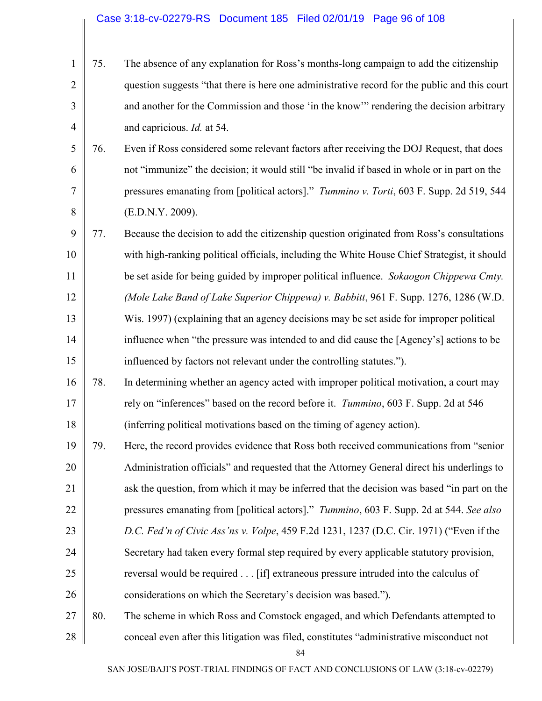#### Case 3:18-cv-02279-RS Document 185 Filed 02/01/19 Page 96 of 108

|                | $1 \mid 75.$ | The absence of any explanation for Ross's months-long campaign to add the citizenship         |
|----------------|--------------|-----------------------------------------------------------------------------------------------|
| 21             |              | question suggests "that there is here one administrative record for the public and this court |
| 3 <sup>1</sup> |              | and another for the Commission and those 'in the know'" rendering the decision arbitrary      |
| 4 <sup>1</sup> |              | and capricious. <i>Id.</i> at 54.                                                             |

5 6 7 8 76. Even if Ross considered some relevant factors after receiving the DOJ Request, that does not "immunize" the decision; it would still "be invalid if based in whole or in part on the pressures emanating from [political actors]." *Tummino v. Torti*, 603 F. Supp. 2d 519, 544 (E.D.N.Y. 2009).

9 10 11 12 13 14 15 77. Because the decision to add the citizenship question originated from Ross's consultations with high-ranking political officials, including the White House Chief Strategist, it should be set aside for being guided by improper political influence. *Sokaogon Chippewa Cmty. (Mole Lake Band of Lake Superior Chippewa) v. Babbitt*, 961 F. Supp. 1276, 1286 (W.D. Wis. 1997) (explaining that an agency decisions may be set aside for improper political influence when "the pressure was intended to and did cause the [Agency's] actions to be influenced by factors not relevant under the controlling statutes.").

- 16 17 18 78. In determining whether an agency acted with improper political motivation, a court may rely on "inferences" based on the record before it. *Tummino*, 603 F. Supp. 2d at 546 (inferring political motivations based on the timing of agency action).
- 19 20 21 22 23 24 25 26 79. Here, the record provides evidence that Ross both received communications from "senior Administration officials" and requested that the Attorney General direct his underlings to ask the question, from which it may be inferred that the decision was based "in part on the pressures emanating from [political actors]." *Tummino*, 603 F. Supp. 2d at 544. *See also D.C. Fed'n of Civic Ass'ns v. Volpe*, 459 F.2d 1231, 1237 (D.C. Cir. 1971) ("Even if the Secretary had taken every formal step required by every applicable statutory provision, reversal would be required . . . [if] extraneous pressure intruded into the calculus of considerations on which the Secretary's decision was based.").
- 27 28 80. The scheme in which Ross and Comstock engaged, and which Defendants attempted to conceal even after this litigation was filed, constitutes "administrative misconduct not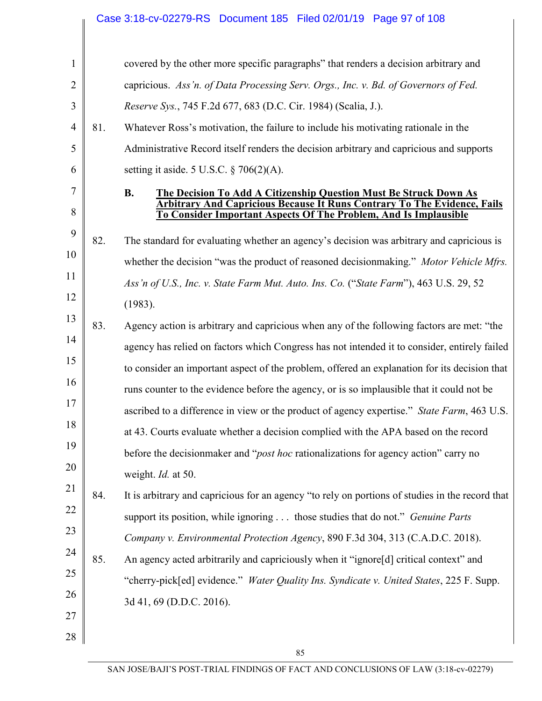|                |     | Case 3:18-cv-02279-RS Document 185 Filed 02/01/19 Page 97 of 108                                                                                    |
|----------------|-----|-----------------------------------------------------------------------------------------------------------------------------------------------------|
|                |     |                                                                                                                                                     |
| $\mathbf{1}$   |     | covered by the other more specific paragraphs" that renders a decision arbitrary and                                                                |
| $\overline{2}$ |     | capricious. Ass'n. of Data Processing Serv. Orgs., Inc. v. Bd. of Governors of Fed.                                                                 |
| 3              |     | Reserve Sys., 745 F.2d 677, 683 (D.C. Cir. 1984) (Scalia, J.).                                                                                      |
| $\overline{4}$ | 81. | Whatever Ross's motivation, the failure to include his motivating rationale in the                                                                  |
| 5              |     | Administrative Record itself renders the decision arbitrary and capricious and supports                                                             |
| 6              |     | setting it aside. 5 U.S.C. $\S$ 706(2)(A).                                                                                                          |
| 7              |     | <b>B.</b><br><b>The Decision To Add A Citizenship Question Must Be Struck Down As</b>                                                               |
| 8              |     | <b>Arbitrary And Capricious Because It Runs Contrary To The Evidence, Fails</b><br>To Consider Important Aspects Of The Problem, And Is Implausible |
| 9              | 82. | The standard for evaluating whether an agency's decision was arbitrary and capricious is                                                            |
| 10             |     | whether the decision "was the product of reasoned decision making." Motor Vehicle Mfrs.                                                             |
| 11             |     |                                                                                                                                                     |
| 12             |     | Ass'n of U.S., Inc. v. State Farm Mut. Auto. Ins. Co. ("State Farm"), 463 U.S. 29, 52                                                               |
| 13             |     | (1983).                                                                                                                                             |
| 14             | 83. | Agency action is arbitrary and capricious when any of the following factors are met: "the                                                           |
| 15             |     | agency has relied on factors which Congress has not intended it to consider, entirely failed                                                        |
| 16             |     | to consider an important aspect of the problem, offered an explanation for its decision that                                                        |
| 17             |     | runs counter to the evidence before the agency, or is so implausible that it could not be                                                           |
| 18             |     | ascribed to a difference in view or the product of agency expertise." State Farm, 463 U.S.                                                          |
| 19             |     | at 43. Courts evaluate whether a decision complied with the APA based on the record                                                                 |
| 20             |     | before the decision maker and " <i>post hoc</i> rationalizations for agency action" carry no                                                        |
| 21             |     | weight. <i>Id.</i> at 50.                                                                                                                           |
| 22             | 84. | It is arbitrary and capricious for an agency "to rely on portions of studies in the record that                                                     |
| 23             |     | support its position, while ignoring  those studies that do not." <i>Genuine Parts</i>                                                              |
|                |     | Company v. Environmental Protection Agency, 890 F.3d 304, 313 (C.A.D.C. 2018).                                                                      |
| 24             | 85. | An agency acted arbitrarily and capriciously when it "ignore[d] critical context" and                                                               |
| 25             |     | "cherry-pick[ed] evidence." Water Quality Ins. Syndicate v. United States, 225 F. Supp.                                                             |
| 26             |     | 3d 41, 69 (D.D.C. 2016).                                                                                                                            |
| 27             |     |                                                                                                                                                     |
| 28             |     |                                                                                                                                                     |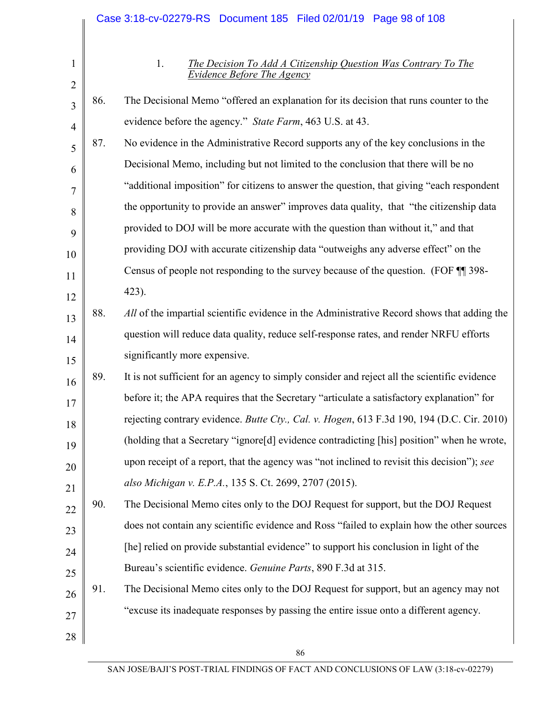|                     |     | Case 3:18-cv-02279-RS Document 185 Filed 02/01/19 Page 98 of 108                                                 |
|---------------------|-----|------------------------------------------------------------------------------------------------------------------|
|                     |     |                                                                                                                  |
| 1                   |     | 1.<br><b>The Decision To Add A Citizenship Question Was Contrary To The</b><br><b>Evidence Before The Agency</b> |
| $\overline{2}$<br>3 | 86. | The Decisional Memo "offered an explanation for its decision that runs counter to the                            |
| $\overline{4}$      |     | evidence before the agency." State Farm, 463 U.S. at 43.                                                         |
| 5                   | 87. | No evidence in the Administrative Record supports any of the key conclusions in the                              |
| 6                   |     | Decisional Memo, including but not limited to the conclusion that there will be no                               |
| 7                   |     | "additional imposition" for citizens to answer the question, that giving "each respondent                        |
| 8                   |     | the opportunity to provide an answer" improves data quality, that "the citizenship data                          |
| 9                   |     | provided to DOJ will be more accurate with the question than without it," and that                               |
| 10                  |     | providing DOJ with accurate citizenship data "outweighs any adverse effect" on the                               |
| 11                  |     | Census of people not responding to the survey because of the question. (FOF TI 398-                              |
| 12                  |     | 423).                                                                                                            |
| 13                  | 88. | All of the impartial scientific evidence in the Administrative Record shows that adding the                      |
| 14                  |     | question will reduce data quality, reduce self-response rates, and render NRFU efforts                           |
| 15                  |     | significantly more expensive.                                                                                    |
| 16                  | 89. | It is not sufficient for an agency to simply consider and reject all the scientific evidence                     |
| 17                  |     | before it; the APA requires that the Secretary "articulate a satisfactory explanation" for                       |
| 18                  |     | rejecting contrary evidence. Butte Cty., Cal. v. Hogen, 613 F.3d 190, 194 (D.C. Cir. 2010)                       |
| 19                  |     | (holding that a Secretary "ignore[d] evidence contradicting [his] position" when he wrote,                       |
| 20                  |     | upon receipt of a report, that the agency was "not inclined to revisit this decision"); see                      |
| 21                  |     | also Michigan v. E.P.A., 135 S. Ct. 2699, 2707 (2015).                                                           |
| 22                  | 90. | The Decisional Memo cites only to the DOJ Request for support, but the DOJ Request                               |
| 23                  |     | does not contain any scientific evidence and Ross "failed to explain how the other sources                       |
| 24                  |     | [he] relied on provide substantial evidence" to support his conclusion in light of the                           |
| 25                  |     | Bureau's scientific evidence. Genuine Parts, 890 F.3d at 315.                                                    |
| 26                  | 91. | The Decisional Memo cites only to the DOJ Request for support, but an agency may not                             |
| 27                  |     | "excuse its inadequate responses by passing the entire issue onto a different agency.                            |
| 28                  |     |                                                                                                                  |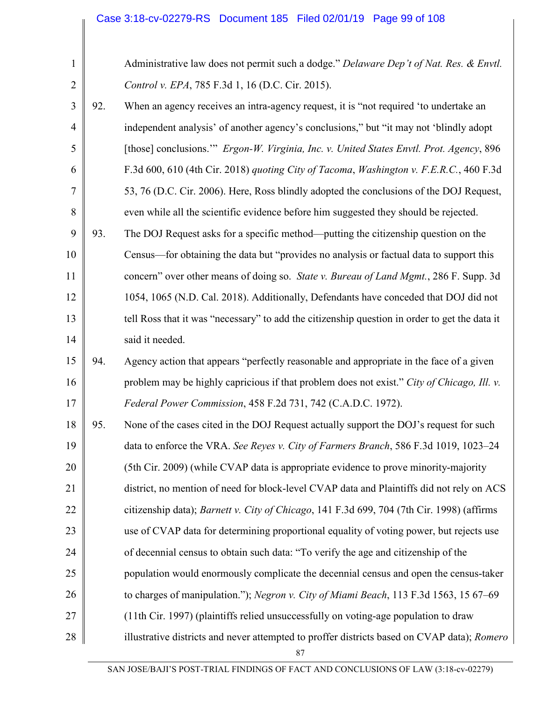|     | Administrative law does not permit such a dodge." Delaware Dep't of Nat. Res. & Envtl.        |
|-----|-----------------------------------------------------------------------------------------------|
|     | Control v. EPA, 785 F.3d 1, 16 (D.C. Cir. 2015).                                              |
| 92. | When an agency receives an intra-agency request, it is "not required 'to undertake an         |
|     | independent analysis' of another agency's conclusions," but "it may not 'blindly adopt        |
|     | [those] conclusions."" Ergon-W. Virginia, Inc. v. United States Envtl. Prot. Agency, 896      |
|     | F.3d 600, 610 (4th Cir. 2018) quoting City of Tacoma, Washington v. F.E.R.C., 460 F.3d        |
|     | 53, 76 (D.C. Cir. 2006). Here, Ross blindly adopted the conclusions of the DOJ Request,       |
|     | even while all the scientific evidence before him suggested they should be rejected.          |
| 93. | The DOJ Request asks for a specific method—putting the citizenship question on the            |
|     | Census—for obtaining the data but "provides no analysis or factual data to support this       |
|     | concern" over other means of doing so. State v. Bureau of Land Mgmt., 286 F. Supp. 3d         |
|     | 1054, 1065 (N.D. Cal. 2018). Additionally, Defendants have conceded that DOJ did not          |
|     | tell Ross that it was "necessary" to add the citizenship question in order to get the data it |
|     | said it needed.                                                                               |
| 94. | Agency action that appears "perfectly reasonable and appropriate in the face of a given       |
|     | problem may be highly capricious if that problem does not exist." City of Chicago, Ill. v.    |
|     | Federal Power Commission, 458 F.2d 731, 742 (C.A.D.C. 1972).                                  |
| 95. | None of the cases cited in the DOJ Request actually support the DOJ's request for such        |
|     | data to enforce the VRA. See Reyes v. City of Farmers Branch, 586 F.3d 1019, 1023–24          |
|     | (5th Cir. 2009) (while CVAP data is appropriate evidence to prove minority-majority           |
|     | district, no mention of need for block-level CVAP data and Plaintiffs did not rely on ACS     |
|     | citizenship data); Barnett v. City of Chicago, 141 F.3d 699, 704 (7th Cir. 1998) (affirms     |
|     | use of CVAP data for determining proportional equality of voting power, but rejects use       |
|     | of decennial census to obtain such data: "To verify the age and citizenship of the            |
|     | population would enormously complicate the decennial census and open the census-taker         |
|     | to charges of manipulation."); Negron v. City of Miami Beach, 113 F.3d 1563, 15 67–69         |
|     | (11th Cir. 1997) (plaintiffs relied unsuccessfully on voting-age population to draw           |
|     | illustrative districts and never attempted to proffer districts based on CVAP data); Romero   |
|     |                                                                                               |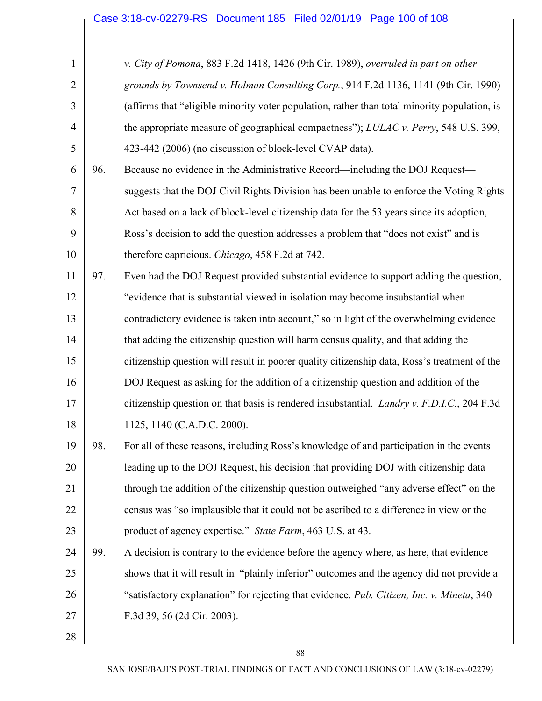| $\mathbf{1}$   |     | v. City of Pomona, 883 F.2d 1418, 1426 (9th Cir. 1989), overruled in part on other           |
|----------------|-----|----------------------------------------------------------------------------------------------|
| $\overline{2}$ |     | grounds by Townsend v. Holman Consulting Corp., 914 F.2d 1136, 1141 (9th Cir. 1990)          |
| 3              |     | (affirms that "eligible minority voter population, rather than total minority population, is |
| $\overline{4}$ |     | the appropriate measure of geographical compactness"); LULAC v. Perry, 548 U.S. 399,         |
| 5              |     | 423-442 (2006) (no discussion of block-level CVAP data).                                     |
| 6              | 96. | Because no evidence in the Administrative Record—including the DOJ Request—                  |
| 7              |     | suggests that the DOJ Civil Rights Division has been unable to enforce the Voting Rights     |
| 8              |     | Act based on a lack of block-level citizenship data for the 53 years since its adoption,     |
| 9              |     | Ross's decision to add the question addresses a problem that "does not exist" and is         |
| 10             |     | therefore capricious. Chicago, 458 F.2d at 742.                                              |
| 11             | 97. | Even had the DOJ Request provided substantial evidence to support adding the question,       |
| 12             |     | "evidence that is substantial viewed in isolation may become insubstantial when              |
| 13             |     | contradictory evidence is taken into account," so in light of the overwhelming evidence      |
| 14             |     | that adding the citizenship question will harm census quality, and that adding the           |
| 15             |     | citizenship question will result in poorer quality citizenship data, Ross's treatment of the |
| 16             |     | DOJ Request as asking for the addition of a citizenship question and addition of the         |
| 17             |     | citizenship question on that basis is rendered insubstantial. Landry v. F.D.I.C., 204 F.3d   |
| 18             |     | 1125, 1140 (C.A.D.C. 2000).                                                                  |
| 19             | 98. | For all of these reasons, including Ross's knowledge of and participation in the events      |
| 20             |     | leading up to the DOJ Request, his decision that providing DOJ with citizenship data         |
| 21             |     | through the addition of the citizenship question outweighed "any adverse effect" on the      |
| 22             |     | census was "so implausible that it could not be ascribed to a difference in view or the      |
| 23             |     | product of agency expertise." State Farm, 463 U.S. at 43.                                    |
| 24             | 99. | A decision is contrary to the evidence before the agency where, as here, that evidence       |
| 25             |     | shows that it will result in "plainly inferior" outcomes and the agency did not provide a    |
| 26             |     | "satisfactory explanation" for rejecting that evidence. Pub. Citizen, Inc. v. Mineta, 340    |
| 27             |     | F.3d 39, 56 (2d Cir. 2003).                                                                  |
| 28             |     |                                                                                              |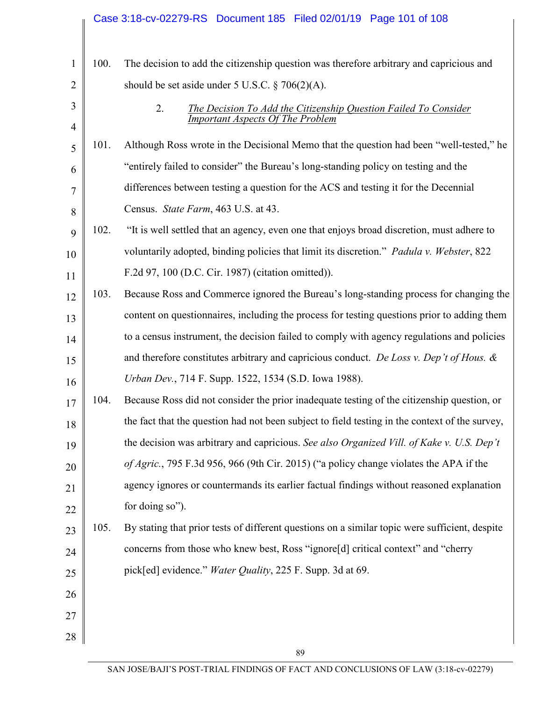|                |      | Case 3:18-cv-02279-RS  Document 185  Filed 02/01/19  Page 101 of 108                           |
|----------------|------|------------------------------------------------------------------------------------------------|
|                |      |                                                                                                |
| $\mathbf{1}$   | 100. | The decision to add the citizenship question was therefore arbitrary and capricious and        |
| $\overline{2}$ |      | should be set aside under 5 U.S.C. $\S$ 706(2)(A).                                             |
| 3              |      | 2.<br><b>The Decision To Add the Citizenship Question Failed To Consider</b>                   |
| $\overline{4}$ |      | <b>Important Aspects Of The Problem</b>                                                        |
| 5              | 101. | Although Ross wrote in the Decisional Memo that the question had been "well-tested," he        |
| 6              |      | "entirely failed to consider" the Bureau's long-standing policy on testing and the             |
| 7              |      | differences between testing a question for the ACS and testing it for the Decennial            |
| 8              |      | Census. State Farm, 463 U.S. at 43.                                                            |
| 9              | 102. | "It is well settled that an agency, even one that enjoys broad discretion, must adhere to      |
| 10             |      | voluntarily adopted, binding policies that limit its discretion." Padula v. Webster, 822       |
| 11             |      | F.2d 97, 100 (D.C. Cir. 1987) (citation omitted)).                                             |
| 12             | 103. | Because Ross and Commerce ignored the Bureau's long-standing process for changing the          |
| 13             |      | content on questionnaires, including the process for testing questions prior to adding them    |
| 14             |      | to a census instrument, the decision failed to comply with agency regulations and policies     |
| 15             |      | and therefore constitutes arbitrary and capricious conduct. De Loss v. Dep't of Hous. $\&$     |
| 16             |      | Urban Dev., 714 F. Supp. 1522, 1534 (S.D. Iowa 1988).                                          |
| 17             | 104. | Because Ross did not consider the prior inadequate testing of the citizenship question, or     |
| 18             |      | the fact that the question had not been subject to field testing in the context of the survey, |
| 19             |      | the decision was arbitrary and capricious. See also Organized Vill. of Kake v. U.S. Dep't      |
| 20             |      | of Agric., 795 F.3d 956, 966 (9th Cir. 2015) ("a policy change violates the APA if the         |
| 21             |      | agency ignores or countermands its earlier factual findings without reasoned explanation       |
| 22             |      | for doing so").                                                                                |
| 23             | 105. | By stating that prior tests of different questions on a similar topic were sufficient, despite |
| 24             |      | concerns from those who knew best, Ross "ignore[d] critical context" and "cherry               |
| 25             |      | pick[ed] evidence." Water Quality, 225 F. Supp. 3d at 69.                                      |
| 26             |      |                                                                                                |
| 27             |      |                                                                                                |
| 28             |      |                                                                                                |
|                |      | 89                                                                                             |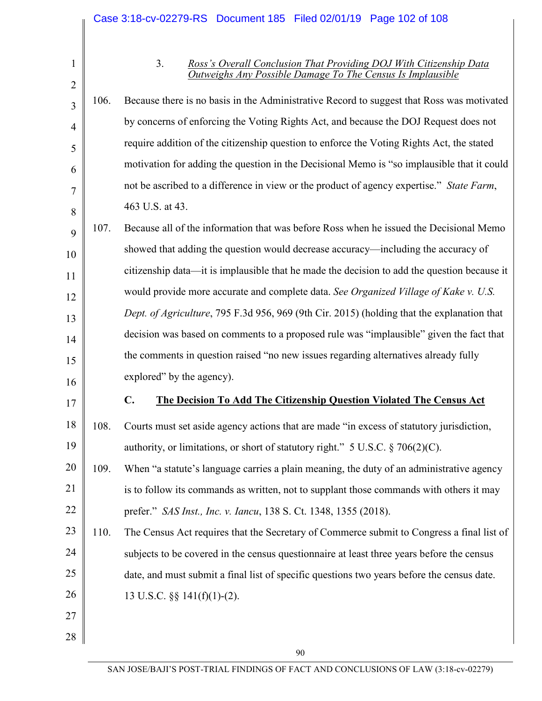3

4

5

6

7

8

17

27

28

#### 3. *Ross's Overall Conclusion That Providing DOJ With Citizenship Data Outweighs Any Possible Damage To The Census Is Implausible*

106. Because there is no basis in the Administrative Record to suggest that Ross was motivated by concerns of enforcing the Voting Rights Act, and because the DOJ Request does not require addition of the citizenship question to enforce the Voting Rights Act, the stated motivation for adding the question in the Decisional Memo is "so implausible that it could not be ascribed to a difference in view or the product of agency expertise." *State Farm*, 463 U.S. at 43.

9 10 11 12 13 14 15 16 107. Because all of the information that was before Ross when he issued the Decisional Memo showed that adding the question would decrease accuracy—including the accuracy of citizenship data—it is implausible that he made the decision to add the question because it would provide more accurate and complete data. *See Organized Village of Kake v. U.S. Dept. of Agriculture*, 795 F.3d 956, 969 (9th Cir. 2015) (holding that the explanation that decision was based on comments to a proposed rule was "implausible" given the fact that the comments in question raised "no new issues regarding alternatives already fully explored" by the agency).

### **C. The Decision To Add The Citizenship Question Violated The Census Act**

18 19 108. Courts must set aside agency actions that are made "in excess of statutory jurisdiction, authority, or limitations, or short of statutory right."  $5 \text{ U.S.C.} \$  706(2)(C).

20 21 22 109. When "a statute's language carries a plain meaning, the duty of an administrative agency is to follow its commands as written, not to supplant those commands with others it may prefer." *SAS Inst., Inc. v. Iancu*, 138 S. Ct. 1348, 1355 (2018).

23 24 25 26 110. The Census Act requires that the Secretary of Commerce submit to Congress a final list of subjects to be covered in the census questionnaire at least three years before the census date, and must submit a final list of specific questions two years before the census date. 13 U.S.C. §§ 141(f)(1)-(2).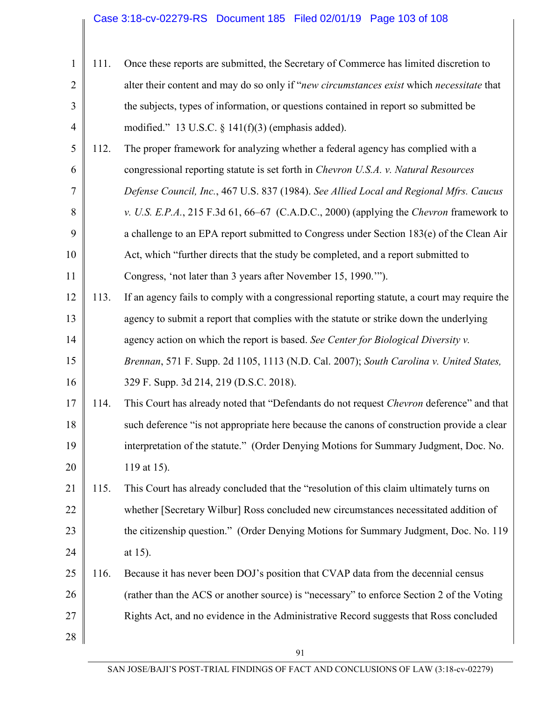# Case 3:18-cv-02279-RS Document 185 Filed 02/01/19 Page 103 of 108

| $\mathbf{1}$   | 111. | Once these reports are submitted, the Secretary of Commerce has limited discretion to        |
|----------------|------|----------------------------------------------------------------------------------------------|
| $\overline{2}$ |      | alter their content and may do so only if "new circumstances exist which necessitate that    |
| 3              |      | the subjects, types of information, or questions contained in report so submitted be         |
| $\overline{4}$ |      | modified." 13 U.S.C. $\S$ 141(f)(3) (emphasis added).                                        |
| 5              | 112. | The proper framework for analyzing whether a federal agency has complied with a              |
| 6              |      | congressional reporting statute is set forth in <i>Chevron U.S.A. v. Natural Resources</i>   |
| 7              |      | Defense Council, Inc., 467 U.S. 837 (1984). See Allied Local and Regional Mfrs. Caucus       |
| 8              |      | v. U.S. E.P.A., 215 F.3d 61, 66–67 (C.A.D.C., 2000) (applying the Chevron framework to       |
| 9              |      | a challenge to an EPA report submitted to Congress under Section 183(e) of the Clean Air     |
| 10             |      | Act, which "further directs that the study be completed, and a report submitted to           |
| 11             |      | Congress, 'not later than 3 years after November 15, 1990."").                               |
| 12             | 113. | If an agency fails to comply with a congressional reporting statute, a court may require the |
| 13             |      | agency to submit a report that complies with the statute or strike down the underlying       |
| 14             |      | agency action on which the report is based. See Center for Biological Diversity v.           |
| 15             |      | Brennan, 571 F. Supp. 2d 1105, 1113 (N.D. Cal. 2007); South Carolina v. United States,       |
| 16             |      | 329 F. Supp. 3d 214, 219 (D.S.C. 2018).                                                      |
| 17             | 114. | This Court has already noted that "Defendants do not request Chevron deference" and that     |
| 18             |      | such deference "is not appropriate here because the canons of construction provide a clear   |
| 19             |      | interpretation of the statute." (Order Denying Motions for Summary Judgment, Doc. No.        |
| 20             |      | 119 at 15).                                                                                  |
| 21             | 115. | This Court has already concluded that the "resolution of this claim ultimately turns on      |
| 22             |      | whether [Secretary Wilbur] Ross concluded new circumstances necessitated addition of         |
| 23             |      | the citizenship question." (Order Denying Motions for Summary Judgment, Doc. No. 119         |
| 24             |      | at $15$ ).                                                                                   |
| 25             | 116. | Because it has never been DOJ's position that CVAP data from the decennial census            |
| 26             |      | (rather than the ACS or another source) is "necessary" to enforce Section 2 of the Voting    |
| 27             |      | Rights Act, and no evidence in the Administrative Record suggests that Ross concluded        |
| 28             |      |                                                                                              |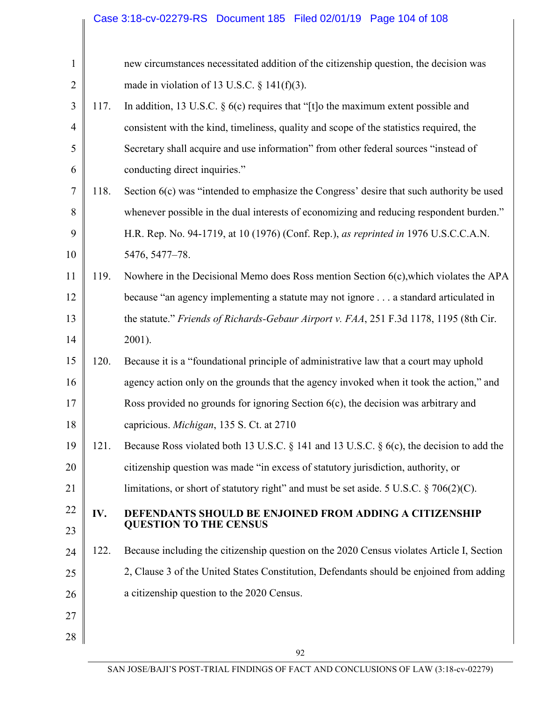|                |      | Case 3:18-cv-02279-RS  Document 185  Filed 02/01/19  Page 104 of 108                      |  |  |  |  |
|----------------|------|-------------------------------------------------------------------------------------------|--|--|--|--|
|                |      |                                                                                           |  |  |  |  |
| $\mathbf{1}$   |      | new circumstances necessitated addition of the citizenship question, the decision was     |  |  |  |  |
| $\overline{2}$ |      | made in violation of 13 U.S.C. $\S$ 141(f)(3).                                            |  |  |  |  |
| 3              | 117. | In addition, 13 U.S.C. $\S$ 6(c) requires that "[t]o the maximum extent possible and      |  |  |  |  |
| $\overline{4}$ |      | consistent with the kind, timeliness, quality and scope of the statistics required, the   |  |  |  |  |
| 5              |      | Secretary shall acquire and use information" from other federal sources "instead of       |  |  |  |  |
| 6              |      | conducting direct inquiries."                                                             |  |  |  |  |
| 7              | 118. | Section 6(c) was "intended to emphasize the Congress' desire that such authority be used  |  |  |  |  |
| 8              |      | whenever possible in the dual interests of economizing and reducing respondent burden."   |  |  |  |  |
| 9              |      | H.R. Rep. No. 94-1719, at 10 (1976) (Conf. Rep.), as reprinted in 1976 U.S.C.C.A.N.       |  |  |  |  |
| 10             |      | 5476, 5477-78.                                                                            |  |  |  |  |
| 11             | 119. | Nowhere in the Decisional Memo does Ross mention Section 6(c), which violates the APA     |  |  |  |  |
| 12             |      | because "an agency implementing a statute may not ignore a standard articulated in        |  |  |  |  |
| 13             |      | the statute." Friends of Richards-Gebaur Airport v. FAA, 251 F.3d 1178, 1195 (8th Cir.    |  |  |  |  |
| 14             |      | 2001).                                                                                    |  |  |  |  |
| 15             | 120. | Because it is a "foundational principle of administrative law that a court may uphold     |  |  |  |  |
| 16             |      | agency action only on the grounds that the agency invoked when it took the action," and   |  |  |  |  |
| 17             |      | Ross provided no grounds for ignoring Section $6(c)$ , the decision was arbitrary and     |  |  |  |  |
| 18             |      | capricious. <i>Michigan</i> , 135 S. Ct. at 2710                                          |  |  |  |  |
| 19             | 121. | Because Ross violated both 13 U.S.C. § 141 and 13 U.S.C. § 6(c), the decision to add the  |  |  |  |  |
| 20             |      | citizenship question was made "in excess of statutory jurisdiction, authority, or         |  |  |  |  |
| 21             |      | limitations, or short of statutory right" and must be set aside. 5 U.S.C. $\S$ 706(2)(C). |  |  |  |  |
| 22             | IV.  | <b>DEFENDANTS SHOULD BE ENJOINED FROM ADDING A CITIZENSHIP</b>                            |  |  |  |  |
| 23             |      | <b>QUESTION TO THE CENSUS</b>                                                             |  |  |  |  |
| 24             | 122. | Because including the citizenship question on the 2020 Census violates Article I, Section |  |  |  |  |
| 25             |      | 2, Clause 3 of the United States Constitution, Defendants should be enjoined from adding  |  |  |  |  |
| 26             |      | a citizenship question to the 2020 Census.                                                |  |  |  |  |
| 27             |      |                                                                                           |  |  |  |  |
| 28             |      |                                                                                           |  |  |  |  |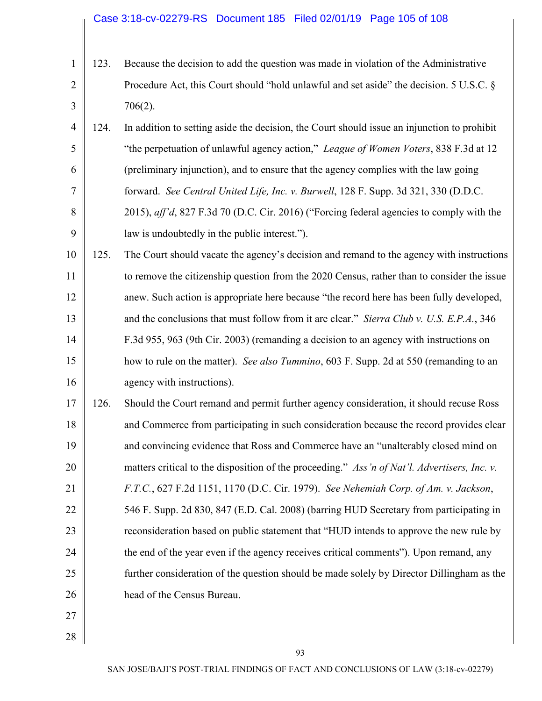#### Case 3:18-cv-02279-RS Document 185 Filed 02/01/19 Page 105 of 108

- 1 2 3 123. Because the decision to add the question was made in violation of the Administrative Procedure Act, this Court should "hold unlawful and set aside" the decision. 5 U.S.C. § 706(2).
- 4 5 6 7 8 9 124. In addition to setting aside the decision, the Court should issue an injunction to prohibit "the perpetuation of unlawful agency action," *League of Women Voters*, 838 F.3d at 12 (preliminary injunction), and to ensure that the agency complies with the law going forward. *See Central United Life, Inc. v. Burwell*, 128 F. Supp. 3d 321, 330 (D.D.C. 2015), *aff'd*, 827 F.3d 70 (D.C. Cir. 2016) ("Forcing federal agencies to comply with the law is undoubtedly in the public interest.").
- 10 11 12 13 14 15 16 125. The Court should vacate the agency's decision and remand to the agency with instructions to remove the citizenship question from the 2020 Census, rather than to consider the issue anew. Such action is appropriate here because "the record here has been fully developed, and the conclusions that must follow from it are clear." *Sierra Club v. U.S. E.P.A.*, 346 F.3d 955, 963 (9th Cir. 2003) (remanding a decision to an agency with instructions on how to rule on the matter). *See also Tummino*, 603 F. Supp. 2d at 550 (remanding to an agency with instructions).
- 17 18 19 20 21 22 23 24 25 26 126. Should the Court remand and permit further agency consideration, it should recuse Ross and Commerce from participating in such consideration because the record provides clear and convincing evidence that Ross and Commerce have an "unalterably closed mind on matters critical to the disposition of the proceeding." *Ass'n of Nat'l. Advertisers, Inc. v. F.T.C.*, 627 F.2d 1151, 1170 (D.C. Cir. 1979). *See Nehemiah Corp. of Am. v. Jackson*, 546 F. Supp. 2d 830, 847 (E.D. Cal. 2008) (barring HUD Secretary from participating in reconsideration based on public statement that "HUD intends to approve the new rule by the end of the year even if the agency receives critical comments"). Upon remand, any further consideration of the question should be made solely by Director Dillingham as the head of the Census Bureau.

27

28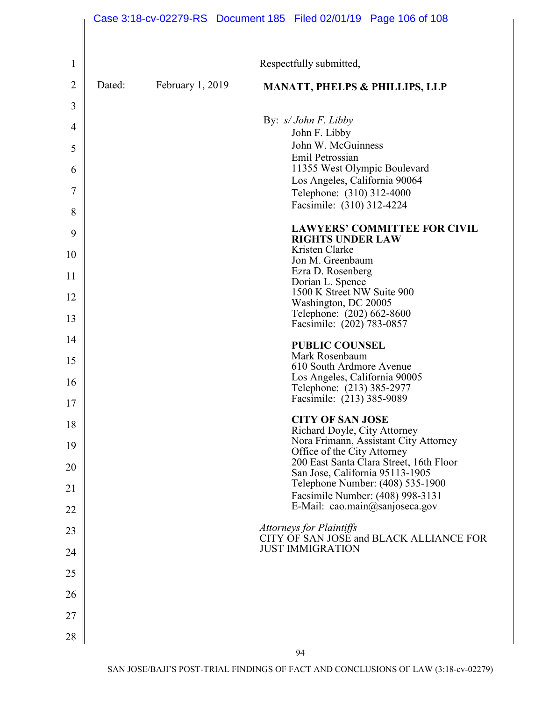|                |        |                    |  |                                                             | Case 3:18-cv-02279-RS  Document 185  Filed 02/01/19  Page 106 of 108 |
|----------------|--------|--------------------|--|-------------------------------------------------------------|----------------------------------------------------------------------|
|                |        |                    |  |                                                             |                                                                      |
| 1              |        |                    |  | Respectfully submitted,                                     |                                                                      |
| $\overline{2}$ | Dated: | February $1, 2019$ |  |                                                             | <b>MANATT, PHELPS &amp; PHILLIPS, LLP</b>                            |
| 3              |        |                    |  |                                                             |                                                                      |
| 4              |        |                    |  | By: <i>s/ John F. Libby</i><br>John F. Libby                |                                                                      |
| 5              |        |                    |  | John W. McGuinness<br>Emil Petrossian                       |                                                                      |
| 6              |        |                    |  | 11355 West Olympic Boulevard                                |                                                                      |
| 7              |        |                    |  | Los Angeles, California 90064<br>Telephone: (310) 312-4000  |                                                                      |
| 8              |        |                    |  | Facsimile: (310) 312-4224                                   |                                                                      |
| 9              |        |                    |  | <b>RIGHTS UNDER LAW</b>                                     | <b>LAWYERS' COMMITTEE FOR CIVIL</b>                                  |
| 10             |        |                    |  | Kristen Clarke<br>Jon M. Greenbaum                          |                                                                      |
| 11             |        |                    |  | Ezra D. Rosenberg<br>Dorian L. Spence                       |                                                                      |
| 12             |        |                    |  | 1500 K Street NW Suite 900<br>Washington, DC 20005          |                                                                      |
| 13             |        |                    |  | Telephone: (202) 662-8600<br>Facsimile: (202) 783-0857      |                                                                      |
| 14             |        |                    |  | <b>PUBLIC COUNSEL</b>                                       |                                                                      |
| 15             |        |                    |  | Mark Rosenbaum<br>610 South Ardmore Avenue                  |                                                                      |
| 16             |        |                    |  | Los Angeles, California 90005                               |                                                                      |
| 17             |        |                    |  | Telephone: (213) 385-2977<br>Facsimile: (213) 385-9089      |                                                                      |
| 18             |        |                    |  | <b>CITY OF SAN JOSE</b>                                     |                                                                      |
| 19             |        |                    |  | Richard Doyle, City Attorney<br>Office of the City Attorney | Nora Frimann, Assistant City Attorney                                |
| 20             |        |                    |  | San Jose, California 95113-1905                             | 200 East Santa Clara Street, 16th Floor                              |
| 21             |        |                    |  | Facsimile Number: (408) 998-3131                            | Telephone Number: (408) 535-1900                                     |
| 22             |        |                    |  | E-Mail: cao.main@sanjoseca.gov                              |                                                                      |
| 23             |        |                    |  | Attorneys for Plaintiffs                                    | CITY OF SAN JOSE and BLACK ALLIANCE FOR                              |
| 24             |        |                    |  | <b>JUST IMMIGRATION</b>                                     |                                                                      |
| 25             |        |                    |  |                                                             |                                                                      |
| 26             |        |                    |  |                                                             |                                                                      |
| 27             |        |                    |  |                                                             |                                                                      |
| 28             |        |                    |  |                                                             |                                                                      |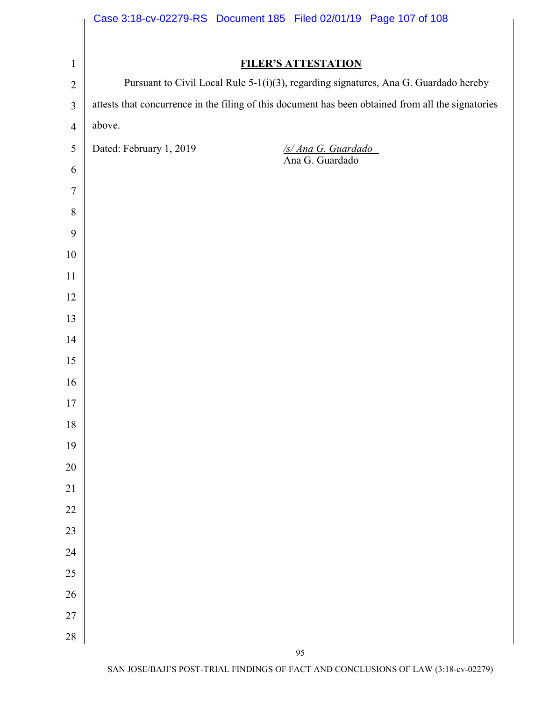|                  | Case 3:18-cv-02279-RS Document 185 Filed 02/01/19 Page 107 of 108                                  |
|------------------|----------------------------------------------------------------------------------------------------|
|                  |                                                                                                    |
| $\mathbf{1}$     | <b>FILER'S ATTESTATION</b>                                                                         |
| $\overline{2}$   | Pursuant to Civil Local Rule 5-1(i)(3), regarding signatures, Ana G. Guardado hereby               |
| $\overline{3}$   | attests that concurrence in the filing of this document has been obtained from all the signatories |
| $\overline{4}$   | above.                                                                                             |
| $\sqrt{5}$       | Dated: February 1, 2019<br>$\frac{f_S/Ana G. Guardado}{A na G. Guardado}$                          |
| 6                |                                                                                                    |
| $\overline{7}$   |                                                                                                    |
| $8\,$            |                                                                                                    |
| $\boldsymbol{9}$ |                                                                                                    |
| $10\,$           |                                                                                                    |
| 11               |                                                                                                    |
| 12               |                                                                                                    |
| 13               |                                                                                                    |
| 14               |                                                                                                    |
| 15               |                                                                                                    |
| 16               |                                                                                                    |
| 17               |                                                                                                    |
| $18\,$           |                                                                                                    |
| 19               |                                                                                                    |
| 20               |                                                                                                    |
| 21<br>22         |                                                                                                    |
| 23               |                                                                                                    |
| 24               |                                                                                                    |
| 25               |                                                                                                    |
| 26               |                                                                                                    |
| 27               |                                                                                                    |
|                  |                                                                                                    |
| 28               |                                                                                                    |